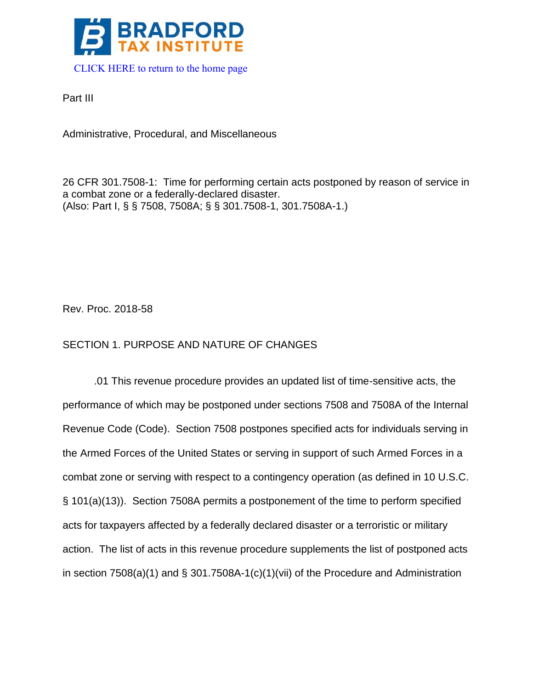

Part III

Administrative, Procedural, and Miscellaneous

26 CFR 301.7508-1: Time for performing certain acts postponed by reason of service in a combat zone or a federally-declared disaster. (Also: Part I, § § 7508, 7508A; § § 301.7508-1, 301.7508A-1.)

Rev. Proc. 2018-58

# SECTION 1. PURPOSE AND NATURE OF CHANGES

.01 This revenue procedure provides an updated list of time-sensitive acts, the performance of which may be postponed under sections 7508 and 7508A of the Internal Revenue Code (Code). Section 7508 postpones specified acts for individuals serving in the Armed Forces of the United States or serving in support of such Armed Forces in a combat zone or serving with respect to a contingency operation (as defined in 10 U.S.C. § 101(a)(13)). Section 7508A permits a postponement of the time to perform specified acts for taxpayers affected by a federally declared disaster or a terroristic or military action. The list of acts in this revenue procedure supplements the list of postponed acts in section 7508(a)(1) and § 301.7508A-1(c)(1)(vii) of the Procedure and Administration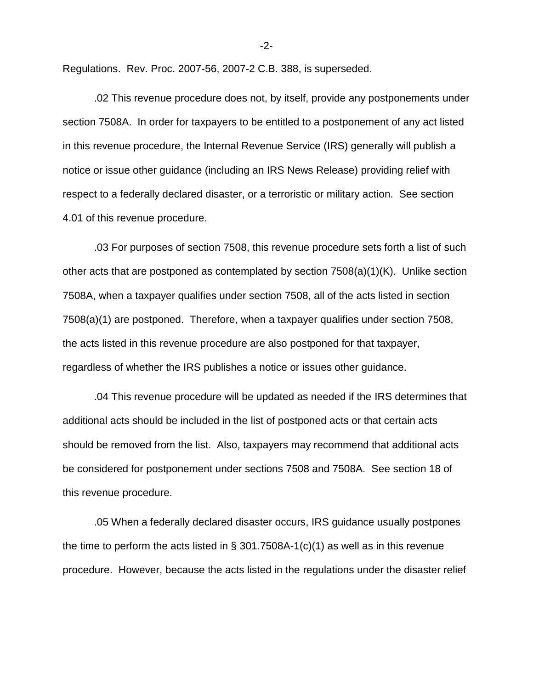Regulations. Rev. Proc. 2007-56, 2007-2 C.B. 388, is superseded.

.02 This revenue procedure does not, by itself, provide any postponements under section 7508A. In order for taxpayers to be entitled to a postponement of any act listed in this revenue procedure, the Internal Revenue Service (IRS) generally will publish a notice or issue other guidance (including an IRS News Release) providing relief with respect to a federally declared disaster, or a terroristic or military action. See section 4.01 of this revenue procedure.

.03 For purposes of section 7508, this revenue procedure sets forth a list of such other acts that are postponed as contemplated by section 7508(a)(1)(K). Unlike section 7508A, when a taxpayer qualifies under section 7508, all of the acts listed in section 7508(a)(1) are postponed. Therefore, when a taxpayer qualifies under section 7508, the acts listed in this revenue procedure are also postponed for that taxpayer, regardless of whether the IRS publishes a notice or issues other guidance.

.04 This revenue procedure will be updated as needed if the IRS determines that additional acts should be included in the list of postponed acts or that certain acts should be removed from the list. Also, taxpayers may recommend that additional acts be considered for postponement under sections 7508 and 7508A. See section 18 of this revenue procedure.

.05 When a federally declared disaster occurs, IRS guidance usually postpones the time to perform the acts listed in  $\S$  301.7508A-1(c)(1) as well as in this revenue procedure. However, because the acts listed in the regulations under the disaster relief

-2-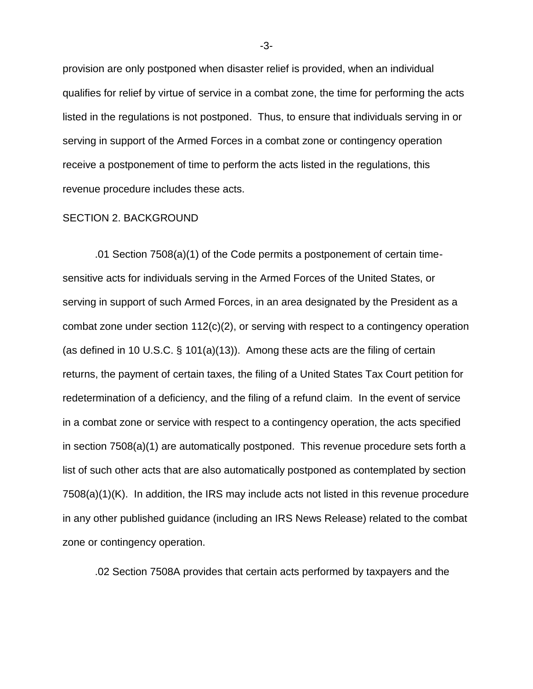provision are only postponed when disaster relief is provided, when an individual qualifies for relief by virtue of service in a combat zone, the time for performing the acts listed in the regulations is not postponed. Thus, to ensure that individuals serving in or serving in support of the Armed Forces in a combat zone or contingency operation receive a postponement of time to perform the acts listed in the regulations, this revenue procedure includes these acts.

#### SECTION 2. BACKGROUND

.01 Section 7508(a)(1) of the Code permits a postponement of certain timesensitive acts for individuals serving in the Armed Forces of the United States, or serving in support of such Armed Forces, in an area designated by the President as a combat zone under section 112(c)(2), or serving with respect to a contingency operation (as defined in 10 U.S.C. § 101(a)(13)). Among these acts are the filing of certain returns, the payment of certain taxes, the filing of a United States Tax Court petition for redetermination of a deficiency, and the filing of a refund claim. In the event of service in a combat zone or service with respect to a contingency operation, the acts specified in section 7508(a)(1) are automatically postponed. This revenue procedure sets forth a list of such other acts that are also automatically postponed as contemplated by section 7508(a)(1)(K). In addition, the IRS may include acts not listed in this revenue procedure in any other published guidance (including an IRS News Release) related to the combat zone or contingency operation.

.02 Section 7508A provides that certain acts performed by taxpayers and the

-3-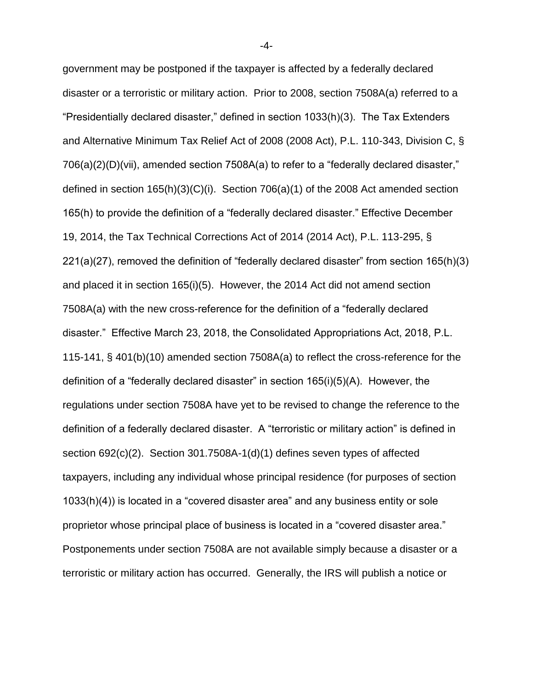government may be postponed if the taxpayer is affected by a federally declared disaster or a terroristic or military action. Prior to 2008, section 7508A(a) referred to a "Presidentially declared disaster," defined in section 1033(h)(3). The Tax Extenders and Alternative Minimum Tax Relief Act of 2008 (2008 Act), P.L. 110-343, Division C, § 706(a)(2)(D)(vii), amended section 7508A(a) to refer to a "federally declared disaster," defined in section 165(h)(3)(C)(i). Section 706(a)(1) of the 2008 Act amended section 165(h) to provide the definition of a "federally declared disaster." Effective December 19, 2014, the Tax Technical Corrections Act of 2014 (2014 Act), P.L. 113-295, § 221(a)(27), removed the definition of "federally declared disaster" from section 165(h)(3) and placed it in section 165(i)(5). However, the 2014 Act did not amend section 7508A(a) with the new cross-reference for the definition of a "federally declared disaster." Effective March 23, 2018, the Consolidated Appropriations Act, 2018, P.L. 115-141, § 401(b)(10) amended section 7508A(a) to reflect the cross-reference for the definition of a "federally declared disaster" in section 165(i)(5)(A). However, the regulations under section 7508A have yet to be revised to change the reference to the definition of a federally declared disaster. A "terroristic or military action" is defined in section 692(c)(2). Section 301.7508A-1(d)(1) defines seven types of affected taxpayers, including any individual whose principal residence (for purposes of section 1033(h)(4)) is located in a "covered disaster area" and any business entity or sole proprietor whose principal place of business is located in a "covered disaster area." Postponements under section 7508A are not available simply because a disaster or a terroristic or military action has occurred. Generally, the IRS will publish a notice or

-4-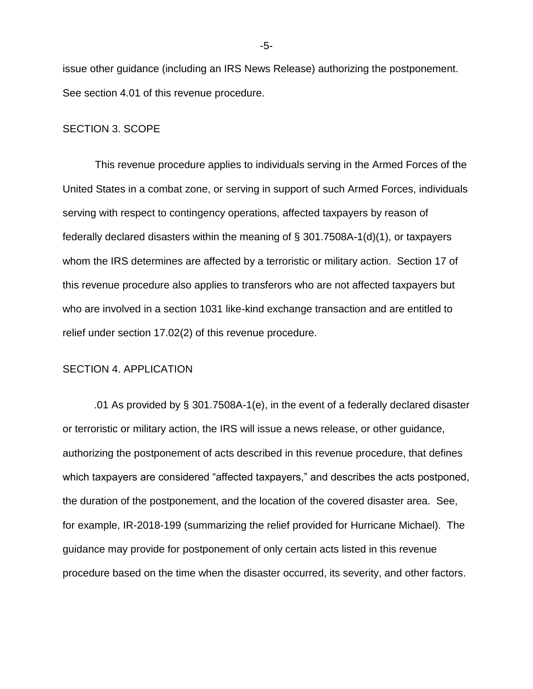issue other guidance (including an IRS News Release) authorizing the postponement. See section 4.01 of this revenue procedure.

### SECTION 3. SCOPE

This revenue procedure applies to individuals serving in the Armed Forces of the United States in a combat zone, or serving in support of such Armed Forces, individuals serving with respect to contingency operations, affected taxpayers by reason of federally declared disasters within the meaning of § 301.7508A-1(d)(1), or taxpayers whom the IRS determines are affected by a terroristic or military action. Section 17 of this revenue procedure also applies to transferors who are not affected taxpayers but who are involved in a section 1031 like-kind exchange transaction and are entitled to relief under section 17.02(2) of this revenue procedure.

## SECTION 4. APPLICATION

.01 As provided by § 301.7508A-1(e), in the event of a federally declared disaster or terroristic or military action, the IRS will issue a news release, or other guidance, authorizing the postponement of acts described in this revenue procedure, that defines which taxpayers are considered "affected taxpayers," and describes the acts postponed, the duration of the postponement, and the location of the covered disaster area. See, for example, IR-2018-199 (summarizing the relief provided for Hurricane Michael). The guidance may provide for postponement of only certain acts listed in this revenue procedure based on the time when the disaster occurred, its severity, and other factors.

-5-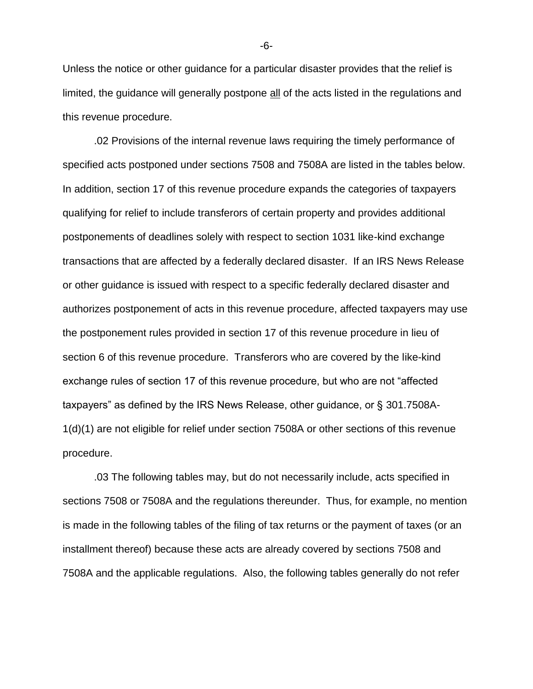Unless the notice or other guidance for a particular disaster provides that the relief is limited, the guidance will generally postpone all of the acts listed in the regulations and this revenue procedure.

.02 Provisions of the internal revenue laws requiring the timely performance of specified acts postponed under sections 7508 and 7508A are listed in the tables below. In addition, section 17 of this revenue procedure expands the categories of taxpayers qualifying for relief to include transferors of certain property and provides additional postponements of deadlines solely with respect to section 1031 like-kind exchange transactions that are affected by a federally declared disaster. If an IRS News Release or other guidance is issued with respect to a specific federally declared disaster and authorizes postponement of acts in this revenue procedure, affected taxpayers may use the postponement rules provided in section 17 of this revenue procedure in lieu of section 6 of this revenue procedure. Transferors who are covered by the like-kind exchange rules of section 17 of this revenue procedure, but who are not "affected taxpayers" as defined by the IRS News Release, other guidance, or § 301.7508A-1(d)(1) are not eligible for relief under section 7508A or other sections of this revenue procedure.

.03 The following tables may, but do not necessarily include, acts specified in sections 7508 or 7508A and the regulations thereunder. Thus, for example, no mention is made in the following tables of the filing of tax returns or the payment of taxes (or an installment thereof) because these acts are already covered by sections 7508 and 7508A and the applicable regulations. Also, the following tables generally do not refer

-6-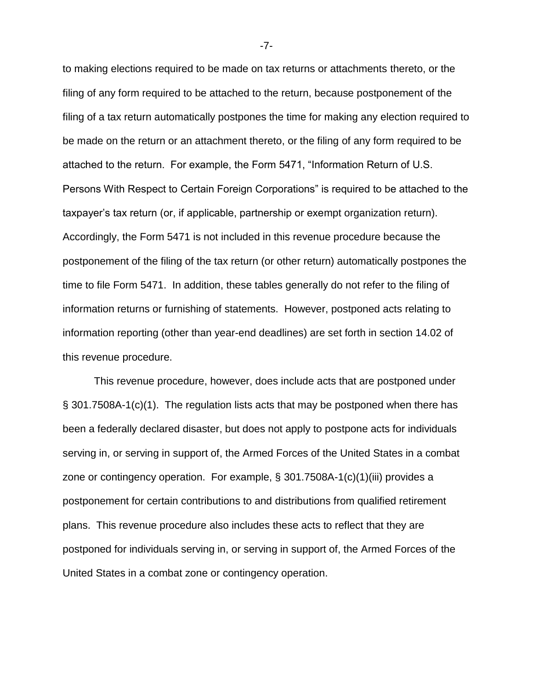to making elections required to be made on tax returns or attachments thereto, or the filing of any form required to be attached to the return, because postponement of the filing of a tax return automatically postpones the time for making any election required to be made on the return or an attachment thereto, or the filing of any form required to be attached to the return. For example, the Form 5471, "Information Return of U.S. Persons With Respect to Certain Foreign Corporations" is required to be attached to the taxpayer's tax return (or, if applicable, partnership or exempt organization return). Accordingly, the Form 5471 is not included in this revenue procedure because the postponement of the filing of the tax return (or other return) automatically postpones the time to file Form 5471. In addition, these tables generally do not refer to the filing of information returns or furnishing of statements. However, postponed acts relating to information reporting (other than year-end deadlines) are set forth in section 14.02 of this revenue procedure.

This revenue procedure, however, does include acts that are postponed under § 301.7508A-1(c)(1). The regulation lists acts that may be postponed when there has been a federally declared disaster, but does not apply to postpone acts for individuals serving in, or serving in support of, the Armed Forces of the United States in a combat zone or contingency operation. For example, § 301.7508A-1(c)(1)(iii) provides a postponement for certain contributions to and distributions from qualified retirement plans. This revenue procedure also includes these acts to reflect that they are postponed for individuals serving in, or serving in support of, the Armed Forces of the United States in a combat zone or contingency operation.

-7-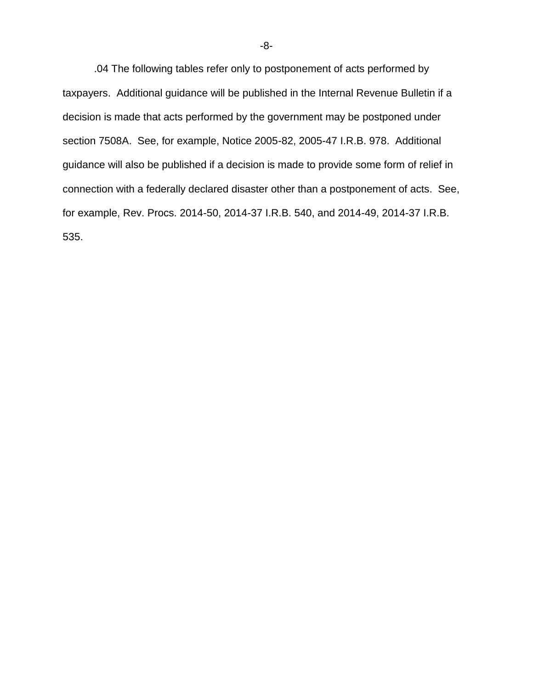.04 The following tables refer only to postponement of acts performed by taxpayers. Additional guidance will be published in the Internal Revenue Bulletin if a decision is made that acts performed by the government may be postponed under section 7508A. See, for example, Notice 2005-82, 2005-47 I.R.B. 978. Additional guidance will also be published if a decision is made to provide some form of relief in connection with a federally declared disaster other than a postponement of acts. See, for example, Rev. Procs. 2014-50, 2014-37 I.R.B. 540, and 2014-49, 2014-37 I.R.B. 535.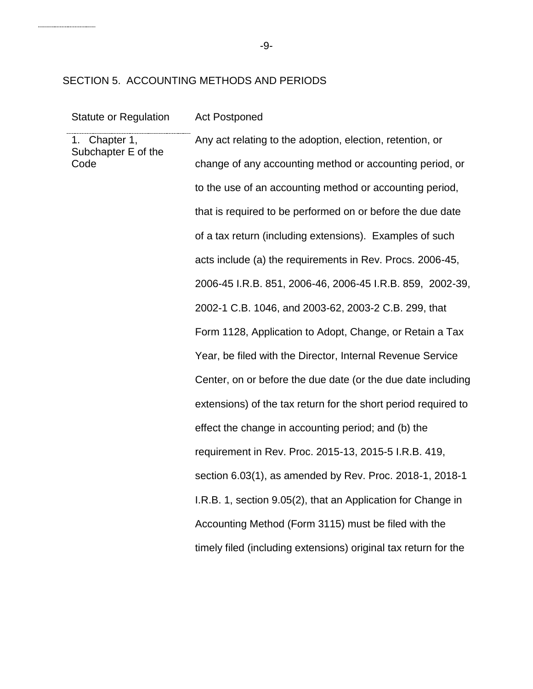### SECTION 5. ACCOUNTING METHODS AND PERIODS

| <b>Statute or Regulation</b> | <b>Act Postponed</b> |
|------------------------------|----------------------|
|------------------------------|----------------------|

1. Chapter 1, Subchapter E of the Code Any act relating to the adoption, election, retention, or change of any accounting method or accounting period, or to the use of an accounting method or accounting period, that is required to be performed on or before the due date of a tax return (including extensions). Examples of such acts include (a) the requirements in Rev. Procs. 2006-45, 2006-45 I.R.B. 851, 2006-46, 2006-45 I.R.B. 859, 2002-39, 2002-1 C.B. 1046, and 2003-62, 2003-2 C.B. 299, that Form 1128, Application to Adopt, Change, or Retain a Tax Year, be filed with the Director, Internal Revenue Service Center, on or before the due date (or the due date including extensions) of the tax return for the short period required to effect the change in accounting period; and (b) the requirement in Rev. Proc. 2015-13, 2015-5 I.R.B. 419, section 6.03(1), as amended by Rev. Proc. 2018-1, 2018-1 I.R.B. 1, section 9.05(2), that an Application for Change in Accounting Method (Form 3115) must be filed with the timely filed (including extensions) original tax return for the

-9-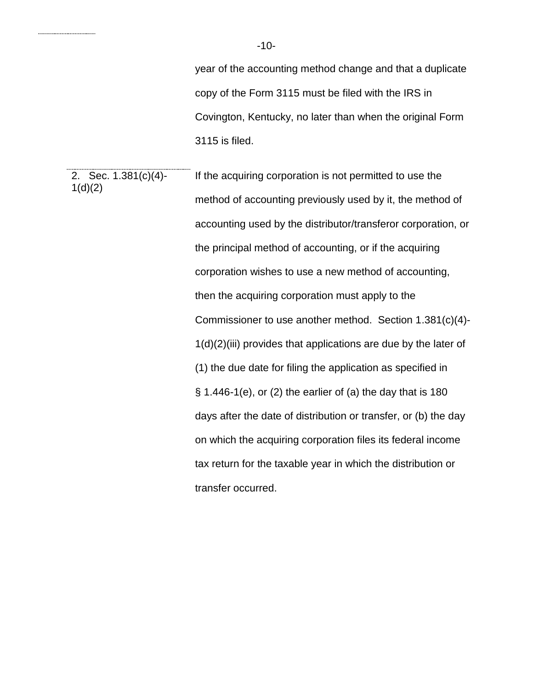year of the accounting method change and that a duplicate copy of the Form 3115 must be filed with the IRS in Covington, Kentucky, no later than when the original Form 3115 is filed.

2. Sec. 1.381(c)(4)-  $1(d)(2)$ If the acquiring corporation is not permitted to use the method of accounting previously used by it, the method of accounting used by the distributor/transferor corporation, or the principal method of accounting, or if the acquiring corporation wishes to use a new method of accounting, then the acquiring corporation must apply to the Commissioner to use another method. Section 1.381(c)(4)- 1(d)(2)(iii) provides that applications are due by the later of (1) the due date for filing the application as specified in § 1.446-1(e), or (2) the earlier of (a) the day that is 180 days after the date of distribution or transfer, or (b) the day on which the acquiring corporation files its federal income tax return for the taxable year in which the distribution or transfer occurred.

-10-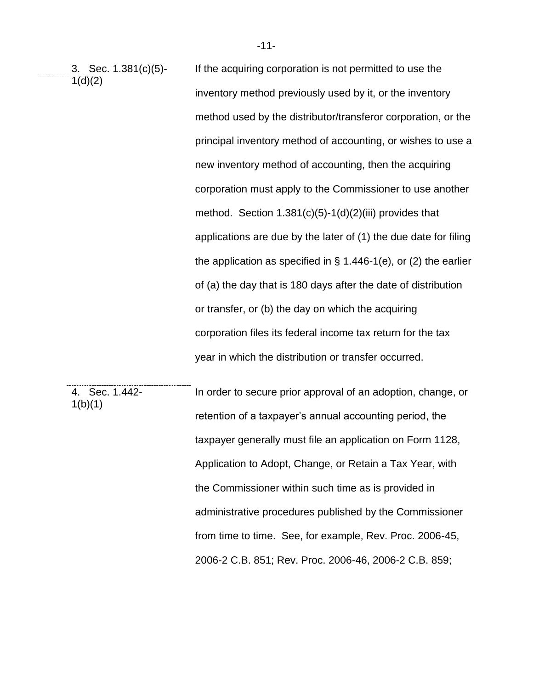3. Sec. 1.381(c)(5)- 1(d)(2)

If the acquiring corporation is not permitted to use the inventory method previously used by it, or the inventory method used by the distributor/transferor corporation, or the principal inventory method of accounting, or wishes to use a new inventory method of accounting, then the acquiring corporation must apply to the Commissioner to use another method. Section 1.381(c)(5)-1(d)(2)(iii) provides that applications are due by the later of (1) the due date for filing the application as specified in  $\S$  1.446-1(e), or (2) the earlier of (a) the day that is 180 days after the date of distribution or transfer, or (b) the day on which the acquiring corporation files its federal income tax return for the tax year in which the distribution or transfer occurred.

4. Sec. 1.442-  $1(b)(1)$ In order to secure prior approval of an adoption, change, or retention of a taxpayer's annual accounting period, the taxpayer generally must file an application on Form 1128, Application to Adopt, Change, or Retain a Tax Year, with the Commissioner within such time as is provided in administrative procedures published by the Commissioner from time to time. See, for example, Rev. Proc. 2006-45, 2006-2 C.B. 851; Rev. Proc. 2006-46, 2006-2 C.B. 859;

-11-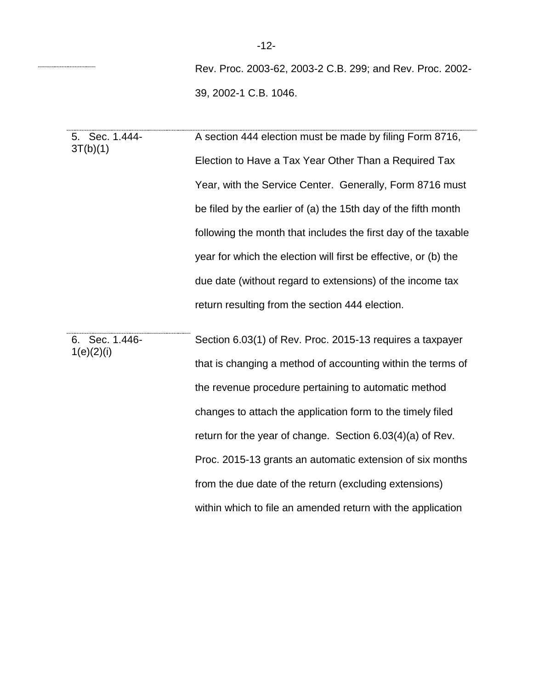Rev. Proc. 2003-62, 2003-2 C.B. 299; and Rev. Proc. 2002- 39, 2002-1 C.B. 1046.

| 5. Sec. 1.444-<br>3T(b)(1) | A section 444 election must be made by filing Form 8716,        |
|----------------------------|-----------------------------------------------------------------|
|                            | Election to Have a Tax Year Other Than a Required Tax           |
|                            | Year, with the Service Center. Generally, Form 8716 must        |
|                            | be filed by the earlier of (a) the 15th day of the fifth month  |
|                            | following the month that includes the first day of the taxable  |
|                            | year for which the election will first be effective, or (b) the |
|                            | due date (without regard to extensions) of the income tax       |
|                            | return resulting from the section 444 election.                 |

6. Sec. 1.446-  $1(e)(2)(i)$ Section 6.03(1) of Rev. Proc. 2015-13 requires a taxpayer that is changing a method of accounting within the terms of the revenue procedure pertaining to automatic method changes to attach the application form to the timely filed return for the year of change. Section 6.03(4)(a) of Rev. Proc. 2015-13 grants an automatic extension of six months from the due date of the return (excluding extensions) within which to file an amended return with the application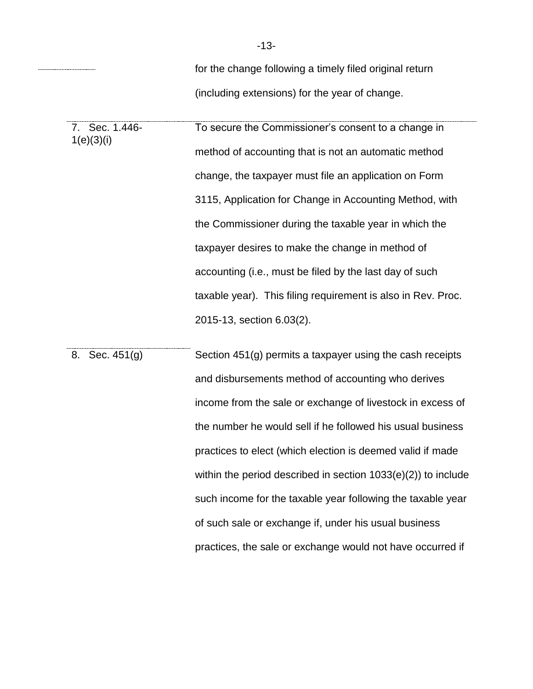for the change following a timely filed original return (including extensions) for the year of change.

7. Sec. 1.446-  $1(e)(3)(i)$ To secure the Commissioner's consent to a change in method of accounting that is not an automatic method change, the taxpayer must file an application on Form 3115, Application for Change in Accounting Method, with the Commissioner during the taxable year in which the taxpayer desires to make the change in method of accounting (i.e., must be filed by the last day of such taxable year). This filing requirement is also in Rev. Proc. 2015-13, section 6.03(2).

8. Sec.  $451(g)$  Section  $451(g)$  permits a taxpayer using the cash receipts and disbursements method of accounting who derives income from the sale or exchange of livestock in excess of the number he would sell if he followed his usual business practices to elect (which election is deemed valid if made within the period described in section 1033(e)(2)) to include such income for the taxable year following the taxable year of such sale or exchange if, under his usual business practices, the sale or exchange would not have occurred if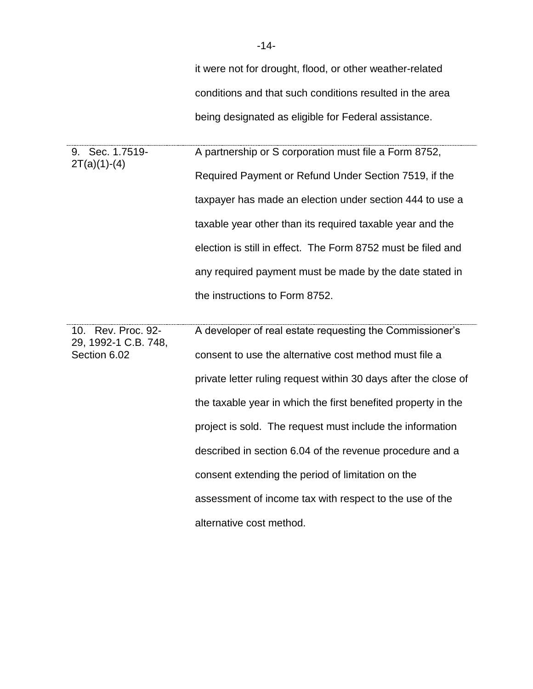|                                            | it were not for drought, flood, or other weather-related        |
|--------------------------------------------|-----------------------------------------------------------------|
|                                            | conditions and that such conditions resulted in the area        |
|                                            | being designated as eligible for Federal assistance.            |
|                                            |                                                                 |
| 9. Sec. 1.7519-<br>$2T(a)(1)-(4)$          | A partnership or S corporation must file a Form 8752,           |
|                                            | Required Payment or Refund Under Section 7519, if the           |
|                                            | taxpayer has made an election under section 444 to use a        |
|                                            | taxable year other than its required taxable year and the       |
|                                            | election is still in effect. The Form 8752 must be filed and    |
|                                            | any required payment must be made by the date stated in         |
|                                            | the instructions to Form 8752.                                  |
|                                            |                                                                 |
| 10. Rev. Proc. 92-<br>29, 1992-1 C.B. 748, | A developer of real estate requesting the Commissioner's        |
| Section 6.02                               | consent to use the alternative cost method must file a          |
|                                            | private letter ruling request within 30 days after the close of |
|                                            | the taxable year in which the first benefited property in the   |
|                                            | project is sold. The request must include the information       |
|                                            | described in section 6.04 of the revenue procedure and a        |
|                                            | consent extending the period of limitation on the               |
|                                            | assessment of income tax with respect to the use of the         |
|                                            | alternative cost method.                                        |

-14-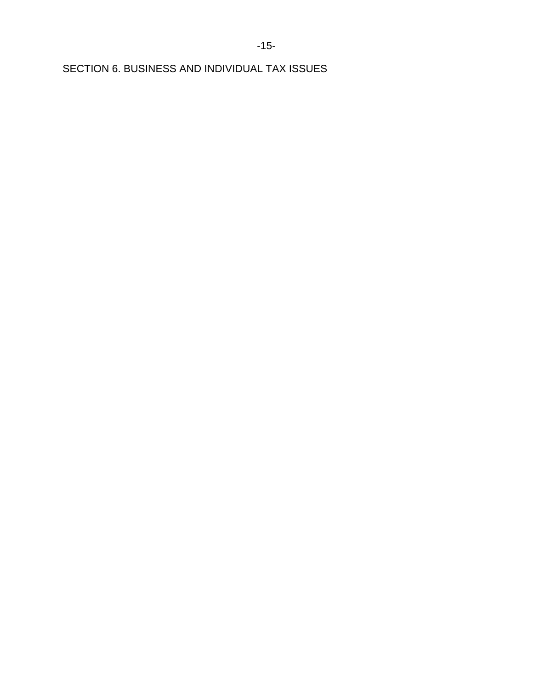-15-

SECTION 6. BUSINESS AND INDIVIDUAL TAX ISSUES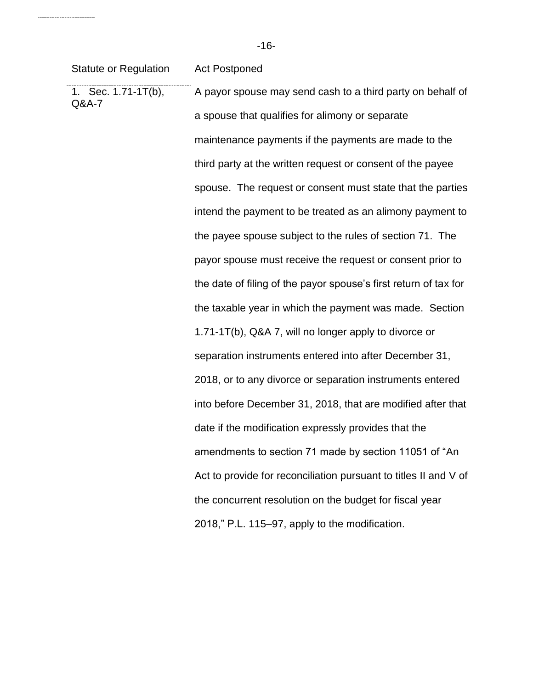Statute or Regulation Act Postponed

1. Sec. 1.71-1T(b), Q&A-7 A payor spouse may send cash to a third party on behalf of a spouse that qualifies for alimony or separate maintenance payments if the payments are made to the third party at the written request or consent of the payee spouse. The request or consent must state that the parties intend the payment to be treated as an alimony payment to the payee spouse subject to the rules of section 71. The payor spouse must receive the request or consent prior to the date of filing of the payor spouse's first return of tax for the taxable year in which the payment was made. Section 1.71-1T(b), Q&A 7, will no longer apply to divorce or separation instruments entered into after December 31, 2018, or to any divorce or separation instruments entered into before December 31, 2018, that are modified after that date if the modification expressly provides that the amendments to section 71 made by section 11051 of "An Act to provide for reconciliation pursuant to titles II and V of the concurrent resolution on the budget for fiscal year 2018," P.L. 115–97, apply to the modification.

-16-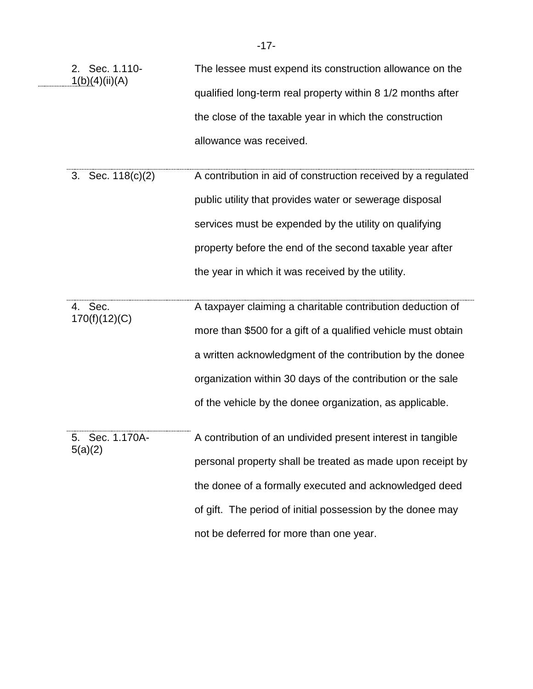| 2. Sec. 1.110-<br>1(b)(4)(ii)(A) | The lessee must expend its construction allowance on the      |
|----------------------------------|---------------------------------------------------------------|
|                                  | qualified long-term real property within 8 1/2 months after   |
|                                  | the close of the taxable year in which the construction       |
|                                  | allowance was received.                                       |
|                                  |                                                               |
| 3. Sec. $118(c)(2)$              | A contribution in aid of construction received by a regulated |
|                                  |                                                               |
|                                  | public utility that provides water or sewerage disposal       |
|                                  | services must be expended by the utility on qualifying        |

| 4. Sec.<br>170(f)(12)(C) | A taxpayer claiming a charitable contribution deduction of    |
|--------------------------|---------------------------------------------------------------|
|                          | more than \$500 for a gift of a qualified vehicle must obtain |
|                          | a written acknowledgment of the contribution by the donee     |
|                          | organization within 30 days of the contribution or the sale   |
|                          | of the vehicle by the donee organization, as applicable.      |

the year in which it was received by the utility.

| 5. Sec. 1.170A-<br>5(a)(2) | A contribution of an undivided present interest in tangible |
|----------------------------|-------------------------------------------------------------|
|                            | personal property shall be treated as made upon receipt by  |
|                            | the donee of a formally executed and acknowledged deed      |
|                            | of gift. The period of initial possession by the donee may  |
|                            | not be deferred for more than one year.                     |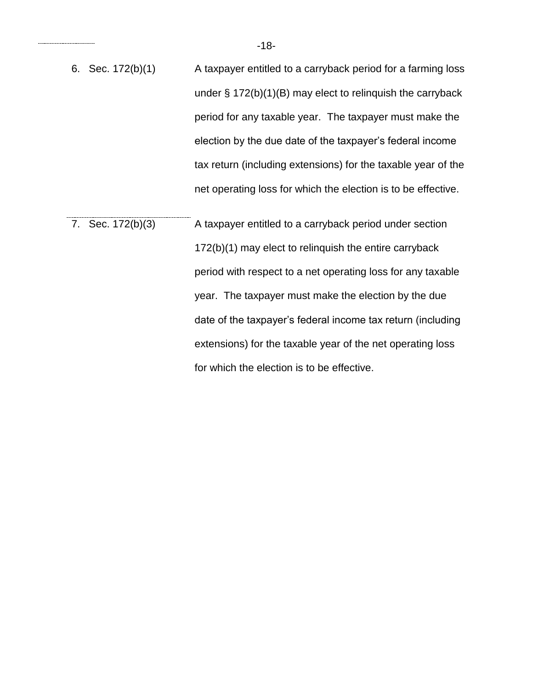- 6. Sec. 172(b)(1) A taxpayer entitled to a carryback period for a farming loss under § 172(b)(1)(B) may elect to relinquish the carryback period for any taxable year. The taxpayer must make the election by the due date of the taxpayer's federal income tax return (including extensions) for the taxable year of the net operating loss for which the election is to be effective.
- 7. Sec. 172(b)(3) A taxpayer entitled to a carryback period under section 172(b)(1) may elect to relinquish the entire carryback period with respect to a net operating loss for any taxable year. The taxpayer must make the election by the due date of the taxpayer's federal income tax return (including extensions) for the taxable year of the net operating loss for which the election is to be effective.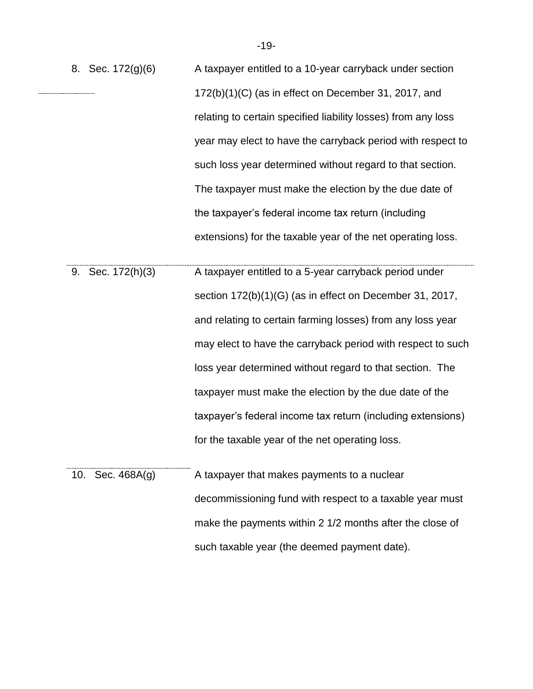8. Sec.  $172(g)(6)$  A taxpayer entitled to a 10-year carryback under section 172(b)(1)(C) (as in effect on December 31, 2017, and relating to certain specified liability losses) from any loss year may elect to have the carryback period with respect to such loss year determined without regard to that section. The taxpayer must make the election by the due date of the taxpayer's federal income tax return (including extensions) for the taxable year of the net operating loss.

9. Sec. 172(h)(3) A taxpayer entitled to a 5-year carryback period under section 172(b)(1)(G) (as in effect on December 31, 2017, and relating to certain farming losses) from any loss year may elect to have the carryback period with respect to such loss year determined without regard to that section. The taxpayer must make the election by the due date of the taxpayer's federal income tax return (including extensions) for the taxable year of the net operating loss.

10. Sec.  $468A(q)$  A taxpayer that makes payments to a nuclear decommissioning fund with respect to a taxable year must make the payments within 2 1/2 months after the close of such taxable year (the deemed payment date).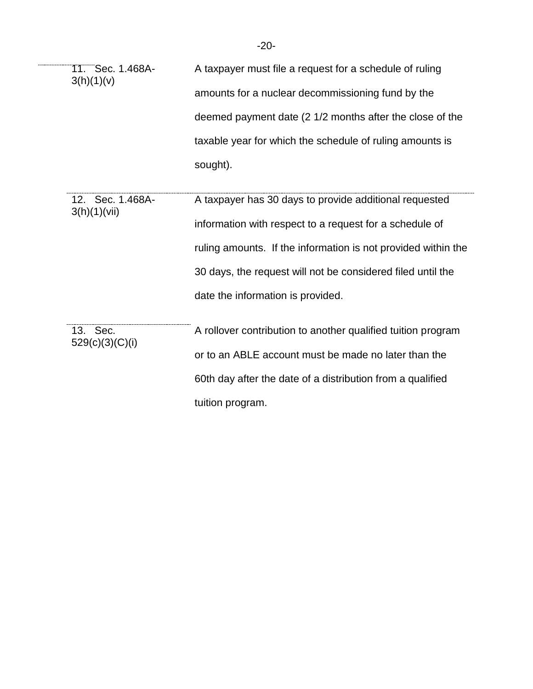11. Sec. 1.468A- $3(h)(1)(v)$ A taxpayer must file a request for a schedule of ruling amounts for a nuclear decommissioning fund by the deemed payment date (2 1/2 months after the close of the taxable year for which the schedule of ruling amounts is sought).

12. Sec. 1.468A- $3(h)(1)(vii)$ A taxpayer has 30 days to provide additional requested information with respect to a request for a schedule of ruling amounts. If the information is not provided within the 30 days, the request will not be considered filed until the date the information is provided.

13. Sec. 529(c)(3)(C)(i) A rollover contribution to another qualified tuition program or to an ABLE account must be made no later than the 60th day after the date of a distribution from a qualified tuition program.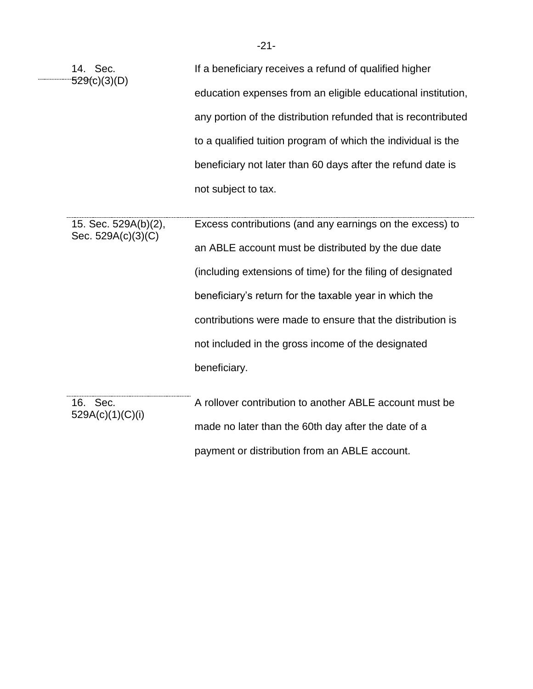| 14. Sec.             | If a beneficiary receives a refund of qualified higher         |
|----------------------|----------------------------------------------------------------|
| 529(c)(3)(D)         | education expenses from an eligible educational institution,   |
|                      | any portion of the distribution refunded that is recontributed |
|                      | to a qualified tuition program of which the individual is the  |
|                      | beneficiary not later than 60 days after the refund date is    |
|                      | not subject to tax.                                            |
| 15. Sec. 529A(b)(2), | Excess contributions (and any earnings on the excess) to       |
| Sec. 529A(c)(3)(C)   | an ABLE account must be distributed by the due date            |
|                      | (including extensions of time) for the filing of designated    |
|                      | beneficiary's return for the taxable year in which the         |
|                      | contributions were made to ensure that the distribution is     |
|                      | not included in the gross income of the designated             |
|                      | beneficiary.                                                   |
| 16. Sec.             | A rollover contribution to another ABLE account must be        |
| 529A(c)(1)(C)(i)     | made no later than the 60th day after the date of a            |
|                      | payment or distribution from an ABLE account.                  |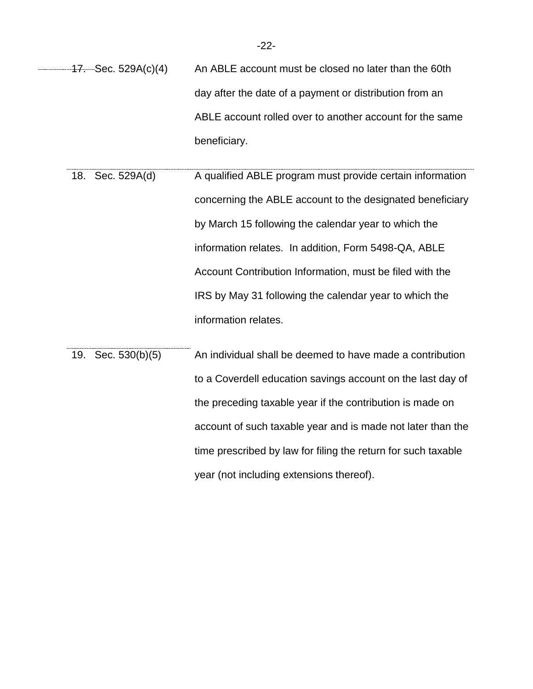- 17. Sec. 529A(c)(4) An ABLE account must be closed no later than the 60th day after the date of a payment or distribution from an ABLE account rolled over to another account for the same beneficiary.
	- 18. Sec. 529A(d) A qualified ABLE program must provide certain information concerning the ABLE account to the designated beneficiary by March 15 following the calendar year to which the information relates. In addition, Form 5498-QA, ABLE Account Contribution Information, must be filed with the IRS by May 31 following the calendar year to which the information relates.
	- 19. Sec. 530(b)(5) An individual shall be deemed to have made a contribution to a Coverdell education savings account on the last day of the preceding taxable year if the contribution is made on account of such taxable year and is made not later than the time prescribed by law for filing the return for such taxable year (not including extensions thereof).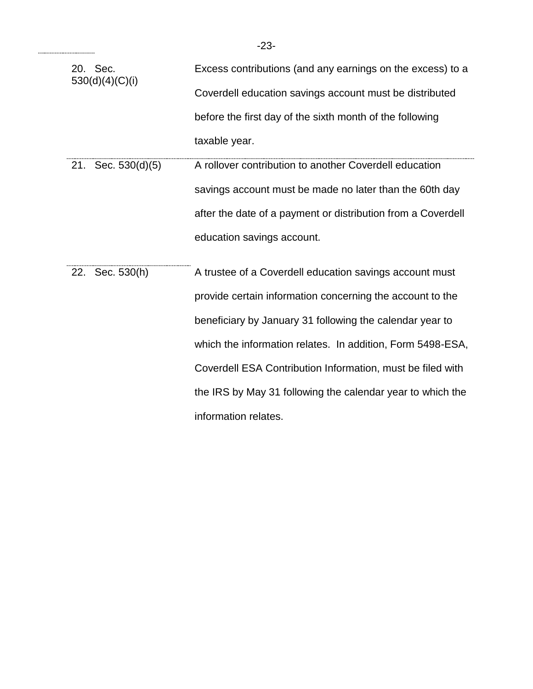| 20. Sec.<br>530(d)(4)(C)(i) | Excess contributions (and any earnings on the excess) to a |
|-----------------------------|------------------------------------------------------------|
|                             | Coverdell education savings account must be distributed    |
|                             | before the first day of the sixth month of the following   |
|                             | taxable year.                                              |
| 21. Sec. $530(d)(5)$        | A rollover contribution to another Coverdell education     |

- savings account must be made no later than the 60th day after the date of a payment or distribution from a Coverdell education savings account.
- 22. Sec. 530(h) A trustee of a Coverdell education savings account must provide certain information concerning the account to the beneficiary by January 31 following the calendar year to which the information relates. In addition, Form 5498-ESA, Coverdell ESA Contribution Information, must be filed with the IRS by May 31 following the calendar year to which the information relates.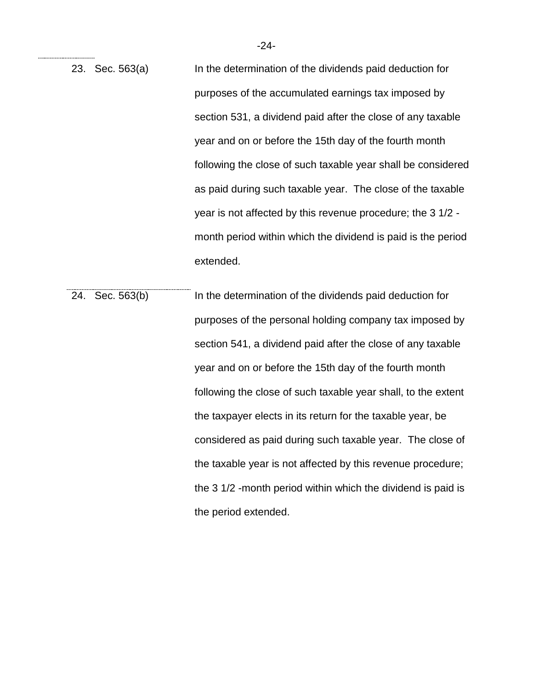23. Sec. 563(a) In the determination of the dividends paid deduction for purposes of the accumulated earnings tax imposed by section 531, a dividend paid after the close of any taxable year and on or before the 15th day of the fourth month following the close of such taxable year shall be considered as paid during such taxable year. The close of the taxable year is not affected by this revenue procedure; the 3 1/2 month period within which the dividend is paid is the period extended.

24. Sec. 563(b) In the determination of the dividends paid deduction for purposes of the personal holding company tax imposed by section 541, a dividend paid after the close of any taxable year and on or before the 15th day of the fourth month following the close of such taxable year shall, to the extent the taxpayer elects in its return for the taxable year, be considered as paid during such taxable year. The close of the taxable year is not affected by this revenue procedure; the 3 1/2 -month period within which the dividend is paid is the period extended.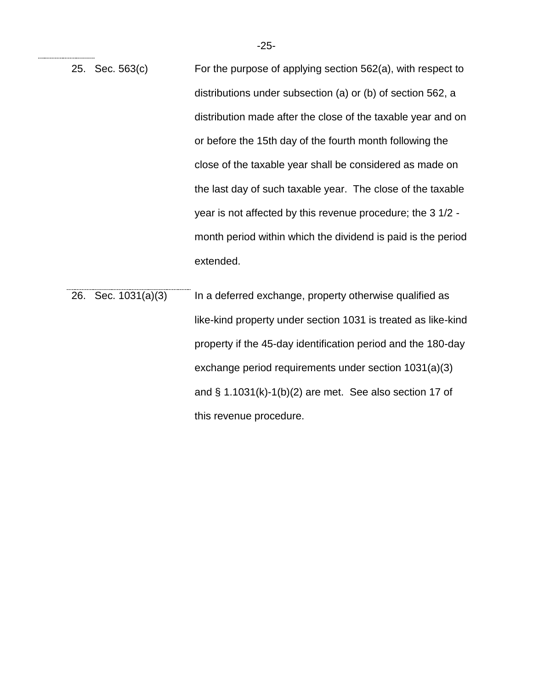25. Sec. 563(c) For the purpose of applying section 562(a), with respect to distributions under subsection (a) or (b) of section 562, a distribution made after the close of the taxable year and on or before the 15th day of the fourth month following the close of the taxable year shall be considered as made on the last day of such taxable year. The close of the taxable year is not affected by this revenue procedure; the 3 1/2 month period within which the dividend is paid is the period extended.

26. Sec. 1031(a)(3) In a deferred exchange, property otherwise qualified as like-kind property under section 1031 is treated as like-kind property if the 45-day identification period and the 180-day exchange period requirements under section 1031(a)(3) and  $\S$  1.1031(k)-1(b)(2) are met. See also section 17 of this revenue procedure.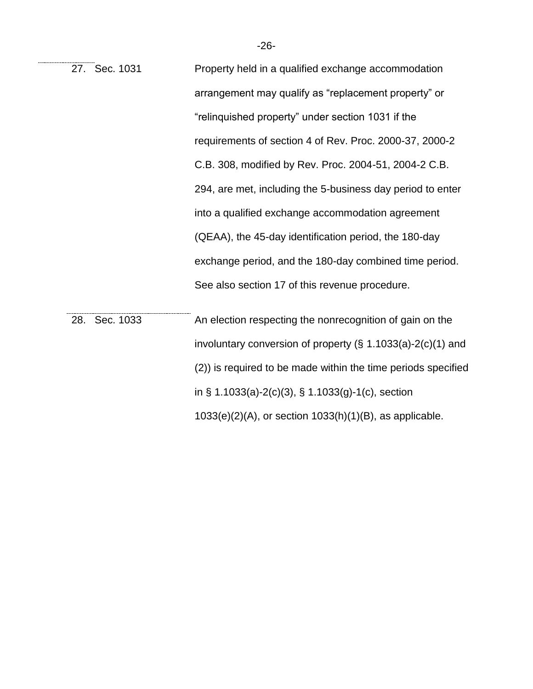27. Sec. 1031 Property held in a qualified exchange accommodation arrangement may qualify as "replacement property" or "relinquished property" under section 1031 if the requirements of section 4 of Rev. Proc. 2000-37, 2000-2 C.B. 308, modified by Rev. Proc. 2004-51, 2004-2 C.B. 294, are met, including the 5-business day period to enter into a qualified exchange accommodation agreement (QEAA), the 45-day identification period, the 180-day exchange period, and the 180-day combined time period. See also section 17 of this revenue procedure.

28. Sec. 1033 An election respecting the nonrecognition of gain on the involuntary conversion of property (§ 1.1033(a)-2(c)(1) and (2)) is required to be made within the time periods specified in § 1.1033(a)-2(c)(3), § 1.1033(g)-1(c), section 1033(e)(2)(A), or section 1033(h)(1)(B), as applicable.

-26-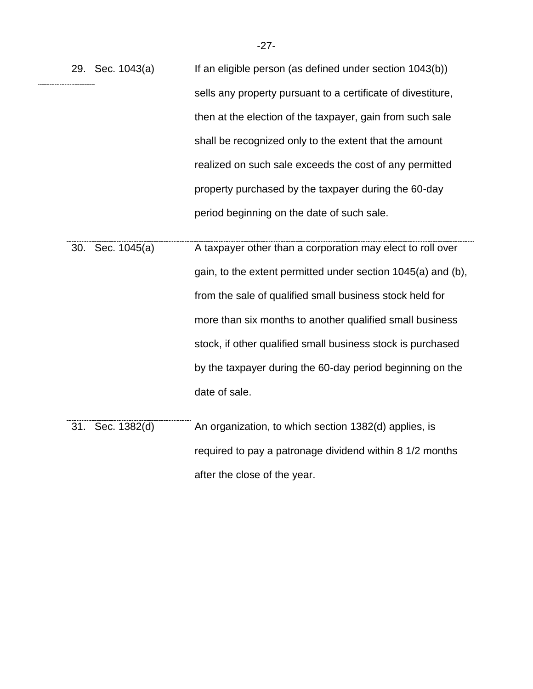| 29. Sec. 1043(a) | If an eligible person (as defined under section 1043(b))     |
|------------------|--------------------------------------------------------------|
|                  | sells any property pursuant to a certificate of divestiture, |
|                  | then at the election of the taxpayer, gain from such sale    |
|                  | shall be recognized only to the extent that the amount       |
|                  | realized on such sale exceeds the cost of any permitted      |
|                  | property purchased by the taxpayer during the 60-day         |
|                  | period beginning on the date of such sale.                   |

30. Sec. 1045(a) A taxpayer other than a corporation may elect to roll over gain, to the extent permitted under section 1045(a) and (b), from the sale of qualified small business stock held for more than six months to another qualified small business stock, if other qualified small business stock is purchased by the taxpayer during the 60-day period beginning on the date of sale.

31. Sec. 1382(d) An organization, to which section 1382(d) applies, is required to pay a patronage dividend within 8 1/2 months after the close of the year.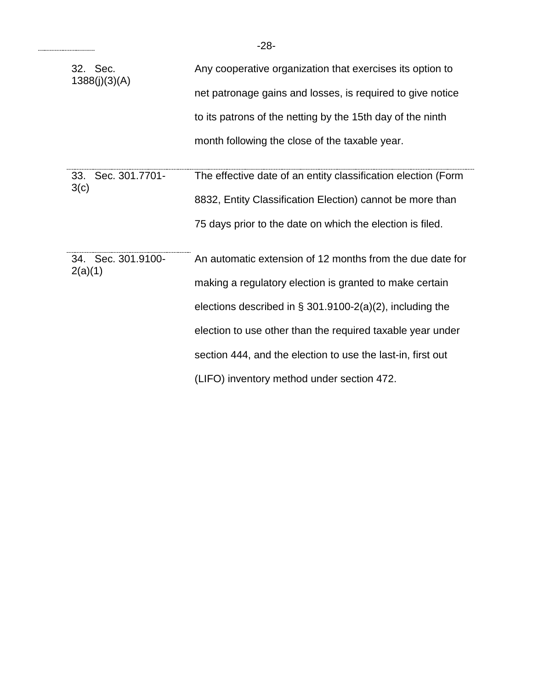| 32. Sec.<br>1388(j)(3)(A) | Any cooperative organization that exercises its option to     |
|---------------------------|---------------------------------------------------------------|
|                           | net patronage gains and losses, is required to give notice    |
|                           | to its patrons of the netting by the 15th day of the ninth    |
|                           | month following the close of the taxable year.                |
| 33. Sec. 301.7701-        | The effective date of an entity classification election (Form |
| 3(c)                      | 8832, Entity Classification Election) cannot be more than     |
|                           | 75 days prior to the date on which the election is filed.     |
| 34. Sec. 301.9100-        | An automatic extension of 12 months from the due date for     |
| 2(a)(1)                   | making a regulatory election is granted to make certain       |
|                           | elections described in $\S$ 301.9100-2(a)(2), including the   |
|                           | election to use other than the required taxable year under    |
|                           | section 444, and the election to use the last-in, first out   |
|                           | (LIFO) inventory method under section 472.                    |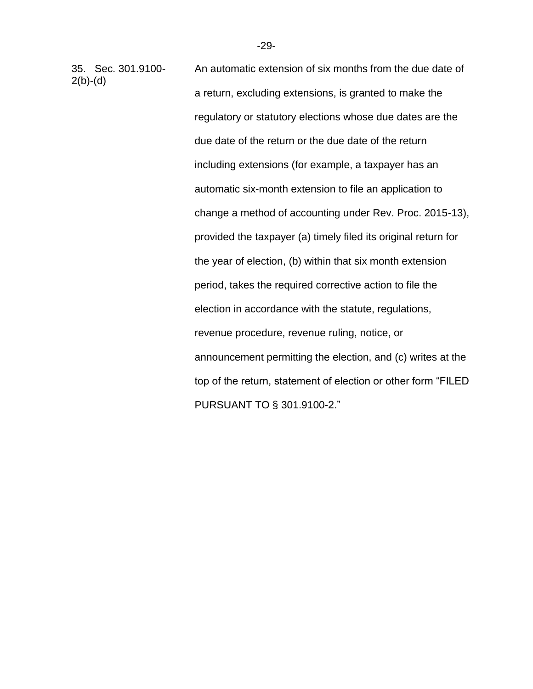35. Sec. 301.9100-  $2(b)-(d)$ An automatic extension of six months from the due date of a return, excluding extensions, is granted to make the regulatory or statutory elections whose due dates are the due date of the return or the due date of the return including extensions (for example, a taxpayer has an automatic six-month extension to file an application to change a method of accounting under Rev. Proc. 2015-13), provided the taxpayer (a) timely filed its original return for the year of election, (b) within that six month extension period, takes the required corrective action to file the election in accordance with the statute, regulations, revenue procedure, revenue ruling, notice, or announcement permitting the election, and (c) writes at the top of the return, statement of election or other form "FILED PURSUANT TO § 301.9100-2."

-29-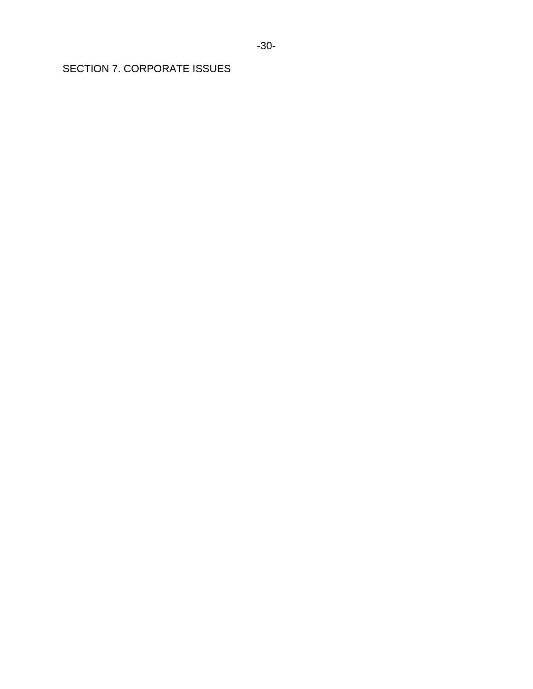SECTION 7. CORPORATE ISSUES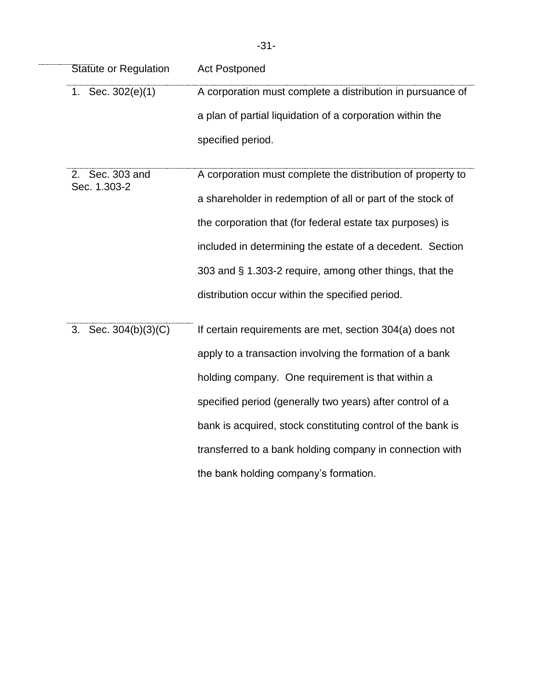|  | Statute or Regulation           | <b>Act Postponed</b>                                        |
|--|---------------------------------|-------------------------------------------------------------|
|  | 1. Sec. $302(e)(1)$             | A corporation must complete a distribution in pursuance of  |
|  |                                 | a plan of partial liquidation of a corporation within the   |
|  |                                 | specified period.                                           |
|  | 2. Sec. 303 and<br>Sec. 1.303-2 | A corporation must complete the distribution of property to |
|  |                                 | a shareholder in redemption of all or part of the stock of  |
|  |                                 | the corporation that (for federal estate tax purposes) is   |
|  |                                 | included in determining the estate of a decedent. Section   |
|  |                                 | 303 and § 1.303-2 require, among other things, that the     |
|  |                                 | distribution occur within the specified period.             |
|  | Sec. 304(b)(3)(C)<br>3.         | If certain requirements are met, section 304(a) does not    |
|  |                                 | apply to a transaction involving the formation of a bank    |
|  |                                 | holding company. One requirement is that within a           |
|  |                                 | specified period (generally two years) after control of a   |
|  |                                 | bank is acquired, stock constituting control of the bank is |
|  |                                 | transferred to a bank holding company in connection with    |
|  |                                 | the bank holding company's formation.                       |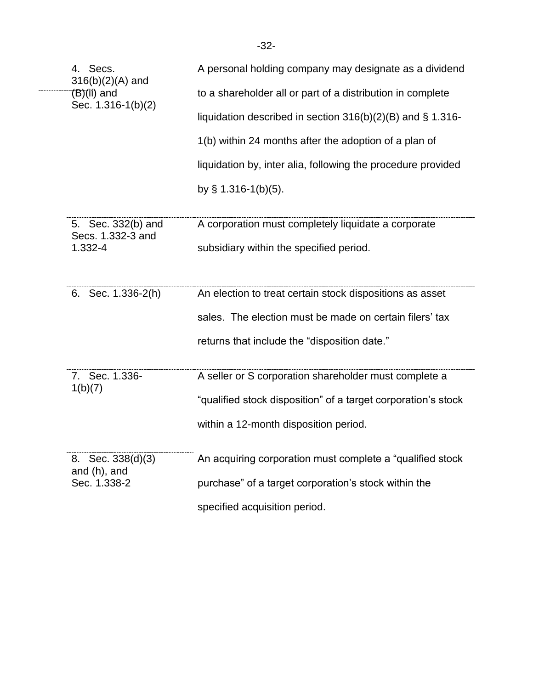|  | 4. Secs.<br>$316(b)(2)(A)$ and          | A personal holding company may designate as a dividend        |
|--|-----------------------------------------|---------------------------------------------------------------|
|  | (B)(ii) and<br>Sec. 1.316-1(b)(2)       | to a shareholder all or part of a distribution in complete    |
|  |                                         | liquidation described in section $316(b)(2)(B)$ and § 1.316-  |
|  |                                         | 1(b) within 24 months after the adoption of a plan of         |
|  |                                         | liquidation by, inter alia, following the procedure provided  |
|  |                                         | by $\S$ 1.316-1(b)(5).                                        |
|  | 5. Sec. 332(b) and<br>Secs. 1.332-3 and | A corporation must completely liquidate a corporate           |
|  | 1.332-4                                 | subsidiary within the specified period.                       |
|  |                                         |                                                               |
|  | 6. Sec. $1.336-2(h)$                    | An election to treat certain stock dispositions as asset      |
|  |                                         | sales. The election must be made on certain filers' tax       |
|  |                                         | returns that include the "disposition date."                  |
|  | 7. Sec. 1.336-                          | A seller or S corporation shareholder must complete a         |
|  | 1(b)(7)                                 | "qualified stock disposition" of a target corporation's stock |
|  |                                         | within a 12-month disposition period.                         |
|  | 8. Sec. $338(d)(3)$                     | An acquiring corporation must complete a "qualified stock     |
|  | and (h), and                            |                                                               |
|  | Sec. 1.338-2                            | purchase" of a target corporation's stock within the          |
|  |                                         | specified acquisition period.                                 |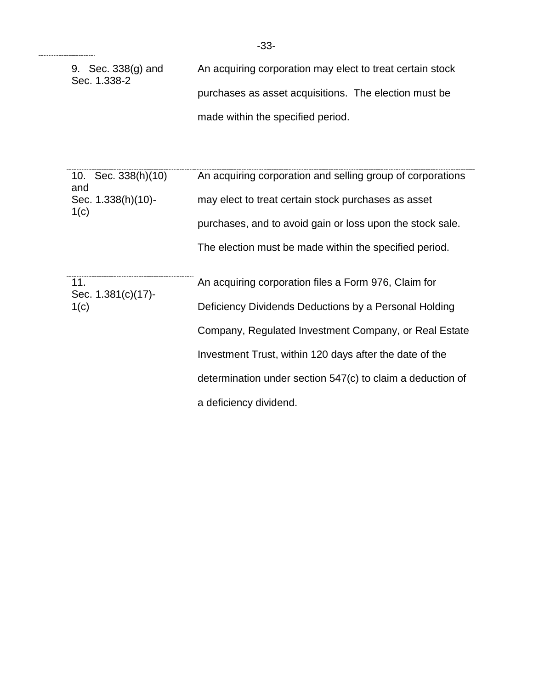9. Sec. 338(g) and Sec. 1.338-2 An acquiring corporation may elect to treat certain stock purchases as asset acquisitions. The election must be

made within the specified period.

| 10. Sec. 338(h)(10)<br>and        | An acquiring corporation and selling group of corporations |
|-----------------------------------|------------------------------------------------------------|
| Sec. 1.338(h)(10)-<br>1(c)        | may elect to treat certain stock purchases as asset        |
|                                   | purchases, and to avoid gain or loss upon the stock sale.  |
|                                   | The election must be made within the specified period.     |
| 11.<br>Sec. 1.381(c)(17)-<br>1(c) | An acquiring corporation files a Form 976, Claim for       |
|                                   | Deficiency Dividends Deductions by a Personal Holding      |
|                                   | Company, Regulated Investment Company, or Real Estate      |
|                                   | Investment Trust, within 120 days after the date of the    |
|                                   | determination under section 547(c) to claim a deduction of |
|                                   | a deficiency dividend.                                     |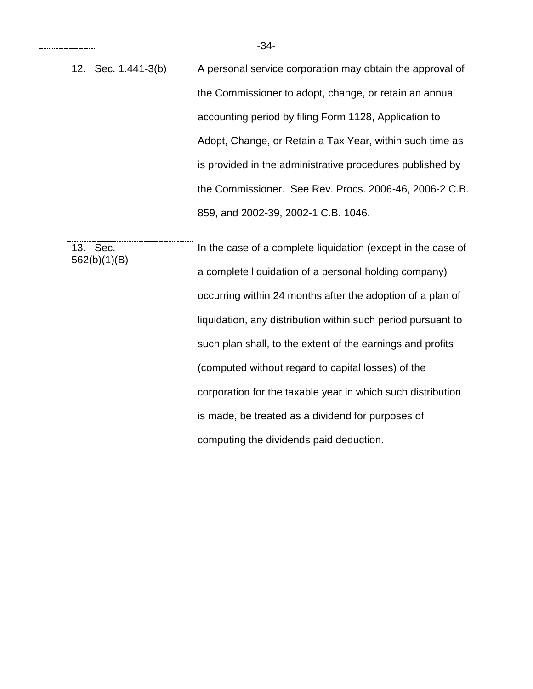12. Sec. 1.441-3(b) A personal service corporation may obtain the approval of the Commissioner to adopt, change, or retain an annual accounting period by filing Form 1128, Application to Adopt, Change, or Retain a Tax Year, within such time as is provided in the administrative procedures published by the Commissioner. See Rev. Procs. 2006-46, 2006-2 C.B. 859, and 2002-39, 2002-1 C.B. 1046.

13. Sec. 562(b)(1)(B) In the case of a complete liquidation (except in the case of a complete liquidation of a personal holding company) occurring within 24 months after the adoption of a plan of liquidation, any distribution within such period pursuant to such plan shall, to the extent of the earnings and profits (computed without regard to capital losses) of the corporation for the taxable year in which such distribution is made, be treated as a dividend for purposes of computing the dividends paid deduction.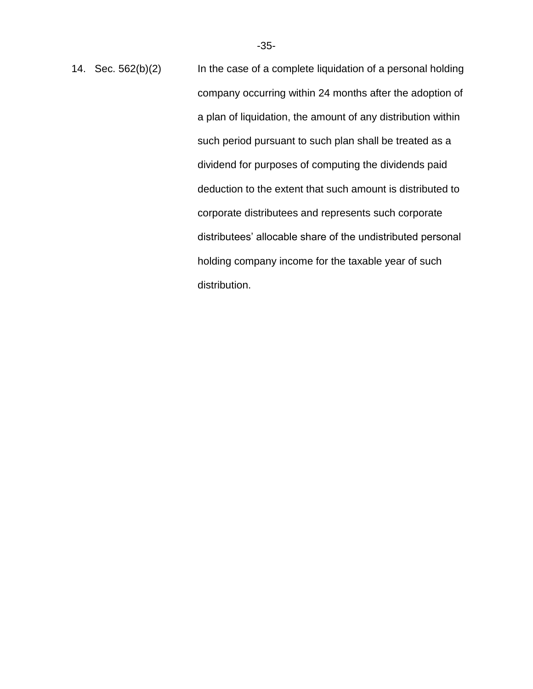14. Sec. 562(b)(2) In the case of a complete liquidation of a personal holding company occurring within 24 months after the adoption of a plan of liquidation, the amount of any distribution within such period pursuant to such plan shall be treated as a dividend for purposes of computing the dividends paid deduction to the extent that such amount is distributed to corporate distributees and represents such corporate distributees' allocable share of the undistributed personal holding company income for the taxable year of such distribution.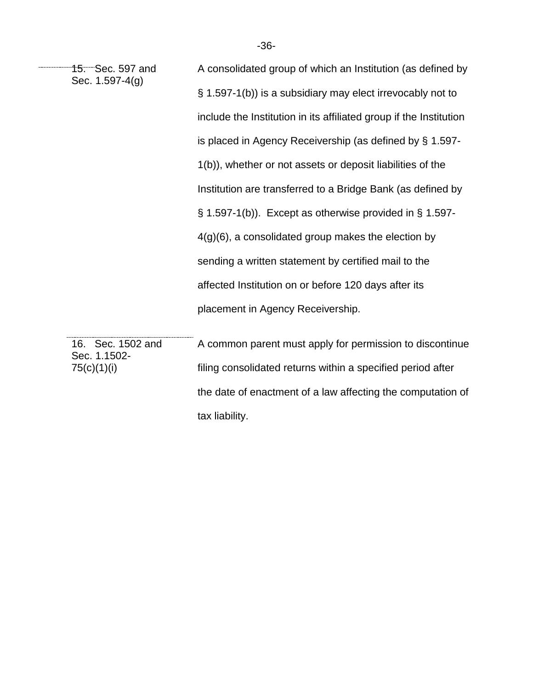15. Sec. 597 and Sec. 1.597-4(g)

A consolidated group of which an Institution (as defined by § 1.597-1(b)) is a subsidiary may elect irrevocably not to include the Institution in its affiliated group if the Institution is placed in Agency Receivership (as defined by § 1.597- 1(b)), whether or not assets or deposit liabilities of the Institution are transferred to a Bridge Bank (as defined by § 1.597-1(b)). Except as otherwise provided in § 1.597- 4(g)(6), a consolidated group makes the election by sending a written statement by certified mail to the affected Institution on or before 120 days after its placement in Agency Receivership.

16. Sec. 1502 and Sec. 1.1502- 75(c)(1)(i) A common parent must apply for permission to discontinue filing consolidated returns within a specified period after the date of enactment of a law affecting the computation of tax liability.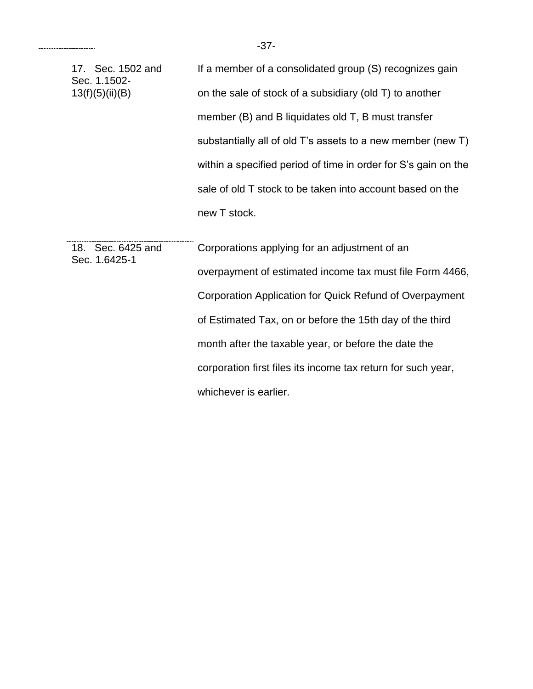| 17. Sec. 1502 and<br>Sec. 1.1502- | If a member of a consolidated group (S) recognizes gain        |
|-----------------------------------|----------------------------------------------------------------|
| 13(f)(5)(ii)(B)                   | on the sale of stock of a subsidiary (old T) to another        |
|                                   | member (B) and B liquidates old T, B must transfer             |
|                                   | substantially all of old T's assets to a new member (new T)    |
|                                   | within a specified period of time in order for S's gain on the |
|                                   | sale of old T stock to be taken into account based on the      |
|                                   | new T stock.                                                   |
|                                   |                                                                |
|                                   |                                                                |
| 18. Sec. 6425 and                 | Corporations applying for an adjustment of an                  |
| Sec. 1.6425-1                     | overpayment of estimated income tax must file Form 4466,       |
|                                   | Corporation Application for Quick Refund of Overpayment        |
|                                   | of Estimated Tax, on or before the 15th day of the third       |
|                                   | month after the taxable year, or before the date the           |
|                                   | corporation first files its income tax return for such year,   |

------------------------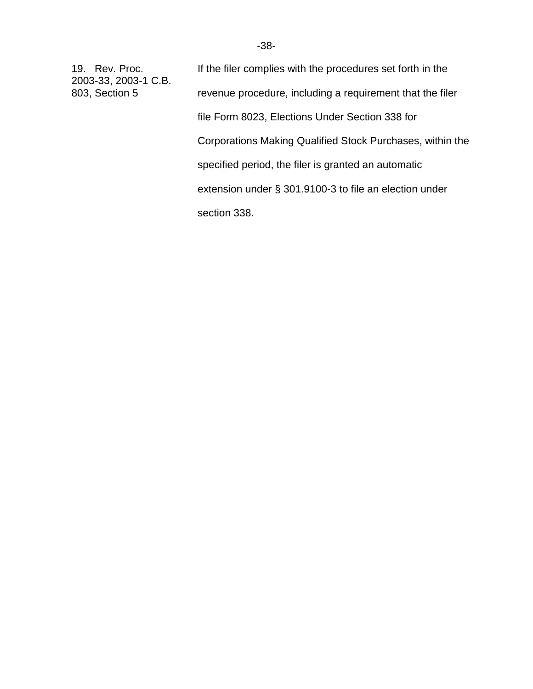19. Rev. Proc. 2003-33, 2003-1 C.B. 803, Section 5 If the filer complies with the procedures set forth in the revenue procedure, including a requirement that the filer file Form 8023, Elections Under Section 338 for Corporations Making Qualified Stock Purchases, within the specified period, the filer is granted an automatic extension under § 301.9100-3 to file an election under section 338.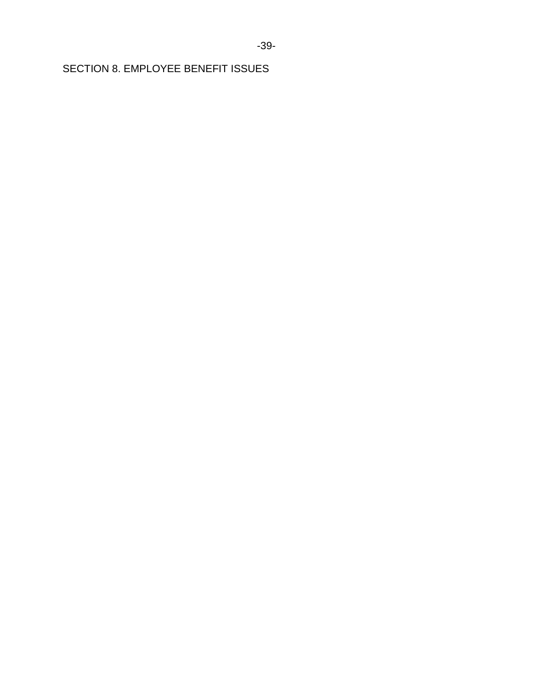SECTION 8. EMPLOYEE BENEFIT ISSUES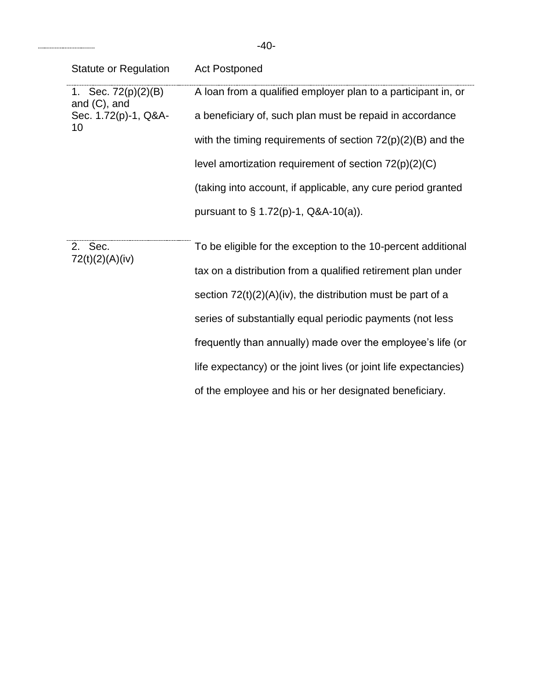|  | <b>Statute or Regulation</b>                                           | <b>Act Postponed</b>                                             |
|--|------------------------------------------------------------------------|------------------------------------------------------------------|
|  | 1. Sec. $72(p)(2)(B)$<br>and $(C)$ , and<br>Sec. 1.72(p)-1, Q&A-<br>10 | A loan from a qualified employer plan to a participant in, or    |
|  |                                                                        | a beneficiary of, such plan must be repaid in accordance         |
|  |                                                                        | with the timing requirements of section $72(p)(2)(B)$ and the    |
|  |                                                                        | level amortization requirement of section $72(p)(2)(C)$          |
|  |                                                                        | (taking into account, if applicable, any cure period granted     |
|  |                                                                        | pursuant to $\S 1.72(p)-1$ , Q&A-10(a)).                         |
|  | 2. Sec.                                                                | To be eligible for the exception to the 10-percent additional    |
|  | 72(t)(2)(A)(iv)                                                        | tax on a distribution from a qualified retirement plan under     |
|  |                                                                        | section $72(t)(2)(A)(iv)$ , the distribution must be part of a   |
|  |                                                                        | series of substantially equal periodic payments (not less        |
|  |                                                                        | frequently than annually) made over the employee's life (or      |
|  |                                                                        | life expectancy) or the joint lives (or joint life expectancies) |
|  |                                                                        | of the employee and his or her designated beneficiary.           |

. . . . . . . . . . . . . . . . . . . . . .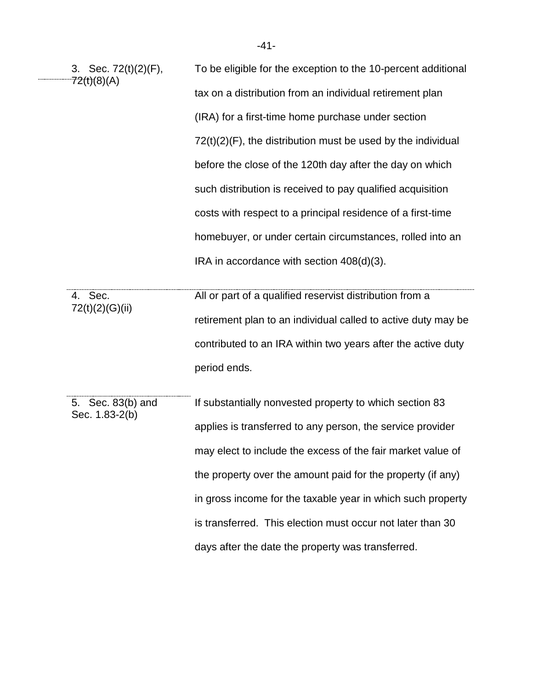3. Sec. 72(t)(2)(F), 72(t)(8)(A) To be eligible for the exception to the 10-percent additional tax on a distribution from an individual retirement plan (IRA) for a first-time home purchase under section 72(t)(2)(F), the distribution must be used by the individual before the close of the 120th day after the day on which such distribution is received to pay qualified acquisition costs with respect to a principal residence of a first-time homebuyer, or under certain circumstances, rolled into an IRA in accordance with section 408(d)(3).

4. Sec. 72(t)(2)(G)(ii) All or part of a qualified reservist distribution from a retirement plan to an individual called to active duty may be contributed to an IRA within two years after the active duty period ends.

5. Sec. 83(b) and Sec. 1.83-2(b) If substantially nonvested property to which section 83 applies is transferred to any person, the service provider may elect to include the excess of the fair market value of the property over the amount paid for the property (if any) in gross income for the taxable year in which such property is transferred. This election must occur not later than 30 days after the date the property was transferred.

-41-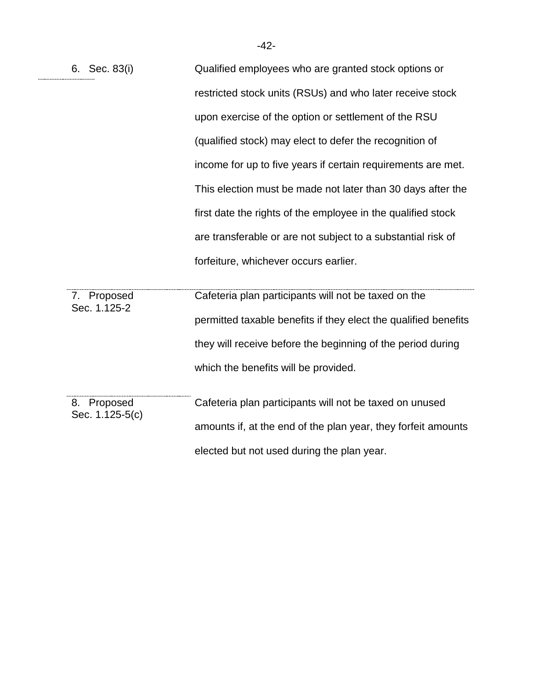6. Sec. 83(i) Qualified employees who are granted stock options or restricted stock units (RSUs) and who later receive stock upon exercise of the option or settlement of the RSU (qualified stock) may elect to defer the recognition of income for up to five years if certain requirements are met. This election must be made not later than 30 days after the first date the rights of the employee in the qualified stock are transferable or are not subject to a substantial risk of forfeiture, whichever occurs earlier.

7. Proposed Sec. 1.125-2 Cafeteria plan participants will not be taxed on the permitted taxable benefits if they elect the qualified benefits they will receive before the beginning of the period during which the benefits will be provided.

8. Proposed Sec. 1.125-5(c) Cafeteria plan participants will not be taxed on unused amounts if, at the end of the plan year, they forfeit amounts elected but not used during the plan year.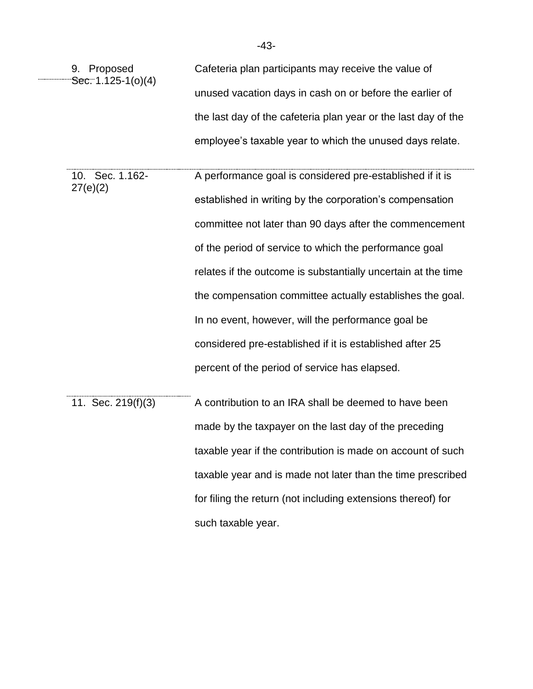|  | Proposed<br>9.<br>$\sqrt{5}$ ec. 1.125-1(o)(4) | Cafeteria plan participants may receive the value of           |
|--|------------------------------------------------|----------------------------------------------------------------|
|  |                                                | unused vacation days in cash on or before the earlier of       |
|  |                                                | the last day of the cafeteria plan year or the last day of the |
|  |                                                | employee's taxable year to which the unused days relate.       |
|  | 10. Sec. 1.162-<br>27(e)(2)                    | A performance goal is considered pre-established if it is      |
|  |                                                | established in writing by the corporation's compensation       |
|  |                                                | committee not later than 90 days after the commencement        |
|  |                                                | of the period of service to which the performance goal         |

relates if the outcome is substantially uncertain at the time the compensation committee actually establishes the goal. In no event, however, will the performance goal be considered pre-established if it is established after 25 percent of the period of service has elapsed.

11. Sec.  $219(f)(3)$  A contribution to an IRA shall be deemed to have been made by the taxpayer on the last day of the preceding taxable year if the contribution is made on account of such taxable year and is made not later than the time prescribed for filing the return (not including extensions thereof) for such taxable year.

-43-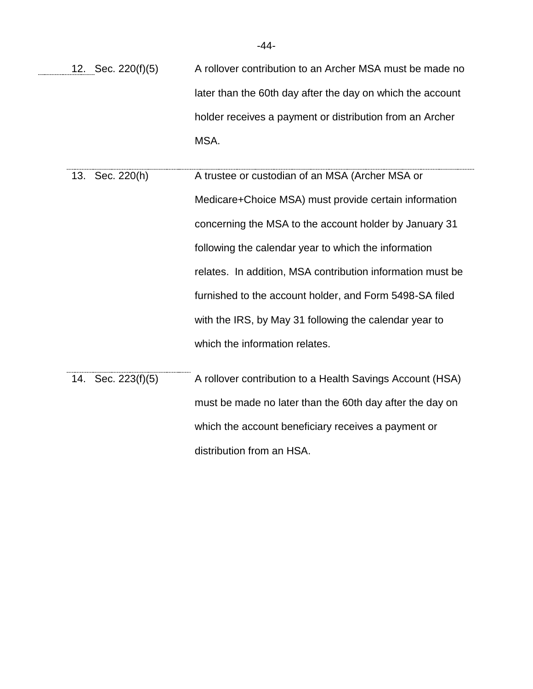12. Sec. 220(f)(5) A rollover contribution to an Archer MSA must be made no later than the 60th day after the day on which the account holder receives a payment or distribution from an Archer MSA.

- 13. Sec. 220(h) A trustee or custodian of an MSA (Archer MSA or Medicare+Choice MSA) must provide certain information concerning the MSA to the account holder by January 31 following the calendar year to which the information relates. In addition, MSA contribution information must be furnished to the account holder, and Form 5498-SA filed with the IRS, by May 31 following the calendar year to which the information relates.
- 14. Sec. 223(f)(5) A rollover contribution to a Health Savings Account (HSA) must be made no later than the 60th day after the day on which the account beneficiary receives a payment or distribution from an HSA.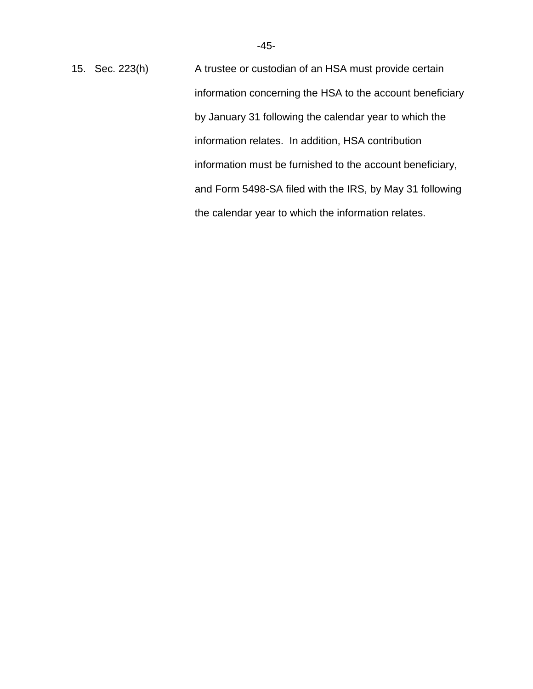15. Sec. 223(h) A trustee or custodian of an HSA must provide certain information concerning the HSA to the account beneficiary by January 31 following the calendar year to which the information relates. In addition, HSA contribution information must be furnished to the account beneficiary, and Form 5498-SA filed with the IRS, by May 31 following the calendar year to which the information relates.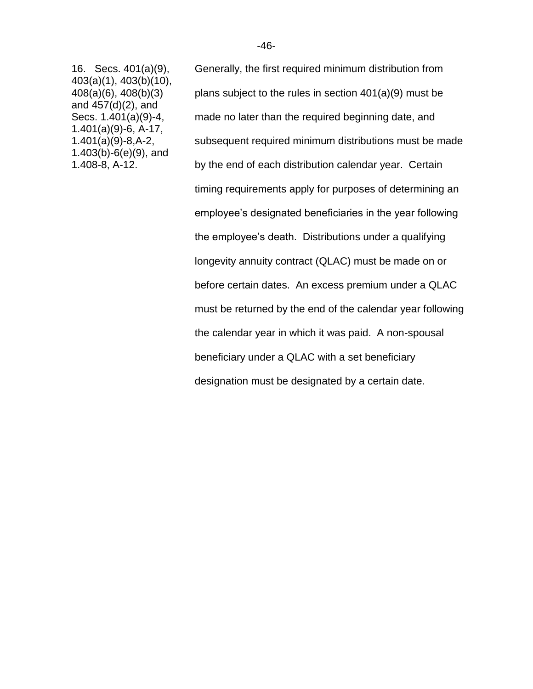16. Secs. 401(a)(9), 403(a)(1), 403(b)(10), 408(a)(6), 408(b)(3) and 457(d)(2), and Secs. 1.401(a)(9)-4, 1.401(a)(9)-6, A-17, 1.401(a)(9)-8,A-2, 1.403(b)-6(e)(9), and 1.408-8, A-12.

Generally, the first required minimum distribution from plans subject to the rules in section 401(a)(9) must be made no later than the required beginning date, and subsequent required minimum distributions must be made by the end of each distribution calendar year. Certain timing requirements apply for purposes of determining an employee's designated beneficiaries in the year following the employee's death. Distributions under a qualifying longevity annuity contract (QLAC) must be made on or before certain dates. An excess premium under a QLAC must be returned by the end of the calendar year following the calendar year in which it was paid. A non-spousal beneficiary under a QLAC with a set beneficiary designation must be designated by a certain date.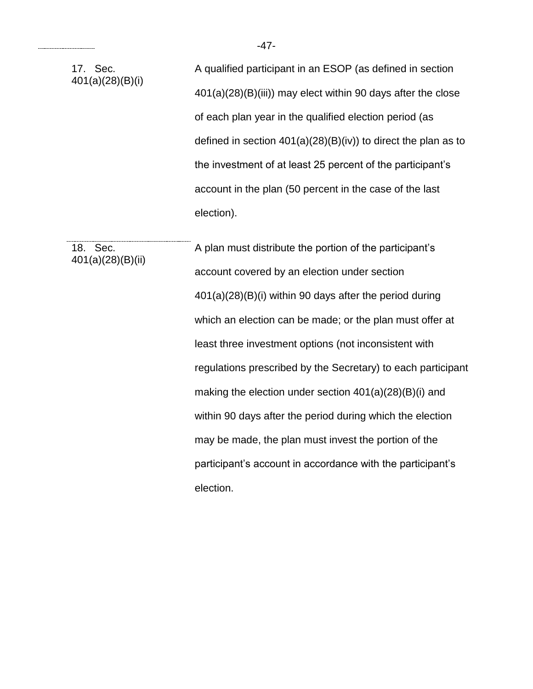A qualified participant in an ESOP (as defined in section 401(a)(28)(B)(iii)) may elect within 90 days after the close of each plan year in the qualified election period (as defined in section  $401(a)(28)(B)(iv)$  to direct the plan as to the investment of at least 25 percent of the participant's account in the plan (50 percent in the case of the last election).

18. Sec. 401(a)(28)(B)(ii) A plan must distribute the portion of the participant's account covered by an election under section 401(a)(28)(B)(i) within 90 days after the period during which an election can be made; or the plan must offer at least three investment options (not inconsistent with regulations prescribed by the Secretary) to each participant making the election under section  $401(a)(28)(B)(i)$  and within 90 days after the period during which the election may be made, the plan must invest the portion of the participant's account in accordance with the participant's election.

17. Sec.

401(a)(28)(B)(i)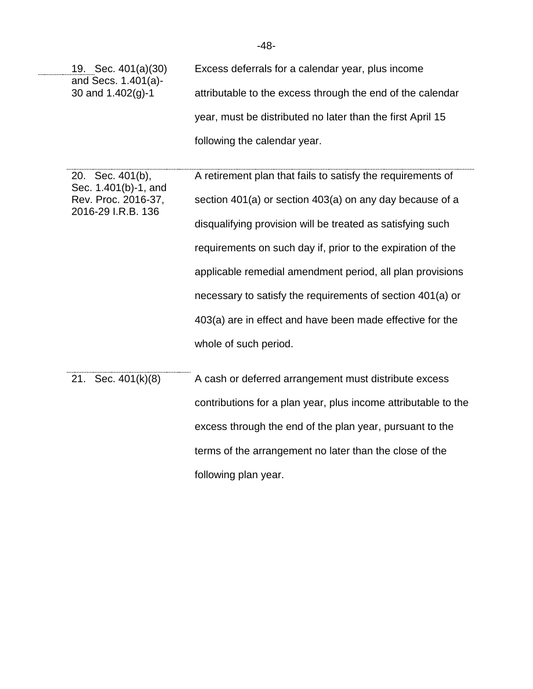19. Sec. 401(a)(30) and Secs.  $1.401(a)$ -30 and 1.402(g)-1 Excess deferrals for a calendar year, plus income attributable to the excess through the end of the calendar year, must be distributed no later than the first April 15 following the calendar year.

| 20. Sec. 401(b),<br>Sec. 1.401(b)-1, and  | A retirement plan that fails to satisfy the requirements of  |
|-------------------------------------------|--------------------------------------------------------------|
| Rev. Proc. 2016-37,<br>2016-29 I.R.B. 136 | section 401(a) or section 403(a) on any day because of a     |
|                                           | disqualifying provision will be treated as satisfying such   |
|                                           | requirements on such day if, prior to the expiration of the  |
|                                           | applicable remedial amendment period, all plan provisions    |
|                                           | necessary to satisfy the requirements of section 401(a) or   |
|                                           | 403(a) are in effect and have been made effective for the    |
|                                           | whole of such period.                                        |
| 21<br>$S_{\alpha}$ $(0.1/k)(R)$           | <u>A cash or dafarrad arrangament must distribute excess</u> |

21. Sec. 401(k)(8) A cash or deferred arrangement must distribute excess contributions for a plan year, plus income attributable to the excess through the end of the plan year, pursuant to the terms of the arrangement no later than the close of the following plan year.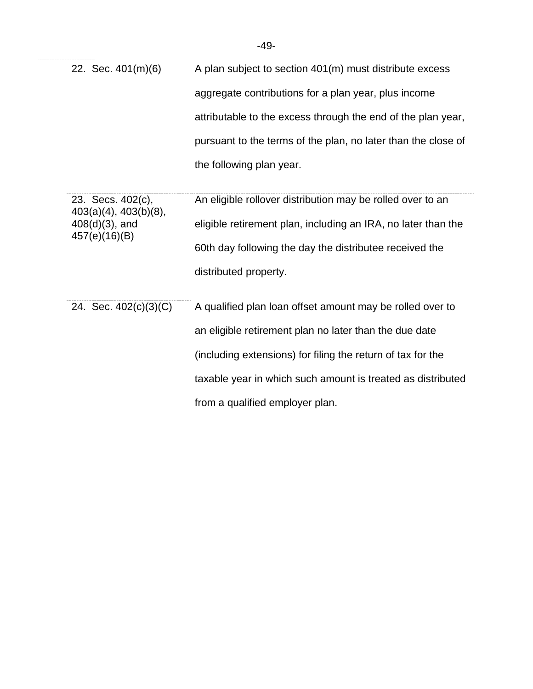-49-

22. Sec. 401(m)(6) A plan subject to section 401(m) must distribute excess aggregate contributions for a plan year, plus income attributable to the excess through the end of the plan year, pursuant to the terms of the plan, no later than the close of the following plan year.

| 23. Secs. 402(c),           | An eligible rollover distribution may be rolled over to an    |
|-----------------------------|---------------------------------------------------------------|
| $403(a)(4)$ , $403(b)(8)$ , |                                                               |
| $408(d)(3)$ , and           | eligible retirement plan, including an IRA, no later than the |
| 457(e)(16)(B)               |                                                               |
|                             | 60th day following the day the distributee received the       |
|                             |                                                               |
|                             | distributed property.                                         |

24. Sec.  $402(c)(3)(C)$  A qualified plan loan offset amount may be rolled over to an eligible retirement plan no later than the due date (including extensions) for filing the return of tax for the taxable year in which such amount is treated as distributed from a qualified employer plan.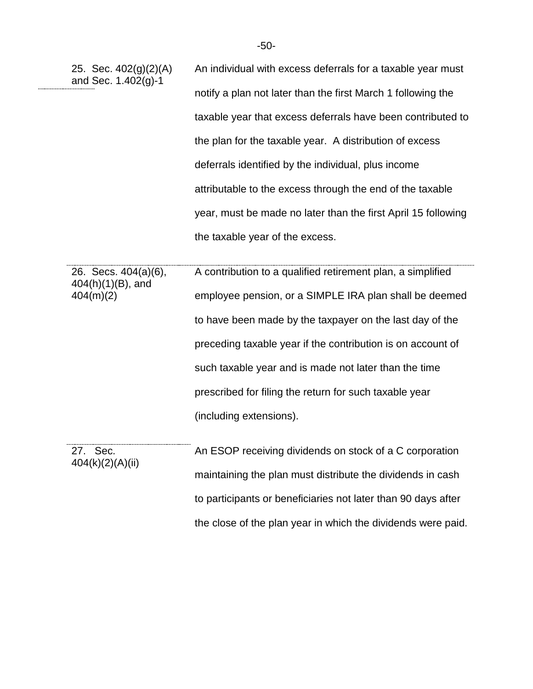25. Sec. 402(g)(2)(A) and Sec. 1.402(g)-1 An individual with excess deferrals for a taxable year must notify a plan not later than the first March 1 following the taxable year that excess deferrals have been contributed to the plan for the taxable year. A distribution of excess deferrals identified by the individual, plus income attributable to the excess through the end of the taxable year, must be made no later than the first April 15 following the taxable year of the excess. 26. Secs. 404(a)(6), 404(h)(1)(B), and 404(m)(2) A contribution to a qualified retirement plan, a simplified employee pension, or a SIMPLE IRA plan shall be deemed

to have been made by the taxpayer on the last day of the

preceding taxable year if the contribution is on account of

such taxable year and is made not later than the time

prescribed for filing the return for such taxable year

27. Sec. 404(k)(2)(A)(ii) An ESOP receiving dividends on stock of a C corporation maintaining the plan must distribute the dividends in cash to participants or beneficiaries not later than 90 days after the close of the plan year in which the dividends were paid.

(including extensions).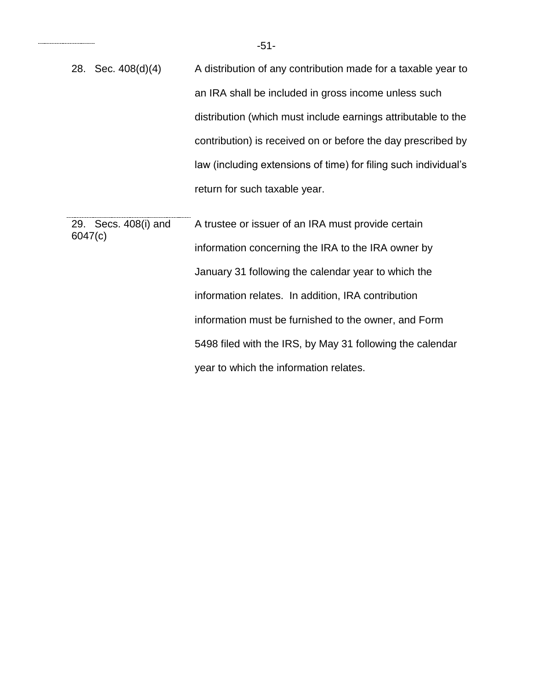28. Sec.  $408(d)(4)$  A distribution of any contribution made for a taxable year to an IRA shall be included in gross income unless such distribution (which must include earnings attributable to the contribution) is received on or before the day prescribed by law (including extensions of time) for filing such individual's return for such taxable year.

29. Secs. 408(i) and 6047(c) A trustee or issuer of an IRA must provide certain information concerning the IRA to the IRA owner by January 31 following the calendar year to which the information relates. In addition, IRA contribution information must be furnished to the owner, and Form 5498 filed with the IRS, by May 31 following the calendar year to which the information relates.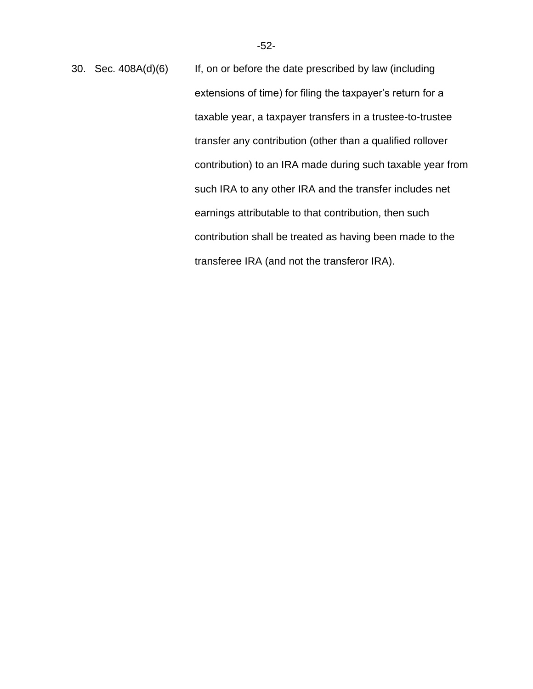30. Sec. 408A(d)(6) If, on or before the date prescribed by law (including extensions of time) for filing the taxpayer's return for a taxable year, a taxpayer transfers in a trustee-to-trustee transfer any contribution (other than a qualified rollover contribution) to an IRA made during such taxable year from such IRA to any other IRA and the transfer includes net earnings attributable to that contribution, then such contribution shall be treated as having been made to the transferee IRA (and not the transferor IRA).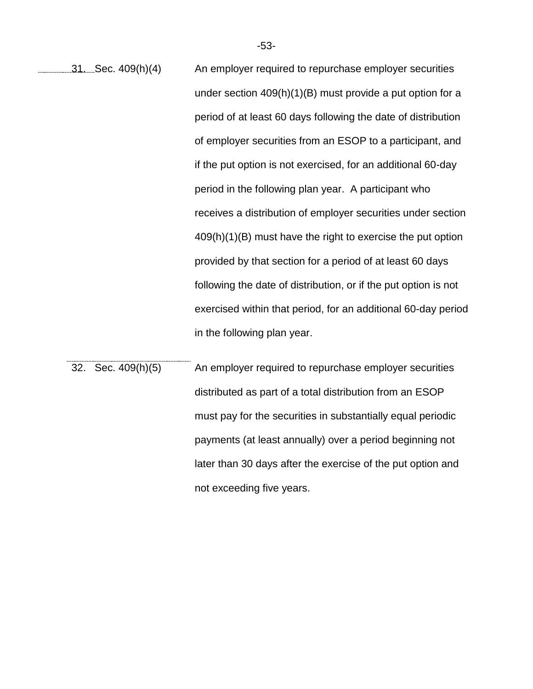31. Sec. 409(h)(4) An employer required to repurchase employer securities under section 409(h)(1)(B) must provide a put option for a period of at least 60 days following the date of distribution of employer securities from an ESOP to a participant, and if the put option is not exercised, for an additional 60-day period in the following plan year. A participant who receives a distribution of employer securities under section 409(h)(1)(B) must have the right to exercise the put option provided by that section for a period of at least 60 days following the date of distribution, or if the put option is not exercised within that period, for an additional 60-day period in the following plan year.

32. Sec. 409(h)(5) An employer required to repurchase employer securities distributed as part of a total distribution from an ESOP must pay for the securities in substantially equal periodic payments (at least annually) over a period beginning not later than 30 days after the exercise of the put option and not exceeding five years.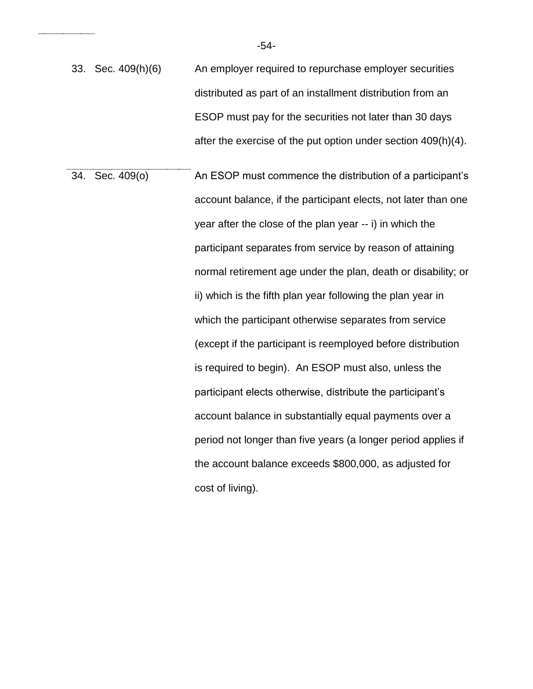33. Sec. 409(h)(6) An employer required to repurchase employer securities distributed as part of an installment distribution from an ESOP must pay for the securities not later than 30 days after the exercise of the put option under section 409(h)(4).

34. Sec. 409(o) An ESOP must commence the distribution of a participant's account balance, if the participant elects, not later than one year after the close of the plan year -- i) in which the participant separates from service by reason of attaining normal retirement age under the plan, death or disability; or ii) which is the fifth plan year following the plan year in which the participant otherwise separates from service (except if the participant is reemployed before distribution is required to begin). An ESOP must also, unless the participant elects otherwise, distribute the participant's account balance in substantially equal payments over a period not longer than five years (a longer period applies if the account balance exceeds \$800,000, as adjusted for cost of living).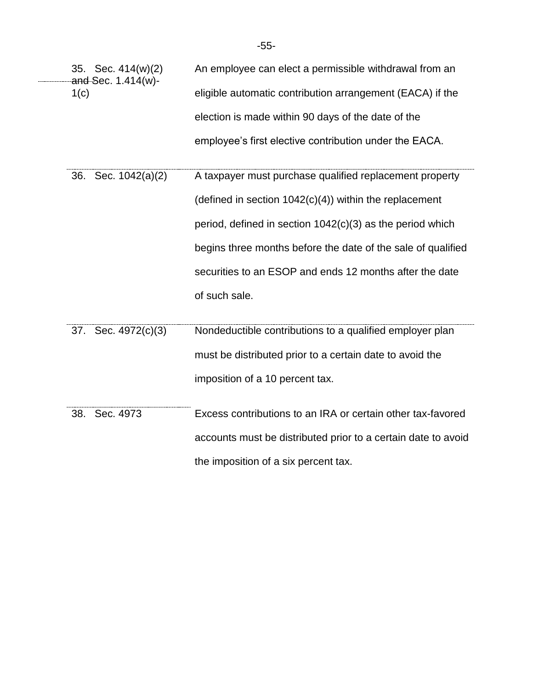| 35. Sec. $414(w)(2)$<br>and Sec. $1.414(w)$ -<br>1(c) | An employee can elect a permissible withdrawal from an    |
|-------------------------------------------------------|-----------------------------------------------------------|
|                                                       | eligible automatic contribution arrangement (EACA) if the |
|                                                       | election is made within 90 days of the date of the        |
|                                                       | employee's first elective contribution under the EACA.    |

36. Sec. 1042(a)(2) A taxpayer must purchase qualified replacement property (defined in section  $1042(c)(4)$ ) within the replacement period, defined in section 1042(c)(3) as the period which begins three months before the date of the sale of qualified securities to an ESOP and ends 12 months after the date of such sale.

- 37. Sec. 4972(c)(3) Nondeductible contributions to a qualified employer plan must be distributed prior to a certain date to avoid the imposition of a 10 percent tax.
- 38. Sec. 4973 Excess contributions to an IRA or certain other tax-favored accounts must be distributed prior to a certain date to avoid the imposition of a six percent tax.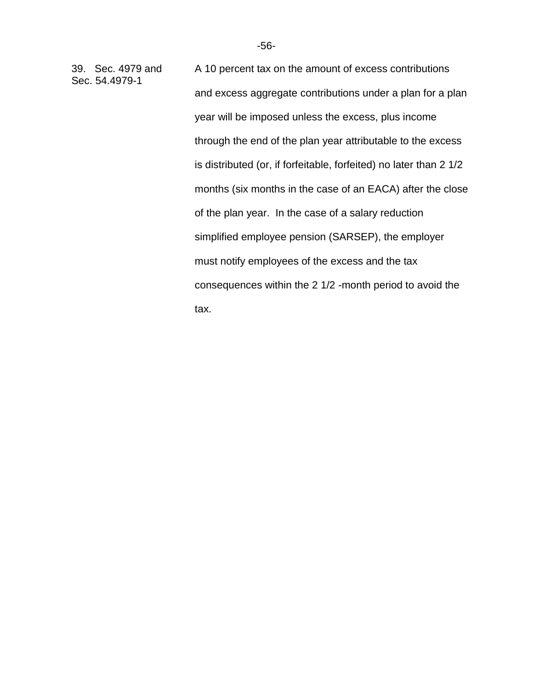39. Sec. 4979 and Sec. 54.4979-1

A 10 percent tax on the amount of excess contributions and excess aggregate contributions under a plan for a plan year will be imposed unless the excess, plus income through the end of the plan year attributable to the excess is distributed (or, if forfeitable, forfeited) no later than 2 1/2 months (six months in the case of an EACA) after the close of the plan year. In the case of a salary reduction simplified employee pension (SARSEP), the employer must notify employees of the excess and the tax consequences within the 2 1/2 -month period to avoid the tax.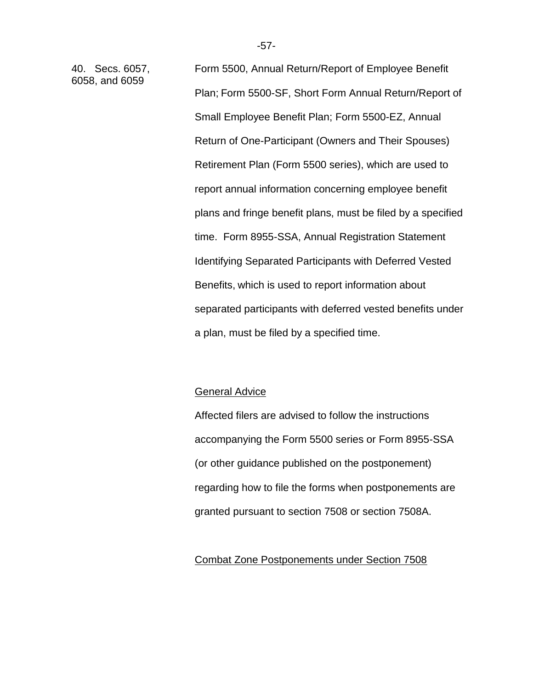40. Secs. 6057, 6058, and 6059

Form 5500, Annual Return/Report of Employee Benefit Plan; Form 5500-SF, Short Form Annual Return/Report of Small Employee Benefit Plan; Form 5500-EZ, Annual Return of One-Participant (Owners and Their Spouses) Retirement Plan (Form 5500 series), which are used to report annual information concerning employee benefit plans and fringe benefit plans, must be filed by a specified time. Form 8955-SSA, Annual Registration Statement Identifying Separated Participants with Deferred Vested Benefits, which is used to report information about separated participants with deferred vested benefits under a plan, must be filed by a specified time.

## General Advice

Affected filers are advised to follow the instructions accompanying the Form 5500 series or Form 8955-SSA (or other guidance published on the postponement) regarding how to file the forms when postponements are granted pursuant to section 7508 or section 7508A.

## Combat Zone Postponements under Section 7508

-57-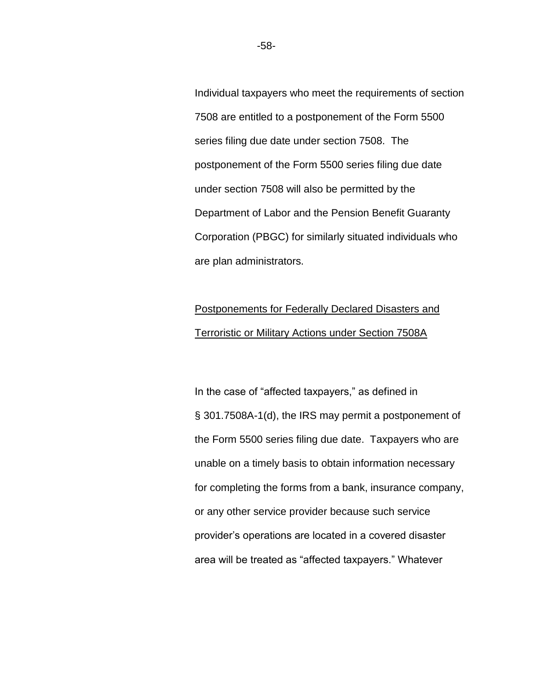Individual taxpayers who meet the requirements of section 7508 are entitled to a postponement of the Form 5500 series filing due date under section 7508. The postponement of the Form 5500 series filing due date under section 7508 will also be permitted by the Department of Labor and the Pension Benefit Guaranty Corporation (PBGC) for similarly situated individuals who are plan administrators.

## Postponements for Federally Declared Disasters and Terroristic or Military Actions under Section 7508A

In the case of "affected taxpayers," as defined in § 301.7508A-1(d), the IRS may permit a postponement of the Form 5500 series filing due date. Taxpayers who are unable on a timely basis to obtain information necessary for completing the forms from a bank, insurance company, or any other service provider because such service provider's operations are located in a covered disaster area will be treated as "affected taxpayers." Whatever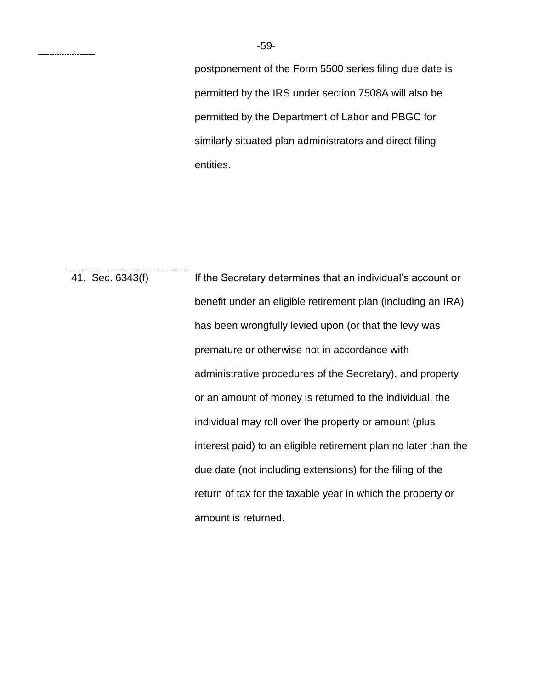postponement of the Form 5500 series filing due date is permitted by the IRS under section 7508A will also be permitted by the Department of Labor and PBGC for similarly situated plan administrators and direct filing entities.

41. Sec. 6343(f) If the Secretary determines that an individual's account or benefit under an eligible retirement plan (including an IRA) has been wrongfully levied upon (or that the levy was premature or otherwise not in accordance with administrative procedures of the Secretary), and property or an amount of money is returned to the individual, the individual may roll over the property or amount (plus interest paid) to an eligible retirement plan no later than the due date (not including extensions) for the filing of the return of tax for the taxable year in which the property or amount is returned.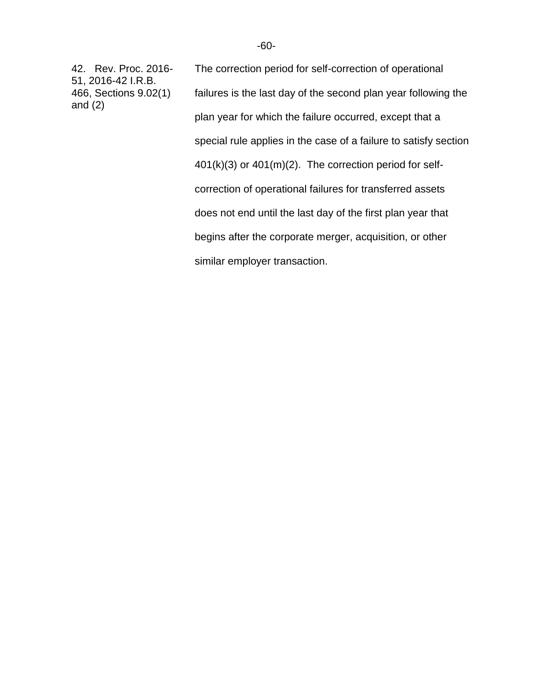42. Rev. Proc. 2016- 51, 2016-42 I.R.B. 466, Sections 9.02(1) and (2)

The correction period for self-correction of operational failures is the last day of the second plan year following the plan year for which the failure occurred, except that a special rule applies in the case of a failure to satisfy section 401(k)(3) or 401(m)(2). The correction period for selfcorrection of operational failures for transferred assets does not end until the last day of the first plan year that begins after the corporate merger, acquisition, or other similar employer transaction.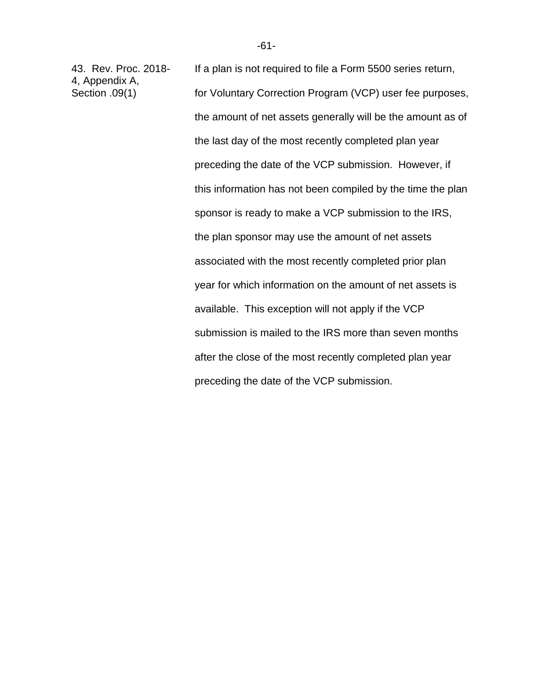43. Rev. Proc. 2018- 4, Appendix A, Section .09(1)

If a plan is not required to file a Form 5500 series return, for Voluntary Correction Program (VCP) user fee purposes, the amount of net assets generally will be the amount as of the last day of the most recently completed plan year preceding the date of the VCP submission. However, if this information has not been compiled by the time the plan sponsor is ready to make a VCP submission to the IRS, the plan sponsor may use the amount of net assets associated with the most recently completed prior plan year for which information on the amount of net assets is available. This exception will not apply if the VCP submission is mailed to the IRS more than seven months after the close of the most recently completed plan year preceding the date of the VCP submission.

-61-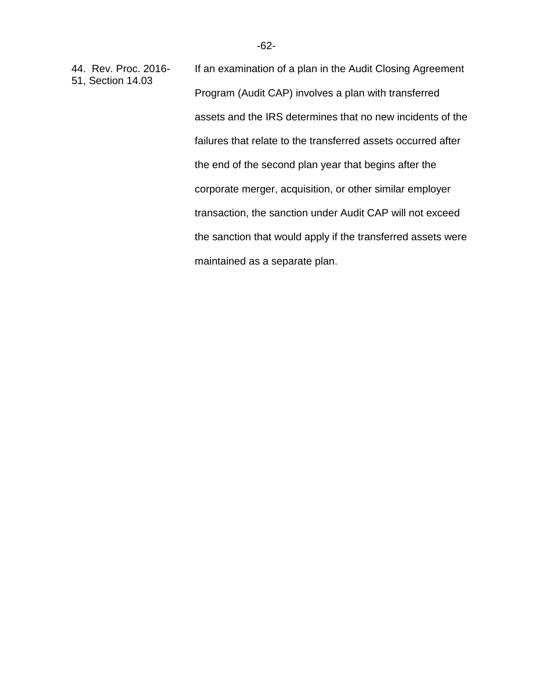44. Rev. Proc. 2016- 51, Section 14.03

If an examination of a plan in the Audit Closing Agreement Program (Audit CAP) involves a plan with transferred assets and the IRS determines that no new incidents of the failures that relate to the transferred assets occurred after the end of the second plan year that begins after the corporate merger, acquisition, or other similar employer transaction, the sanction under Audit CAP will not exceed the sanction that would apply if the transferred assets were maintained as a separate plan.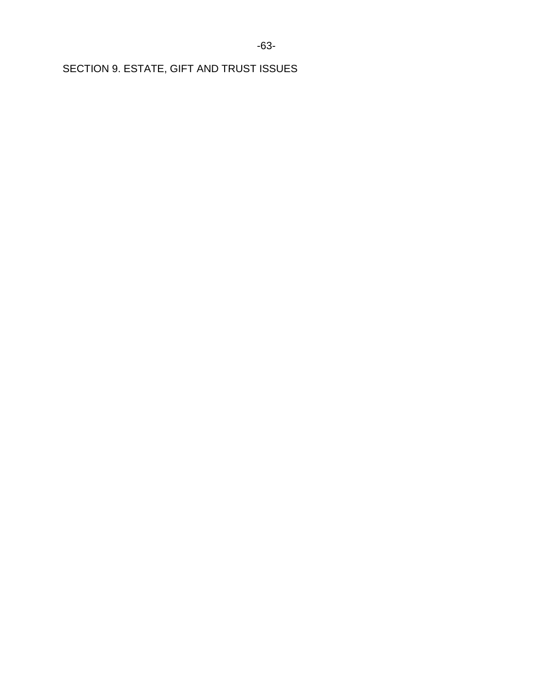-63-

SECTION 9. ESTATE, GIFT AND TRUST ISSUES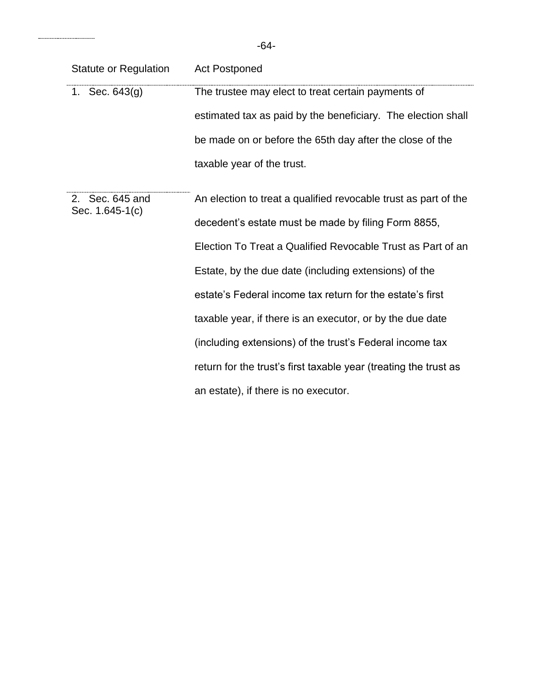| <b>Statute or Regulation</b> | <b>Act Postponed</b>                                             |
|------------------------------|------------------------------------------------------------------|
| 1. Sec. $643(g)$             | The trustee may elect to treat certain payments of               |
|                              | estimated tax as paid by the beneficiary. The election shall     |
|                              | be made on or before the 65th day after the close of the         |
|                              | taxable year of the trust.                                       |
| 2. Sec. 645 and              | An election to treat a qualified revocable trust as part of the  |
| Sec. $1.645-1(c)$            | decedent's estate must be made by filing Form 8855,              |
|                              | Election To Treat a Qualified Revocable Trust as Part of an      |
|                              | Estate, by the due date (including extensions) of the            |
|                              | estate's Federal income tax return for the estate's first        |
|                              | taxable year, if there is an executor, or by the due date        |
|                              | (including extensions) of the trust's Federal income tax         |
|                              | return for the trust's first taxable year (treating the trust as |

an estate), if there is no executor.

-64-

---------------------------------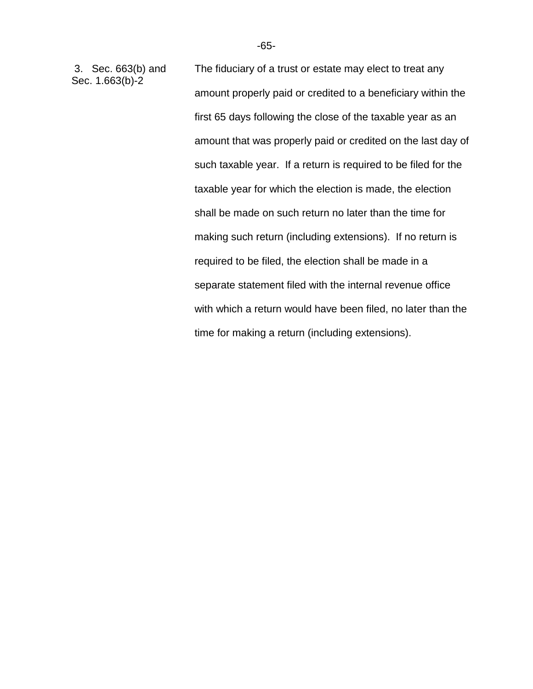3. Sec. 663(b) and Sec. 1.663(b)-2

The fiduciary of a trust or estate may elect to treat any amount properly paid or credited to a beneficiary within the first 65 days following the close of the taxable year as an amount that was properly paid or credited on the last day of such taxable year. If a return is required to be filed for the taxable year for which the election is made, the election shall be made on such return no later than the time for making such return (including extensions). If no return is required to be filed, the election shall be made in a separate statement filed with the internal revenue office with which a return would have been filed, no later than the time for making a return (including extensions).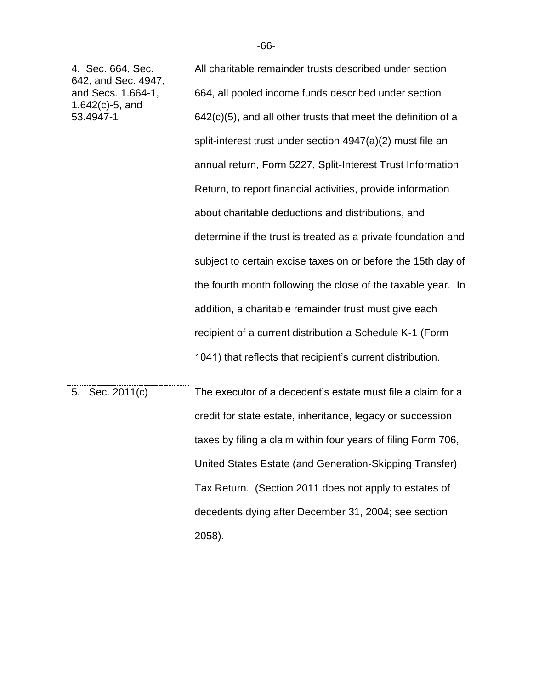4. Sec. 664, Sec. 642, and Sec. 4947, and Secs. 1.664-1, 1.642(c)-5, and 53.4947-1

All charitable remainder trusts described under section 664, all pooled income funds described under section 642(c)(5), and all other trusts that meet the definition of a split-interest trust under section 4947(a)(2) must file an annual return, Form 5227, Split-Interest Trust Information Return, to report financial activities, provide information about charitable deductions and distributions, and determine if the trust is treated as a private foundation and subject to certain excise taxes on or before the 15th day of the fourth month following the close of the taxable year. In addition, a charitable remainder trust must give each recipient of a current distribution a Schedule K-1 (Form 1041) that reflects that recipient's current distribution.

5. Sec. 2011(c) The executor of a decedent's estate must file a claim for a credit for state estate, inheritance, legacy or succession taxes by filing a claim within four years of filing Form 706, United States Estate (and Generation-Skipping Transfer) Tax Return. (Section 2011 does not apply to estates of decedents dying after December 31, 2004; see section 2058).

-66-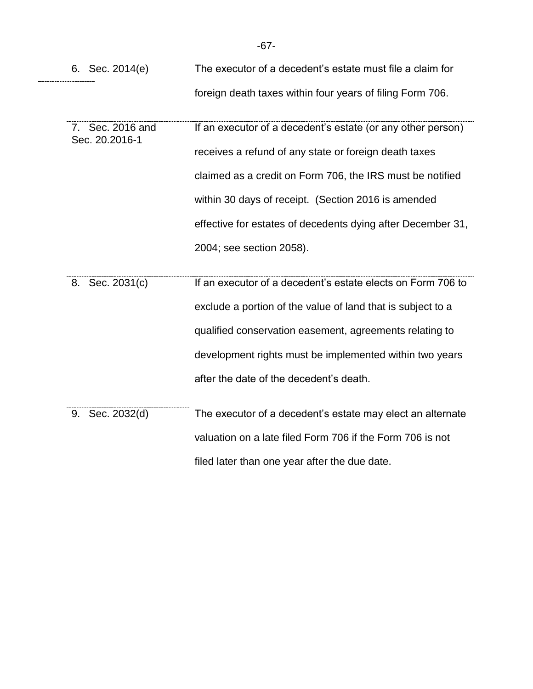| 6. Sec. 2014(e) | The executor of a decedent's estate must file a claim for |
|-----------------|-----------------------------------------------------------|
|                 | foreign death taxes within four years of filing Form 706. |

| 7. Sec. 2016 and<br>Sec. 20.2016-1 | If an executor of a decedent's estate (or any other person) |
|------------------------------------|-------------------------------------------------------------|
|                                    | receives a refund of any state or foreign death taxes       |
|                                    | claimed as a credit on Form 706, the IRS must be notified   |
|                                    | within 30 days of receipt. (Section 2016 is amended         |
|                                    | effective for estates of decedents dying after December 31, |
|                                    | 2004; see section 2058).                                    |

8. Sec. 2031(c) If an executor of a decedent's estate elects on Form 706 to exclude a portion of the value of land that is subject to a qualified conservation easement, agreements relating to development rights must be implemented within two years after the date of the decedent's death.

9. Sec. 2032(d) The executor of a decedent's estate may elect an alternate valuation on a late filed Form 706 if the Form 706 is not filed later than one year after the due date.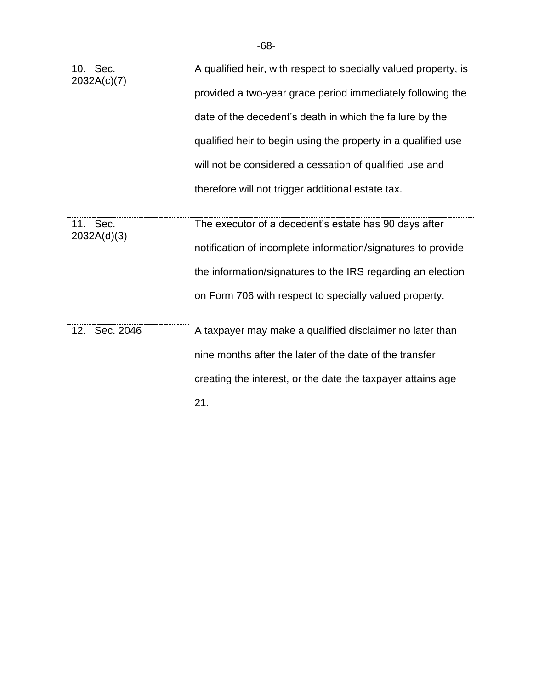| 10. Sec.<br>2032A(c)(7) | A qualified heir, with respect to specially valued property, is |
|-------------------------|-----------------------------------------------------------------|
|                         | provided a two-year grace period immediately following the      |
|                         | date of the decedent's death in which the failure by the        |
|                         | qualified heir to begin using the property in a qualified use   |
|                         | will not be considered a cessation of qualified use and         |
|                         | therefore will not trigger additional estate tax.               |
| 11. Sec.<br>2032A(d)(3) | The executor of a decedent's estate has 90 days after           |
|                         | notification of incomplete information/signatures to provide    |
|                         | the information/signatures to the IRS regarding an election     |
|                         | on Form 706 with respect to specially valued property.          |
| 12. Sec. 2046           | A taxpayer may make a qualified disclaimer no later than        |
|                         | nine months after the later of the date of the transfer         |
|                         | creating the interest, or the date the taxpayer attains age     |

21.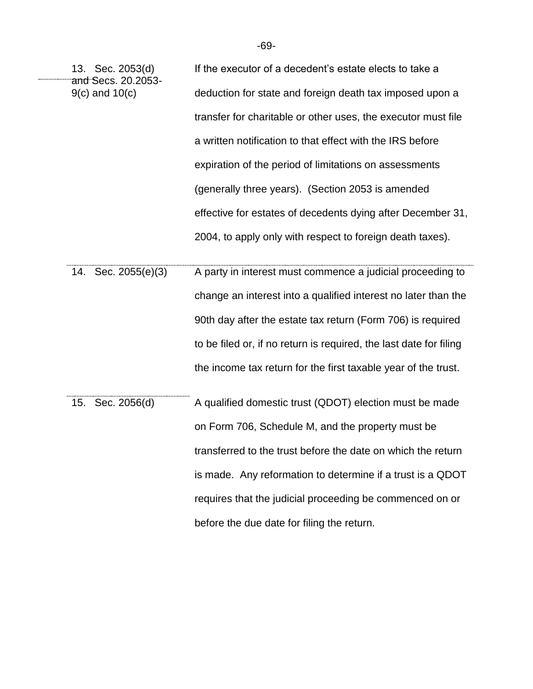| 13. Sec. 2053(d)<br>and Secs. 20.2053-<br>$9(c)$ and $10(c)$ | If the executor of a decedent's estate elects to take a            |
|--------------------------------------------------------------|--------------------------------------------------------------------|
|                                                              | deduction for state and foreign death tax imposed upon a           |
|                                                              | transfer for charitable or other uses, the executor must file      |
|                                                              | a written notification to that effect with the IRS before          |
|                                                              | expiration of the period of limitations on assessments             |
|                                                              | (generally three years). (Section 2053 is amended                  |
|                                                              | effective for estates of decedents dying after December 31,        |
|                                                              | 2004, to apply only with respect to foreign death taxes).          |
|                                                              |                                                                    |
| 14. Sec. 2055(e)(3)                                          | A party in interest must commence a judicial proceeding to         |
|                                                              | change an interest into a qualified interest no later than the     |
|                                                              | 90th day after the estate tax return (Form 706) is required        |
|                                                              | to be filed or, if no return is required, the last date for filing |
|                                                              | the income tax return for the first taxable year of the trust.     |
| 15. Sec. 2056(d)                                             | A qualified domestic trust (QDOT) election must be made            |
|                                                              |                                                                    |
|                                                              | on Form 706, Schedule M, and the property must be                  |
|                                                              | transferred to the trust before the date on which the return       |
|                                                              | is made. Any reformation to determine if a trust is a QDOT         |
|                                                              | requires that the judicial proceeding be commenced on or           |
|                                                              | before the due date for filing the return.                         |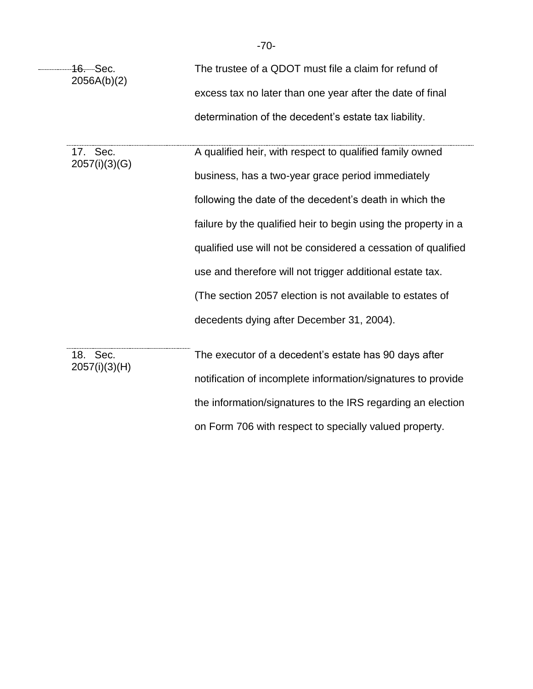| 16. Sec.<br>2056A(b)(2)   | The trustee of a QDOT must file a claim for refund of          |
|---------------------------|----------------------------------------------------------------|
|                           | excess tax no later than one year after the date of final      |
|                           | determination of the decedent's estate tax liability.          |
| 17. Sec.<br>2057(i)(3)(G) | A qualified heir, with respect to qualified family owned       |
|                           | business, has a two-year grace period immediately              |
|                           | following the date of the decedent's death in which the        |
|                           | failure by the qualified heir to begin using the property in a |
|                           | qualified use will not be considered a cessation of qualified  |
|                           | use and therefore will not trigger additional estate tax.      |
|                           | (The section 2057 election is not available to estates of      |
|                           | decedents dying after December 31, 2004).                      |
|                           |                                                                |

18. Sec. 2057(i)(3)(H) The executor of a decedent's estate has 90 days after notification of incomplete information/signatures to provide the information/signatures to the IRS regarding an election on Form 706 with respect to specially valued property.

--------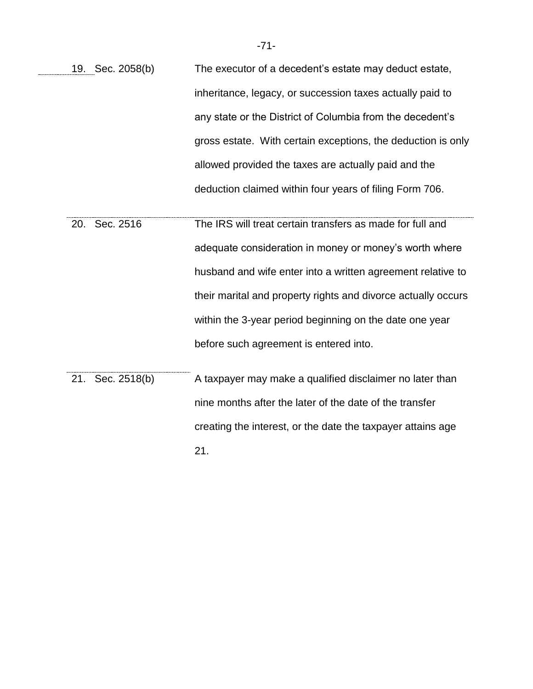- 19. Sec. 2058(b) The executor of a decedent's estate may deduct estate, inheritance, legacy, or succession taxes actually paid to any state or the District of Columbia from the decedent's gross estate. With certain exceptions, the deduction is only allowed provided the taxes are actually paid and the deduction claimed within four years of filing Form 706.
	- 20. Sec. 2516 The IRS will treat certain transfers as made for full and adequate consideration in money or money's worth where husband and wife enter into a written agreement relative to their marital and property rights and divorce actually occurs within the 3-year period beginning on the date one year before such agreement is entered into.
	- 21. Sec. 2518(b) A taxpayer may make a qualified disclaimer no later than nine months after the later of the date of the transfer creating the interest, or the date the taxpayer attains age 21.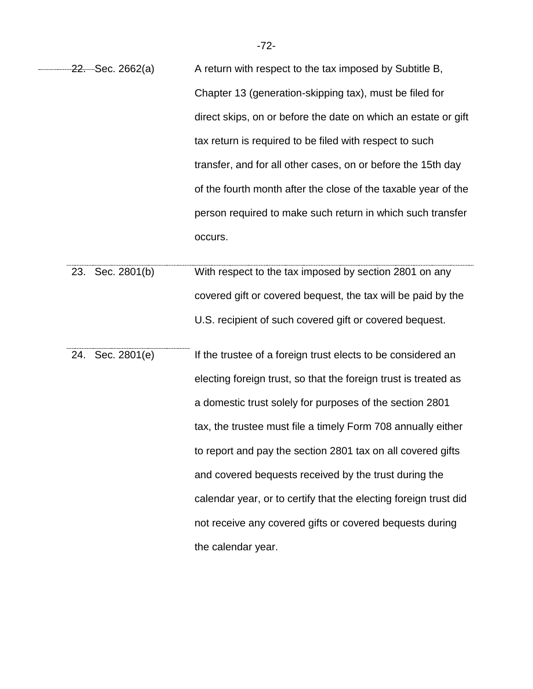$22.$  Sec. 2662(a) A return with respect to the tax imposed by Subtitle B, Chapter 13 (generation-skipping tax), must be filed for direct skips, on or before the date on which an estate or gift tax return is required to be filed with respect to such transfer, and for all other cases, on or before the 15th day of the fourth month after the close of the taxable year of the person required to make such return in which such transfer occurs.

23. Sec. 2801(b) With respect to the tax imposed by section 2801 on any covered gift or covered bequest, the tax will be paid by the U.S. recipient of such covered gift or covered bequest.

24. Sec. 2801(e) If the trustee of a foreign trust elects to be considered an electing foreign trust, so that the foreign trust is treated as a domestic trust solely for purposes of the section 2801 tax, the trustee must file a timely Form 708 annually either to report and pay the section 2801 tax on all covered gifts and covered bequests received by the trust during the calendar year, or to certify that the electing foreign trust did not receive any covered gifts or covered bequests during the calendar year.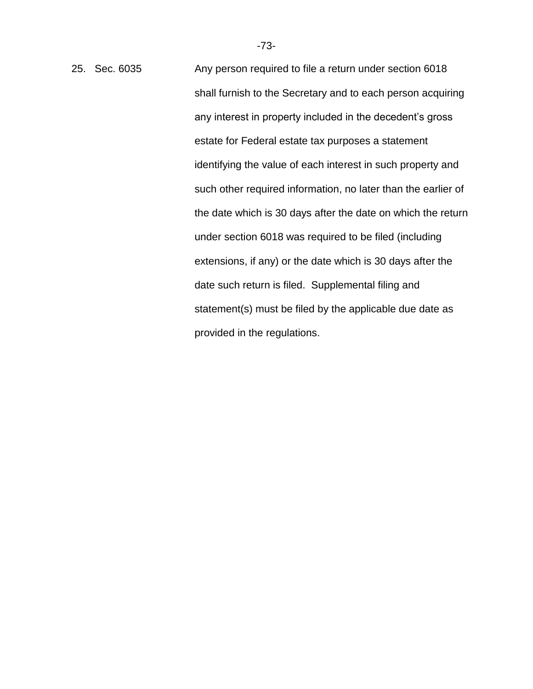25. Sec. 6035 Any person required to file a return under section 6018 shall furnish to the Secretary and to each person acquiring any interest in property included in the decedent's gross estate for Federal estate tax purposes a statement identifying the value of each interest in such property and such other required information, no later than the earlier of the date which is 30 days after the date on which the return under section 6018 was required to be filed (including extensions, if any) or the date which is 30 days after the date such return is filed. Supplemental filing and statement(s) must be filed by the applicable due date as provided in the regulations.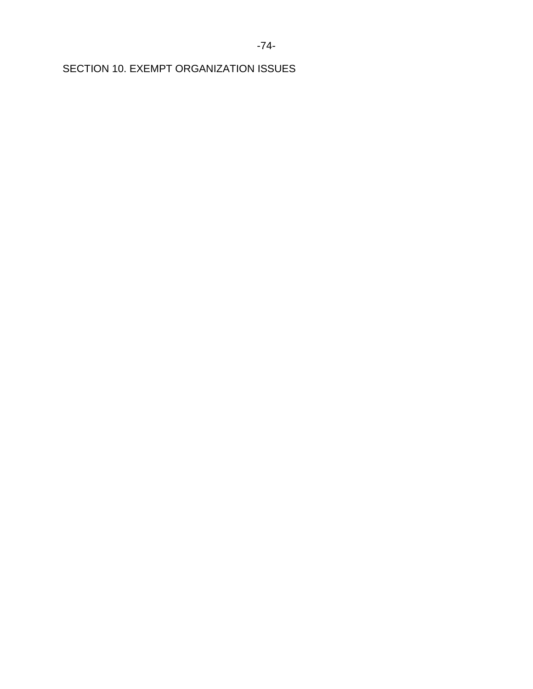-74-

SECTION 10. EXEMPT ORGANIZATION ISSUES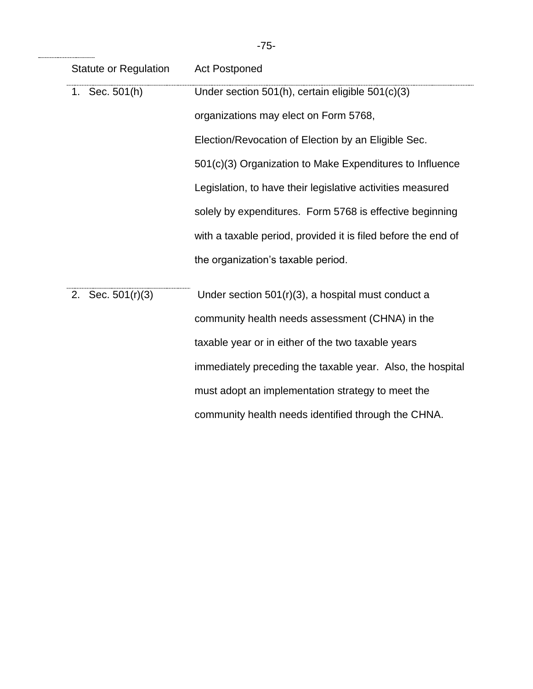| <b>Statute or Regulation</b> | <b>Act Postponed</b>                                          |
|------------------------------|---------------------------------------------------------------|
| 1. Sec. 501(h)               | Under section 501(h), certain eligible 501(c)(3)              |
|                              | organizations may elect on Form 5768,                         |
|                              | Election/Revocation of Election by an Eligible Sec.           |
|                              | 501(c)(3) Organization to Make Expenditures to Influence      |
|                              | Legislation, to have their legislative activities measured    |
|                              | solely by expenditures. Form 5768 is effective beginning      |
|                              | with a taxable period, provided it is filed before the end of |
|                              | the organization's taxable period.                            |
| 2. Sec. $501(r)(3)$          | Under section $501(r)(3)$ , a hospital must conduct a         |
|                              | community health needs assessment (CHNA) in the               |
|                              | taxable year or in either of the two taxable years            |
|                              | immediately preceding the taxable year. Also, the hospital    |
|                              | must adopt an implementation strategy to meet the             |
|                              | community health needs identified through the CHNA.           |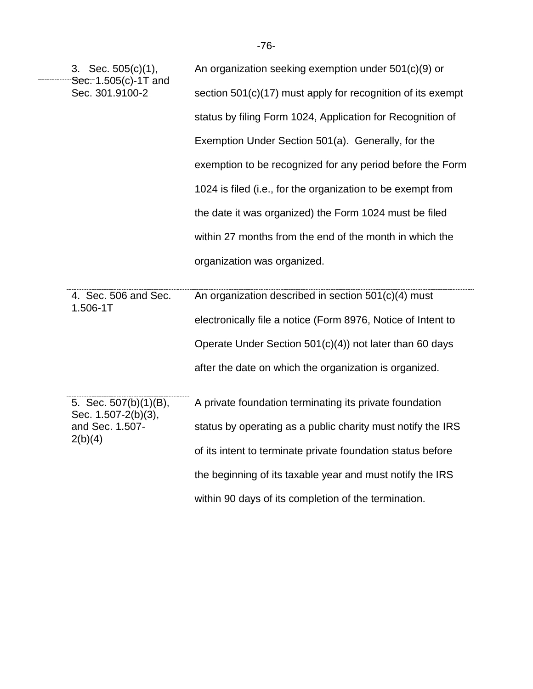| 3. Sec. $505(c)(1)$ ,                        | An organization seeking exemption under 501(c)(9) or         |
|----------------------------------------------|--------------------------------------------------------------|
| Sec. 1.505(c)-1T and<br>Sec. 301.9100-2      | section 501(c)(17) must apply for recognition of its exempt  |
|                                              | status by filing Form 1024, Application for Recognition of   |
|                                              | Exemption Under Section 501(a). Generally, for the           |
|                                              | exemption to be recognized for any period before the Form    |
|                                              | 1024 is filed (i.e., for the organization to be exempt from  |
|                                              | the date it was organized) the Form 1024 must be filed       |
|                                              | within 27 months from the end of the month in which the      |
|                                              | organization was organized.                                  |
|                                              |                                                              |
| 4. Sec. 506 and Sec.<br>1.506-1T             | An organization described in section 501(c)(4) must          |
|                                              | electronically file a notice (Form 8976, Notice of Intent to |
|                                              | Operate Under Section 501(c)(4)) not later than 60 days      |
|                                              | after the date on which the organization is organized.       |
|                                              |                                                              |
| 5. Sec. 507(b)(1)(B),<br>Sec. 1.507-2(b)(3), | A private foundation terminating its private foundation      |
| and Sec. 1.507-                              | status by operating as a public charity must notify the IRS  |
| 2(b)(4)                                      | of its intent to terminate private foundation status before  |
|                                              | the beginning of its taxable year and must notify the IRS    |
|                                              | within 90 days of its completion of the termination.         |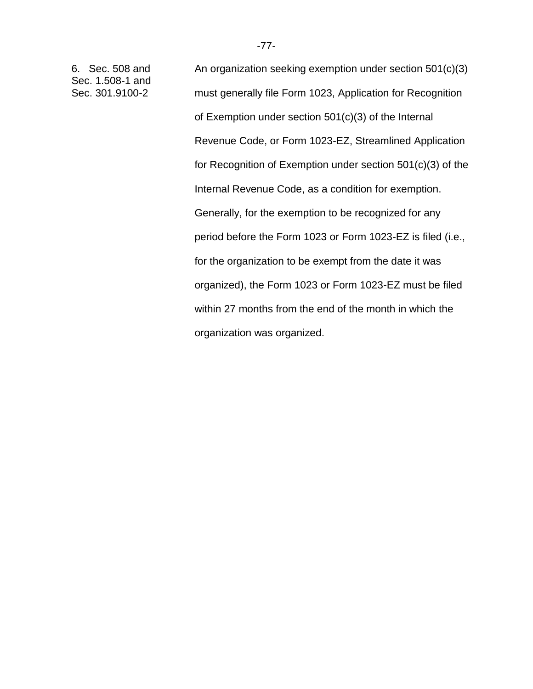6. Sec. 508 and Sec. 1.508-1 and Sec. 301.9100-2

An organization seeking exemption under section 501(c)(3) must generally file Form 1023, Application for Recognition of Exemption under section 501(c)(3) of the Internal Revenue Code, or Form 1023-EZ, Streamlined Application for Recognition of Exemption under section 501(c)(3) of the Internal Revenue Code, as a condition for exemption. Generally, for the exemption to be recognized for any period before the Form 1023 or Form 1023-EZ is filed (i.e., for the organization to be exempt from the date it was organized), the Form 1023 or Form 1023-EZ must be filed within 27 months from the end of the month in which the organization was organized.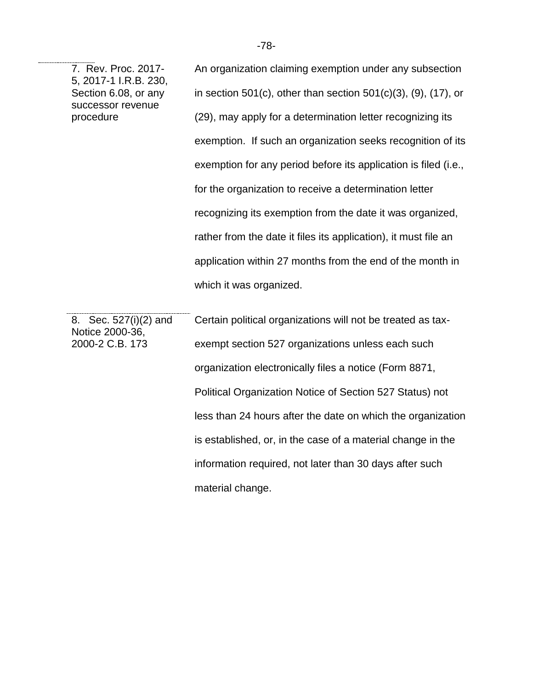| 7. Rev. Proc. 2017-   |
|-----------------------|
| 5. 2017-1 I.R.B. 230, |
| Section 6.08, or any  |
| successor revenue     |
| procedure             |

An organization claiming exemption under any subsection in section 501(c), other than section 501(c)(3), (9), (17), or (29), may apply for a determination letter recognizing its exemption. If such an organization seeks recognition of its exemption for any period before its application is filed (i.e., for the organization to receive a determination letter recognizing its exemption from the date it was organized, rather from the date it files its application), it must file an application within 27 months from the end of the month in which it was organized.

8. Sec. 527(i)(2) and Notice 2000-36, 2000-2 C.B. 173 Certain political organizations will not be treated as taxexempt section 527 organizations unless each such organization electronically files a notice (Form 8871, Political Organization Notice of Section 527 Status) not less than 24 hours after the date on which the organization is established, or, in the case of a material change in the information required, not later than 30 days after such material change.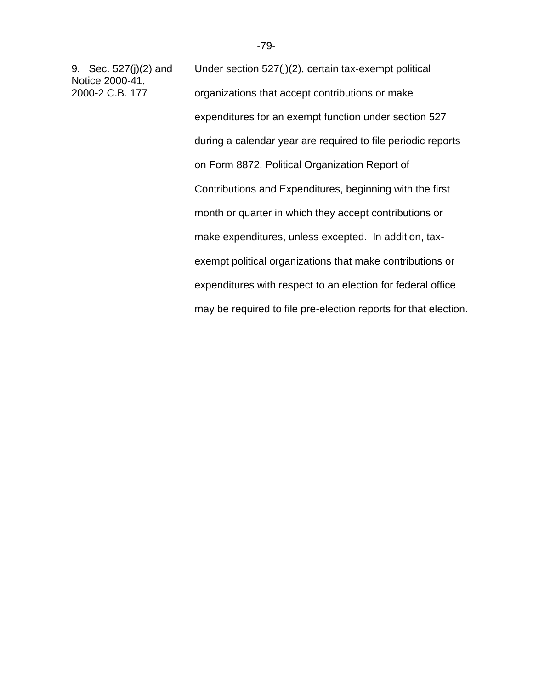9. Sec. 527(j)(2) and Notice 2000-41, 2000-2 C.B. 177

Under section 527(j)(2), certain tax-exempt political organizations that accept contributions or make expenditures for an exempt function under section 527 during a calendar year are required to file periodic reports on Form 8872, Political Organization Report of Contributions and Expenditures, beginning with the first month or quarter in which they accept contributions or make expenditures, unless excepted. In addition, taxexempt political organizations that make contributions or expenditures with respect to an election for federal office may be required to file pre-election reports for that election.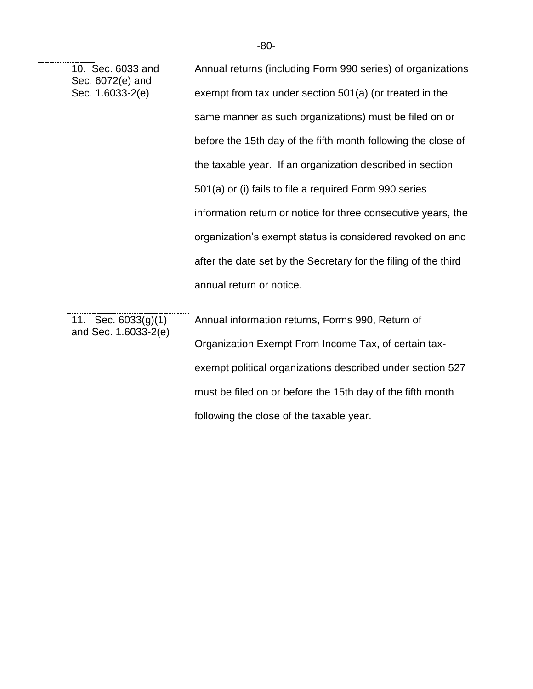10. Sec. 6033 and Sec. 6072(e) and Sec. 1.6033-2(e) Annual returns (including Form 990 series) of organizations exempt from tax under section 501(a) (or treated in the same manner as such organizations) must be filed on or before the 15th day of the fifth month following the close of the taxable year. If an organization described in section 501(a) or (i) fails to file a required Form 990 series information return or notice for three consecutive years, the organization's exempt status is considered revoked on and after the date set by the Secretary for the filing of the third annual return or notice. 11. Sec. 6033(g)(1) and Sec. 1.6033-2(e) Annual information returns, Forms 990, Return of Organization Exempt From Income Tax, of certain taxexempt political organizations described under section 527

must be filed on or before the 15th day of the fifth month following the close of the taxable year.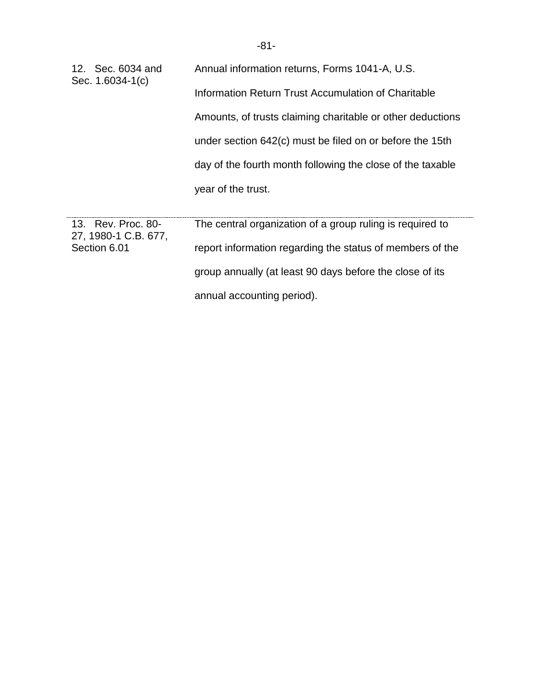12. Sec. 6034 and Sec. 1.6034-1(c) Annual information returns, Forms 1041-A, U.S. Information Return Trust Accumulation of Charitable Amounts, of trusts claiming charitable or other deductions under section 642(c) must be filed on or before the 15th day of the fourth month following the close of the taxable year of the trust. 13. Rev. Proc. 80- 27, 1980-1 C.B. 677, The central organization of a group ruling is required to

Section 6.01

report information regarding the status of members of the group annually (at least 90 days before the close of its annual accounting period).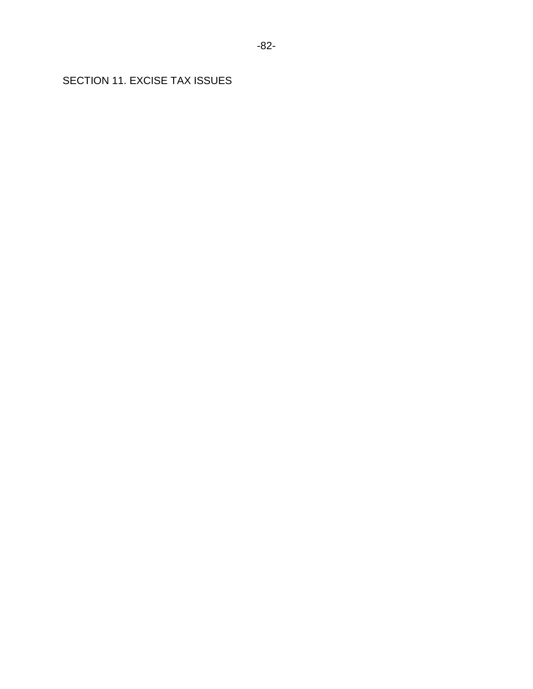-82-

SECTION 11. EXCISE TAX ISSUES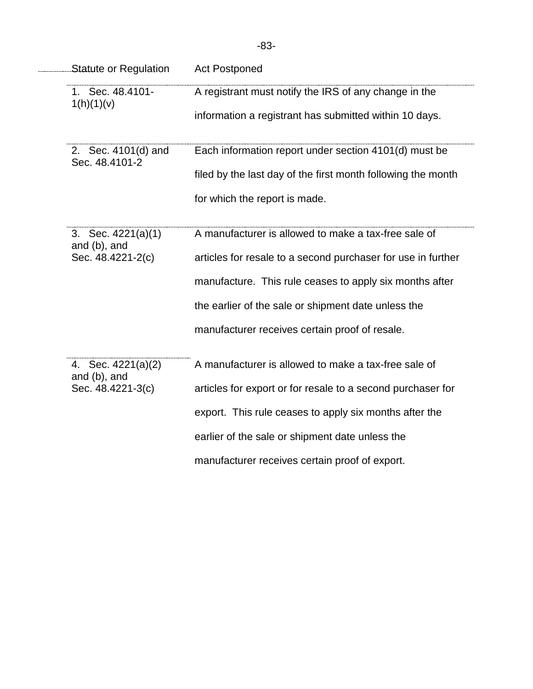| <b>Statute or Regulation</b>          | <b>Act Postponed</b>                                         |
|---------------------------------------|--------------------------------------------------------------|
| 1. Sec. 48.4101-<br>1(h)(1)(v)        | A registrant must notify the IRS of any change in the        |
|                                       | information a registrant has submitted within 10 days.       |
| 2. Sec. 4101(d) and<br>Sec. 48.4101-2 | Each information report under section 4101(d) must be        |
|                                       | filed by the last day of the first month following the month |
|                                       | for which the report is made.                                |
| 3. Sec. $4221(a)(1)$<br>and (b), and  | A manufacturer is allowed to make a tax-free sale of         |
| Sec. 48.4221-2(c)                     | articles for resale to a second purchaser for use in further |
|                                       | manufacture. This rule ceases to apply six months after      |
|                                       | the earlier of the sale or shipment date unless the          |
|                                       | manufacturer receives certain proof of resale.               |
| 4. Sec. 4221(a)(2)<br>and (b), and    | A manufacturer is allowed to make a tax-free sale of         |
| Sec. 48.4221-3(c)                     | articles for export or for resale to a second purchaser for  |
|                                       | export. This rule ceases to apply six months after the       |
|                                       | earlier of the sale or shipment date unless the              |
|                                       | manufacturer receives certain proof of export.               |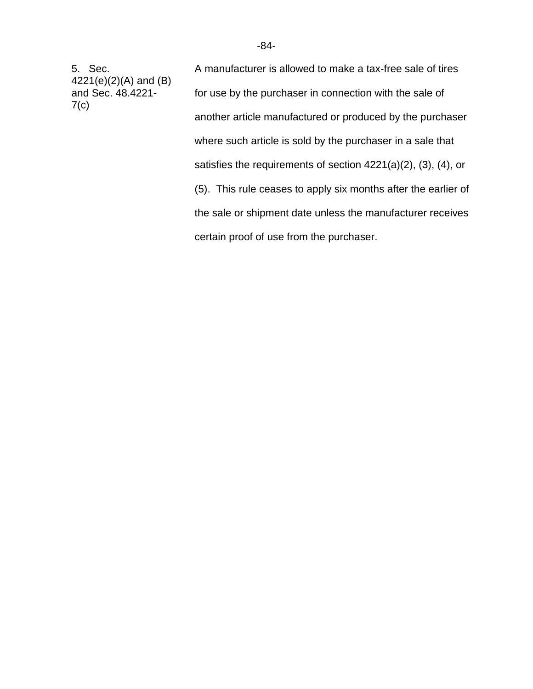5. Sec. 4221(e)(2)(A) and (B) and Sec. 48.4221-  $7(c)$ 

A manufacturer is allowed to make a tax-free sale of tires for use by the purchaser in connection with the sale of another article manufactured or produced by the purchaser where such article is sold by the purchaser in a sale that satisfies the requirements of section 4221(a)(2), (3), (4), or (5). This rule ceases to apply six months after the earlier of the sale or shipment date unless the manufacturer receives certain proof of use from the purchaser.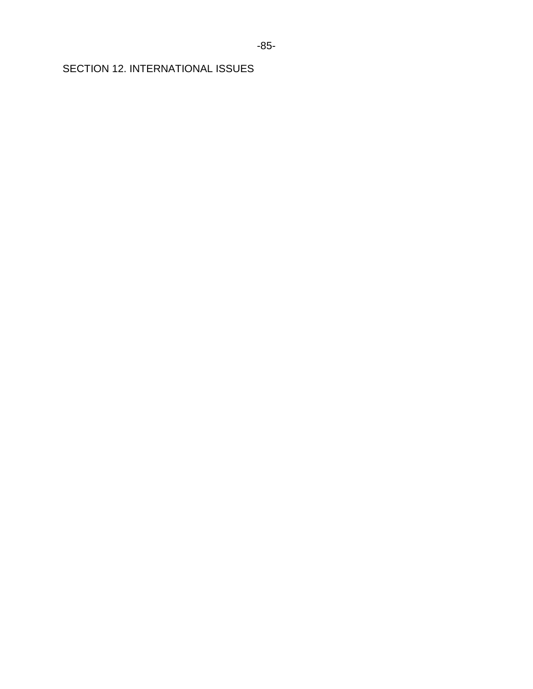SECTION 12. INTERNATIONAL ISSUES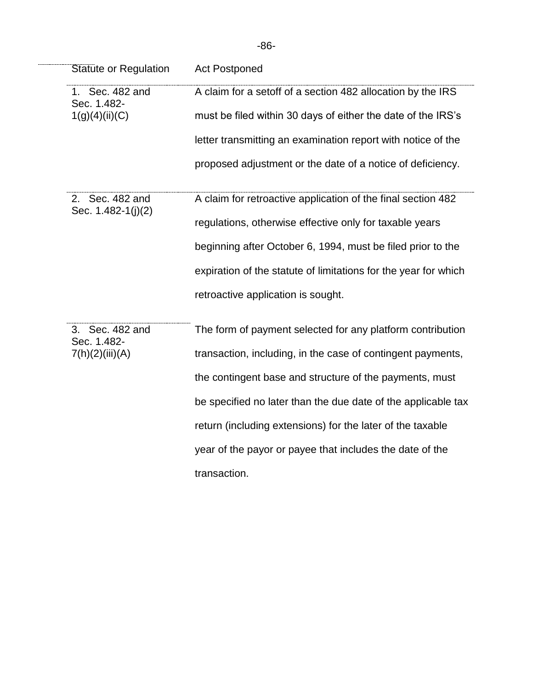| <b>Statute or Regulation</b>          | <b>Act Postponed</b>                                            |
|---------------------------------------|-----------------------------------------------------------------|
| 1. Sec. 482 and<br>Sec. 1.482-        | A claim for a setoff of a section 482 allocation by the IRS     |
| 1(g)(4)(ii)(C)                        | must be filed within 30 days of either the date of the IRS's    |
|                                       | letter transmitting an examination report with notice of the    |
|                                       | proposed adjustment or the date of a notice of deficiency.      |
| 2. Sec. 482 and<br>Sec. 1.482-1(j)(2) | A claim for retroactive application of the final section 482    |
|                                       | regulations, otherwise effective only for taxable years         |
|                                       | beginning after October 6, 1994, must be filed prior to the     |
|                                       | expiration of the statute of limitations for the year for which |
|                                       | retroactive application is sought.                              |
| 3. Sec. 482 and<br>Sec. 1.482-        | The form of payment selected for any platform contribution      |
| 7(h)(2)(iii)(A)                       | transaction, including, in the case of contingent payments,     |
|                                       | the contingent base and structure of the payments, must         |
|                                       | be specified no later than the due date of the applicable tax   |
|                                       | return (including extensions) for the later of the taxable      |
|                                       | year of the payor or payee that includes the date of the        |
|                                       | transaction.                                                    |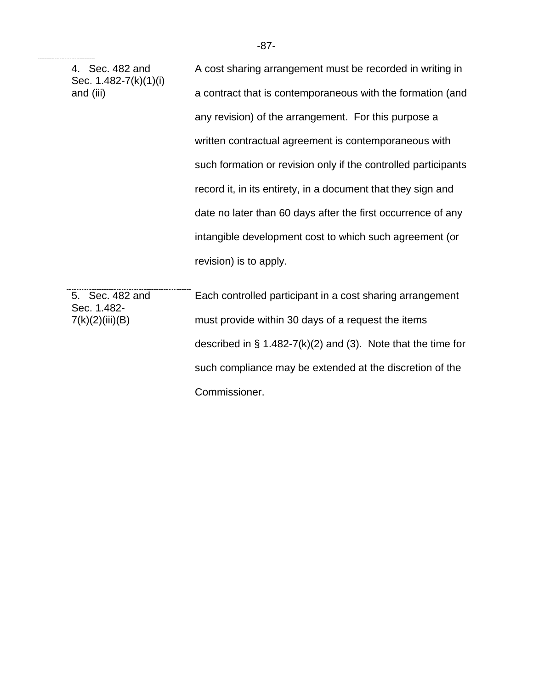4. Sec. 482 and Sec. 1.482-7(k)(1)(i) and (iii)

A cost sharing arrangement must be recorded in writing in a contract that is contemporaneous with the formation (and any revision) of the arrangement. For this purpose a written contractual agreement is contemporaneous with such formation or revision only if the controlled participants record it, in its entirety, in a document that they sign and date no later than 60 days after the first occurrence of any intangible development cost to which such agreement (or revision) is to apply.

5. Sec. 482 and Sec. 1.482- 7(k)(2)(iii)(B) Each controlled participant in a cost sharing arrangement must provide within 30 days of a request the items described in  $\S$  1.482-7(k)(2) and (3). Note that the time for such compliance may be extended at the discretion of the Commissioner.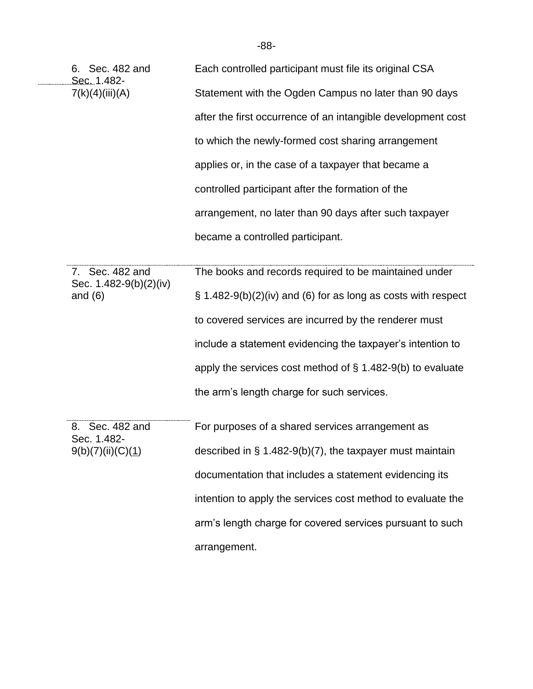|  | 6. Sec. 482 and<br>Sec. 1.482-            | Each controlled participant must file its original CSA        |
|--|-------------------------------------------|---------------------------------------------------------------|
|  | 7(k)(4)(iii)(A)                           | Statement with the Ogden Campus no later than 90 days         |
|  |                                           | after the first occurrence of an intangible development cost  |
|  |                                           | to which the newly-formed cost sharing arrangement            |
|  |                                           | applies or, in the case of a taxpayer that became a           |
|  |                                           | controlled participant after the formation of the             |
|  |                                           | arrangement, no later than 90 days after such taxpayer        |
|  |                                           | became a controlled participant.                              |
|  |                                           |                                                               |
|  | 7. Sec. 482 and<br>Sec. 1.482-9(b)(2)(iv) | The books and records required to be maintained under         |
|  | and $(6)$                                 | § 1.482-9(b)(2)(iv) and (6) for as long as costs with respect |
|  |                                           | to covered services are incurred by the renderer must         |
|  |                                           | include a statement evidencing the taxpayer's intention to    |
|  |                                           | apply the services cost method of $\S$ 1.482-9(b) to evaluate |
|  |                                           | the arm's length charge for such services.                    |
|  |                                           |                                                               |
|  | 8. Sec. 482 and<br>Sec. 1.482-            | For purposes of a shared services arrangement as              |
|  | 9(b)(7)(ii)(C)(1)                         | described in $\S$ 1.482-9(b)(7), the taxpayer must maintain   |
|  |                                           | documentation that includes a statement evidencing its        |
|  |                                           | intention to apply the services cost method to evaluate the   |
|  |                                           | arm's length charge for covered services pursuant to such     |
|  |                                           | arrangement.                                                  |
|  |                                           |                                                               |

-88-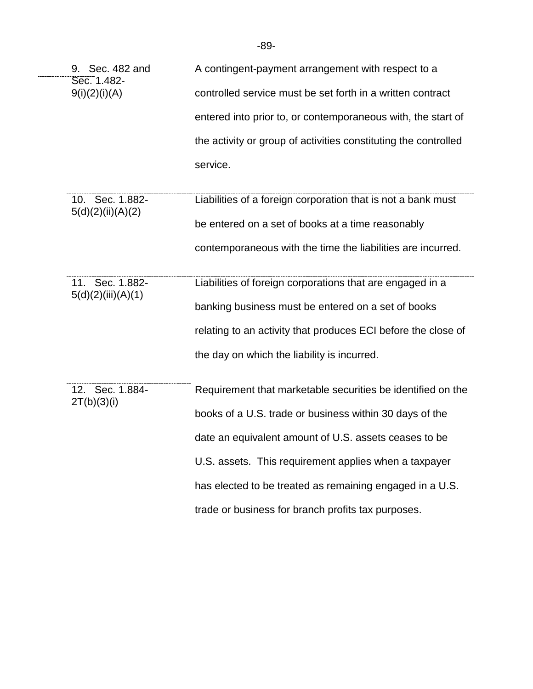|  | 9. Sec. 482 and<br>Sec. 1.482-       | A contingent-payment arrangement with respect to a              |
|--|--------------------------------------|-----------------------------------------------------------------|
|  | 9(i)(2)(i)(A)                        | controlled service must be set forth in a written contract      |
|  |                                      | entered into prior to, or contemporaneous with, the start of    |
|  |                                      | the activity or group of activities constituting the controlled |
|  |                                      | service.                                                        |
|  |                                      |                                                                 |
|  | 10. Sec. 1.882-<br>5(d)(2)(ii)(A)(2) | Liabilities of a foreign corporation that is not a bank must    |
|  |                                      | be entered on a set of books at a time reasonably               |
|  |                                      | contemporaneous with the time the liabilities are incurred.     |
|  | 11. Sec. 1.882-                      | Liabilities of foreign corporations that are engaged in a       |
|  | 5(d)(2)(iii)(A)(1)                   | banking business must be entered on a set of books              |
|  |                                      | relating to an activity that produces ECI before the close of   |
|  |                                      | the day on which the liability is incurred.                     |
|  | 12. Sec. 1.884-<br>2T(b)(3)(i)       | Requirement that marketable securities be identified on the     |
|  |                                      | books of a U.S. trade or business within 30 days of the         |
|  |                                      | date an equivalent amount of U.S. assets ceases to be           |
|  |                                      | U.S. assets. This requirement applies when a taxpayer           |
|  |                                      | has elected to be treated as remaining engaged in a U.S.        |
|  |                                      | trade or business for branch profits tax purposes.              |

-89-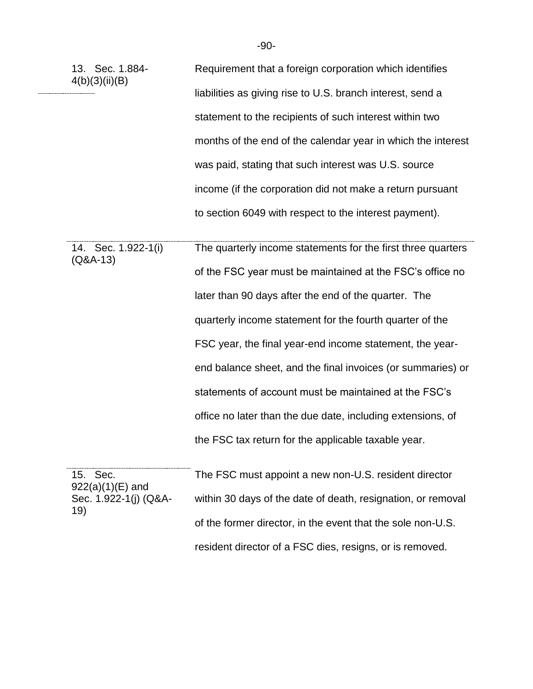|  | 13. Sec. 1.884-                                    | Requirement that a foreign corporation which identifies      |
|--|----------------------------------------------------|--------------------------------------------------------------|
|  | 4(b)(3)(ii)(B)                                     | liabilities as giving rise to U.S. branch interest, send a   |
|  |                                                    | statement to the recipients of such interest within two      |
|  |                                                    | months of the end of the calendar year in which the interest |
|  |                                                    | was paid, stating that such interest was U.S. source         |
|  |                                                    | income (if the corporation did not make a return pursuant    |
|  |                                                    | to section 6049 with respect to the interest payment).       |
|  | 14. Sec. 1.922-1(i)                                | The quarterly income statements for the first three quarters |
|  | $(Q&A-13)$                                         | of the FSC year must be maintained at the FSC's office no    |
|  |                                                    | later than 90 days after the end of the quarter. The         |
|  |                                                    | quarterly income statement for the fourth quarter of the     |
|  |                                                    | FSC year, the final year-end income statement, the year-     |
|  |                                                    | end balance sheet, and the final invoices (or summaries) or  |
|  |                                                    | statements of account must be maintained at the FSC's        |
|  |                                                    | office no later than the due date, including extensions, of  |
|  |                                                    | the FSC tax return for the applicable taxable year.          |
|  | 15. Sec.                                           | The FSC must appoint a new non-U.S. resident director        |
|  | $922(a)(1)(E)$ and<br>Sec. 1.922-1(j) (Q&A-<br>19) | within 30 days of the date of death, resignation, or removal |
|  |                                                    | of the former director, in the event that the sole non-U.S.  |
|  |                                                    | resident director of a FSC dies, resigns, or is removed.     |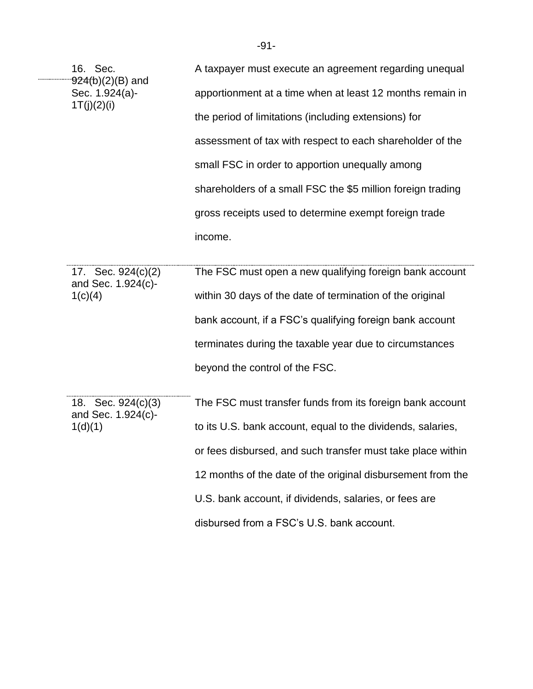|  | 16. Sec.<br>$-924(b)(2)(B)$ and                                                                                      | A taxpayer must execute an agreement regarding unequal    |
|--|----------------------------------------------------------------------------------------------------------------------|-----------------------------------------------------------|
|  | Sec. 1.924(a)-<br>1T(j)(2)(i)                                                                                        | apportionment at a time when at least 12 months remain in |
|  |                                                                                                                      | the period of limitations (including extensions) for      |
|  |                                                                                                                      | assessment of tax with respect to each shareholder of the |
|  |                                                                                                                      | small FSC in order to apportion unequally among           |
|  | shareholders of a small FSC the \$5 million foreign trading<br>gross receipts used to determine exempt foreign trade |                                                           |
|  | income.                                                                                                              |                                                           |
|  |                                                                                                                      |                                                           |
|  | 17. Sec. $924(c)(2)$<br>and Sec. 1.924(c)-                                                                           | The FSC must open a new qualifying foreign bank account   |
|  | 1(c)(4)                                                                                                              | within 30 days of the date of termination of the original |

bank account, if a FSC's qualifying foreign bank account terminates during the taxable year due to circumstances beyond the control of the FSC.

| 18. Sec. $924(c)(3)$          | The FSC must transfer funds from its foreign bank account   |
|-------------------------------|-------------------------------------------------------------|
| and Sec. 1.924(c)-<br>1(d)(1) | to its U.S. bank account, equal to the dividends, salaries, |
|                               | or fees disbursed, and such transfer must take place within |
|                               | 12 months of the date of the original disbursement from the |
|                               | U.S. bank account, if dividends, salaries, or fees are      |
|                               | disbursed from a FSC's U.S. bank account.                   |

-91-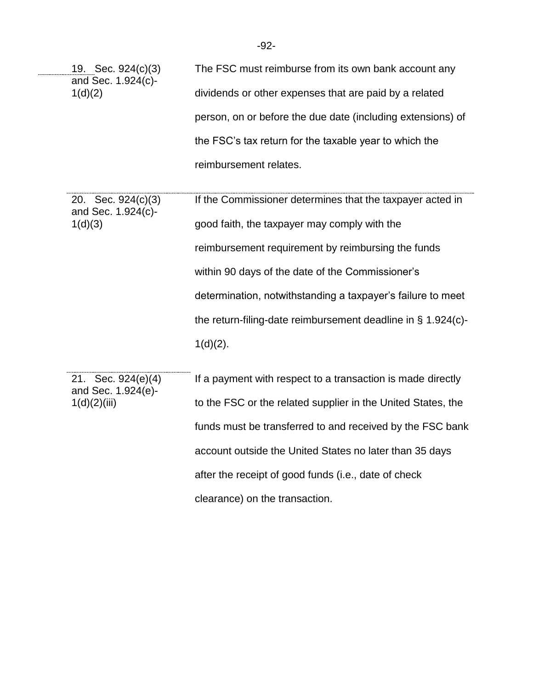|  | 19. Sec. 924(c)(3)                       | The FSC must reimburse from its own bank account any            |
|--|------------------------------------------|-----------------------------------------------------------------|
|  | and Sec. 1.924(c)-<br>1(d)(2)            | dividends or other expenses that are paid by a related          |
|  |                                          | person, on or before the due date (including extensions) of     |
|  |                                          | the FSC's tax return for the taxable year to which the          |
|  |                                          | reimbursement relates.                                          |
|  | 20. Sec. 924(c)(3)<br>and Sec. 1.924(c)- | If the Commissioner determines that the taxpayer acted in       |
|  | 1(d)(3)                                  | good faith, the taxpayer may comply with the                    |
|  |                                          | reimbursement requirement by reimbursing the funds              |
|  |                                          | within 90 days of the date of the Commissioner's                |
|  |                                          | determination, notwithstanding a taxpayer's failure to meet     |
|  |                                          | the return-filing-date reimbursement deadline in $\S$ 1.924(c)- |
|  |                                          | $1(d)(2)$ .                                                     |
|  | 21. Sec. 924(e)(4)                       | If a payment with respect to a transaction is made directly     |
|  | and Sec. 1.924(e)-<br>1(d)(2)(iii)       | to the FSC or the related supplier in the United States, the    |
|  |                                          | funds must be transferred to and received by the FSC bank       |
|  |                                          | account outside the United States no later than 35 days         |
|  |                                          | after the receipt of good funds (i.e., date of check            |
|  |                                          | clearance) on the transaction.                                  |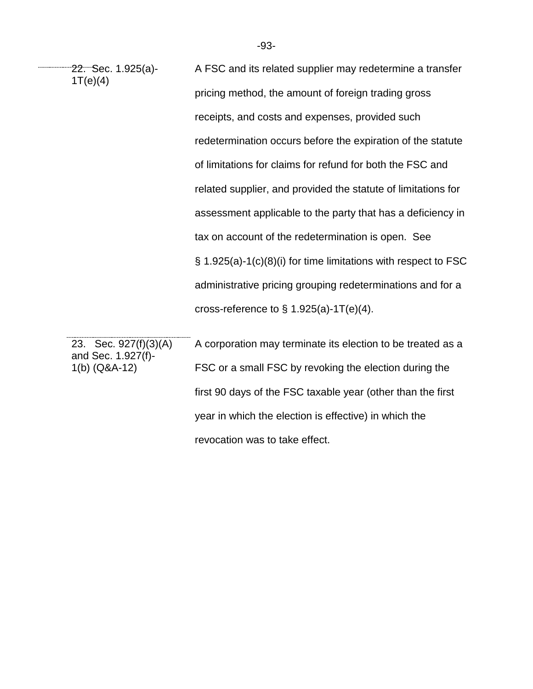22. Sec. 1.925(a)-  $1T(e)(4)$ 

A FSC and its related supplier may redetermine a transfer pricing method, the amount of foreign trading gross receipts, and costs and expenses, provided such redetermination occurs before the expiration of the statute of limitations for claims for refund for both the FSC and related supplier, and provided the statute of limitations for assessment applicable to the party that has a deficiency in tax on account of the redetermination is open. See § 1.925(a)-1(c)(8)(i) for time limitations with respect to FSC administrative pricing grouping redeterminations and for a cross-reference to  $\S$  1.925(a)-1T(e)(4).

23. Sec. 927(f)(3)(A) and Sec. 1.927(f)- 1(b) (Q&A-12) A corporation may terminate its election to be treated as a FSC or a small FSC by revoking the election during the first 90 days of the FSC taxable year (other than the first year in which the election is effective) in which the revocation was to take effect.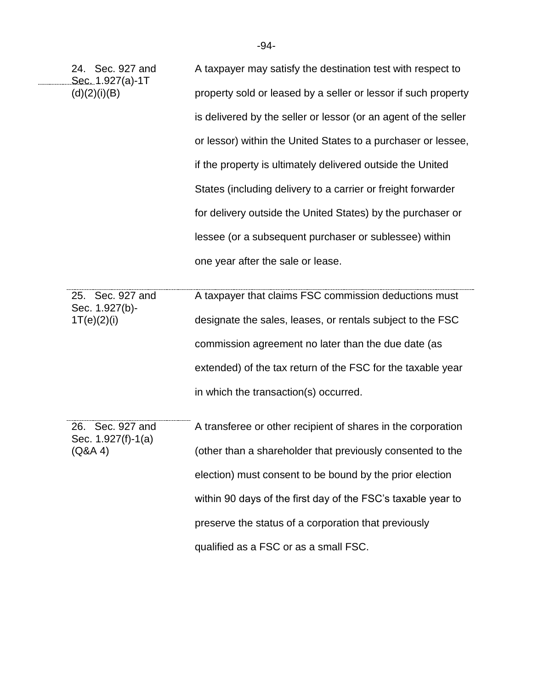24. Sec. 927 and Sec. 1.927(a)-1T  $(d)(2)(i)(B)$ 

A taxpayer may satisfy the destination test with respect to property sold or leased by a seller or lessor if such property is delivered by the seller or lessor (or an agent of the seller or lessor) within the United States to a purchaser or lessee, if the property is ultimately delivered outside the United States (including delivery to a carrier or freight forwarder for delivery outside the United States) by the purchaser or lessee (or a subsequent purchaser or sublessee) within one year after the sale or lease.

| 25. Sec. 927 and<br>Sec. 1.927(b)- | A taxpayer that claims FSC commission deductions must        |
|------------------------------------|--------------------------------------------------------------|
| 1T(e)(2)(i)                        | designate the sales, leases, or rentals subject to the FSC   |
|                                    | commission agreement no later than the due date (as          |
|                                    | extended) of the tax return of the FSC for the taxable year  |
|                                    | in which the transaction(s) occurred.                        |
| 26. Sec. 927 and                   | A transferee or other recipient of shares in the corporation |

| 26. Sec. 927 and<br>Sec. 1.927(f)-1(a)<br>(Q&AA4) | A transferee or other recipient of shares in the corporation |
|---------------------------------------------------|--------------------------------------------------------------|
|                                                   | (other than a shareholder that previously consented to the   |
|                                                   | election) must consent to be bound by the prior election     |
|                                                   | within 90 days of the first day of the FSC's taxable year to |
|                                                   | preserve the status of a corporation that previously         |
|                                                   | qualified as a FSC or as a small FSC.                        |

-94-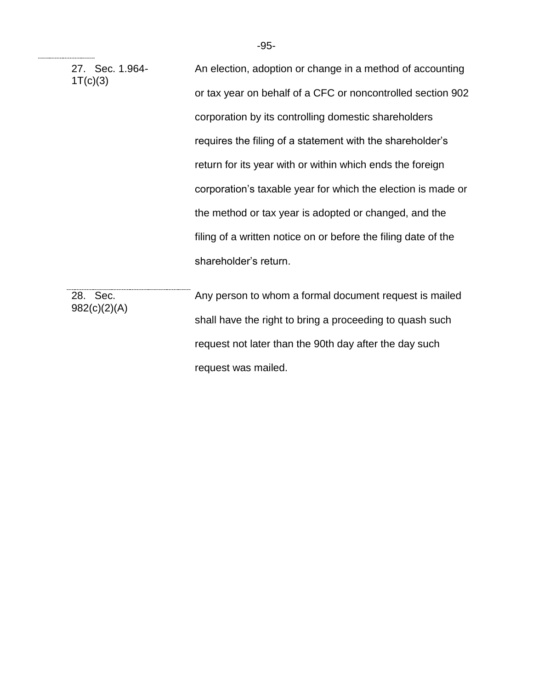27. Sec. 1.964-  $1T(c)(3)$ 

An election, adoption or change in a method of accounting or tax year on behalf of a CFC or noncontrolled section 902 corporation by its controlling domestic shareholders requires the filing of a statement with the shareholder's return for its year with or within which ends the foreign corporation's taxable year for which the election is made or the method or tax year is adopted or changed, and the filing of a written notice on or before the filing date of the shareholder's return.

28. Sec. 982(c)(2)(A) Any person to whom a formal document request is mailed shall have the right to bring a proceeding to quash such request not later than the 90th day after the day such request was mailed.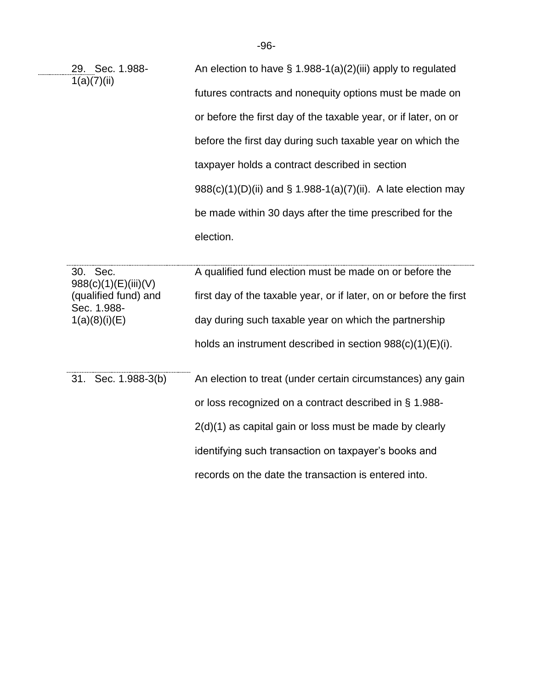29. Sec. 1.988-  $1(a)(7)(ii)$ An election to have § 1.988-1(a)(2)(iii) apply to regulated futures contracts and nonequity options must be made on or before the first day of the taxable year, or if later, on or before the first day during such taxable year on which the taxpayer holds a contract described in section 988(c)(1)(D)(ii) and § 1.988-1(a)(7)(ii). A late election may be made within 30 days after the time prescribed for the election.

| 30. Sec.<br>988(c)(1)(E)(iii)(V)    | A qualified fund election must be made on or before the            |
|-------------------------------------|--------------------------------------------------------------------|
| (qualified fund) and<br>Sec. 1.988- | first day of the taxable year, or if later, on or before the first |
| 1(a)(8)(i)(E)                       | day during such taxable year on which the partnership              |
|                                     | holds an instrument described in section $988(c)(1)(E)(i)$ .       |
| 31. Sec. 1.988-3(b)                 | An election to treat (under certain circumstances) any gain        |
|                                     | or loss recognized on a contract described in § 1.988-             |
|                                     | $2(d)(1)$ as capital gain or loss must be made by clearly          |

identifying such transaction on taxpayer's books and

records on the date the transaction is entered into.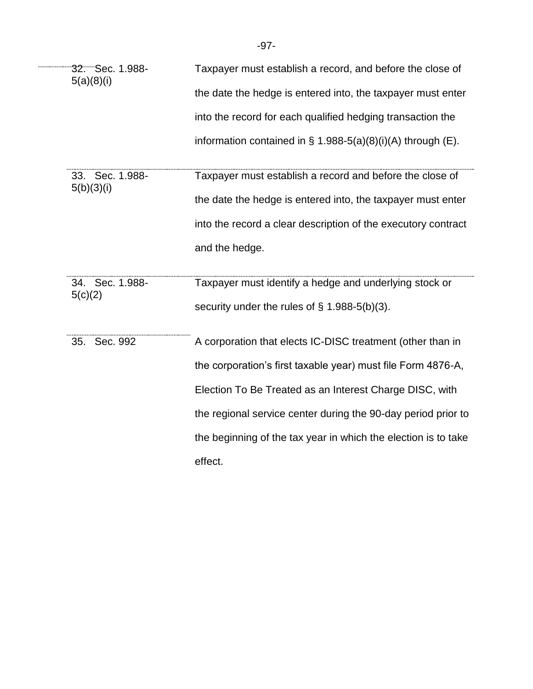| $-32.$ Sec. 1.988-<br>5(a)(8)(i) | Taxpayer must establish a record, and before the close of      |
|----------------------------------|----------------------------------------------------------------|
|                                  | the date the hedge is entered into, the taxpayer must enter    |
|                                  | into the record for each qualified hedging transaction the     |
|                                  | information contained in $\S$ 1.988-5(a)(8)(i)(A) through (E). |

| 33. Sec. 1.988-<br>5(b)(3)(i) | Taxpayer must establish a record and before the close of      |
|-------------------------------|---------------------------------------------------------------|
|                               | the date the hedge is entered into, the taxpayer must enter   |
|                               | into the record a clear description of the executory contract |
|                               | and the hedge.                                                |

| 34. Sec. 1.988- | Taxpayer must identify a hedge and underlying stock or |
|-----------------|--------------------------------------------------------|
| 5(c)(2)         |                                                        |
|                 | security under the rules of $\S$ 1.988-5(b)(3).        |

| 35. Sec. 992 | A corporation that elects IC-DISC treatment (other than in     |
|--------------|----------------------------------------------------------------|
|              | the corporation's first taxable year) must file Form 4876-A,   |
|              | Election To Be Treated as an Interest Charge DISC, with        |
|              | the regional service center during the 90-day period prior to  |
|              | the beginning of the tax year in which the election is to take |
|              | effect.                                                        |

--------------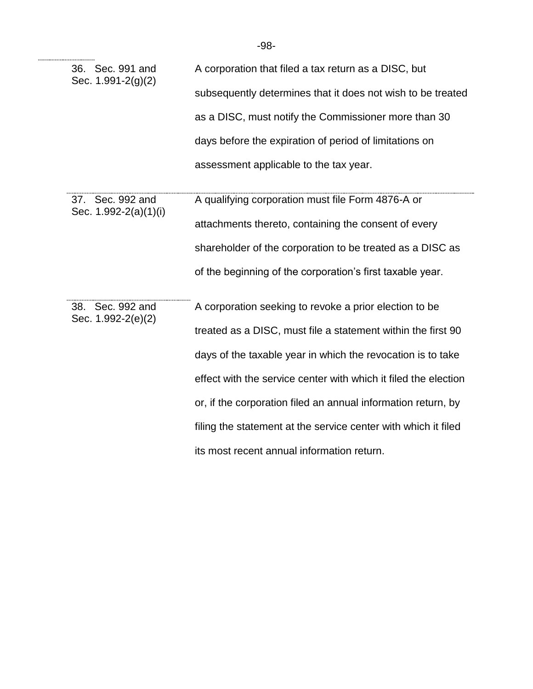| 36. Sec. 991 and<br>Sec. 1.991-2(g)(2) | A corporation that filed a tax return as a DISC, but            |
|----------------------------------------|-----------------------------------------------------------------|
|                                        | subsequently determines that it does not wish to be treated     |
|                                        | as a DISC, must notify the Commissioner more than 30            |
|                                        | days before the expiration of period of limitations on          |
|                                        | assessment applicable to the tax year.                          |
| 37. Sec. 992 and                       | A qualifying corporation must file Form 4876-A or               |
| Sec. 1.992-2(a)(1)(i)                  | attachments thereto, containing the consent of every            |
|                                        | shareholder of the corporation to be treated as a DISC as       |
|                                        | of the beginning of the corporation's first taxable year.       |
| 38. Sec. 992 and                       | A corporation seeking to revoke a prior election to be          |
| Sec. 1.992-2(e)(2)                     | treated as a DISC, must file a statement within the first 90    |
|                                        | days of the taxable year in which the revocation is to take     |
|                                        | effect with the service center with which it filed the election |
|                                        | or, if the corporation filed an annual information return, by   |
|                                        | filing the statement at the service center with which it filed  |
|                                        | its most recent annual information return.                      |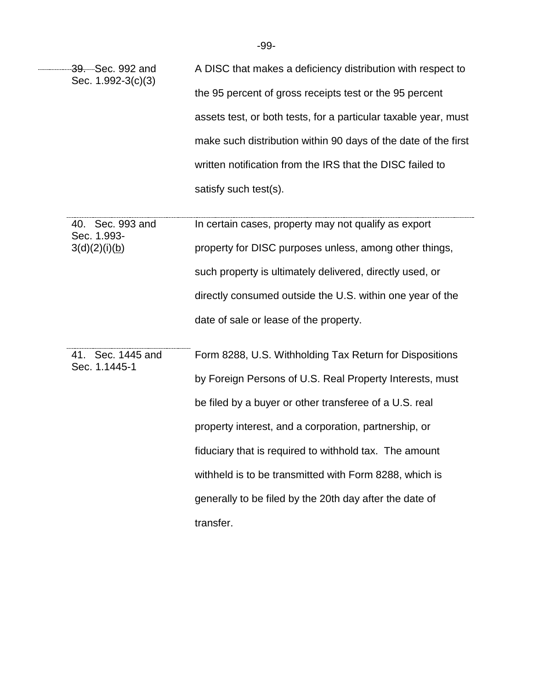39. Sec. 992 and Sec. 1.992-3(c)(3) A DISC that makes a deficiency distribution with respect to the 95 percent of gross receipts test or the 95 percent assets test, or both tests, for a particular taxable year, must make such distribution within 90 days of the date of the first written notification from the IRS that the DISC failed to satisfy such test(s).

| 40. Sec. 993 and<br>Sec. 1.993- | In certain cases, property may not qualify as export      |
|---------------------------------|-----------------------------------------------------------|
| 3(d)(2)(i)(b)                   | property for DISC purposes unless, among other things,    |
|                                 | such property is ultimately delivered, directly used, or  |
|                                 | directly consumed outside the U.S. within one year of the |
|                                 | date of sale or lease of the property.                    |
|                                 |                                                           |

41. Sec. 1445 and Sec. 1.1445-1 Form 8288, U.S. Withholding Tax Return for Dispositions by Foreign Persons of U.S. Real Property Interests, must be filed by a buyer or other transferee of a U.S. real property interest, and a corporation, partnership, or fiduciary that is required to withhold tax. The amount withheld is to be transmitted with Form 8288, which is generally to be filed by the 20th day after the date of transfer.

-99-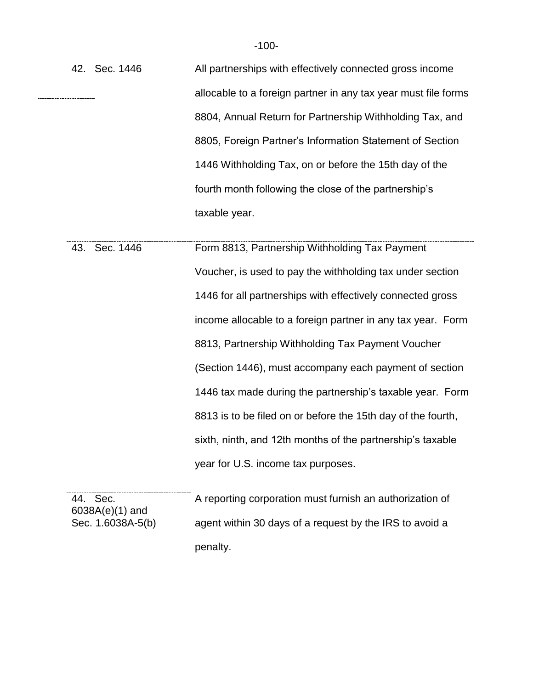42. Sec. 1446 All partnerships with effectively connected gross income allocable to a foreign partner in any tax year must file forms 8804, Annual Return for Partnership Withholding Tax, and 8805, Foreign Partner's Information Statement of Section 1446 Withholding Tax, on or before the 15th day of the fourth month following the close of the partnership's taxable year.

43. Sec. 1446 Form 8813, Partnership Withholding Tax Payment Voucher, is used to pay the withholding tax under section 1446 for all partnerships with effectively connected gross income allocable to a foreign partner in any tax year. Form 8813, Partnership Withholding Tax Payment Voucher (Section 1446), must accompany each payment of section 1446 tax made during the partnership's taxable year. Form 8813 is to be filed on or before the 15th day of the fourth, sixth, ninth, and 12th months of the partnership's taxable year for U.S. income tax purposes.

44. Sec. 6038A(e)(1) and Sec. 1.6038A-5(b) A reporting corporation must furnish an authorization of agent within 30 days of a request by the IRS to avoid a penalty.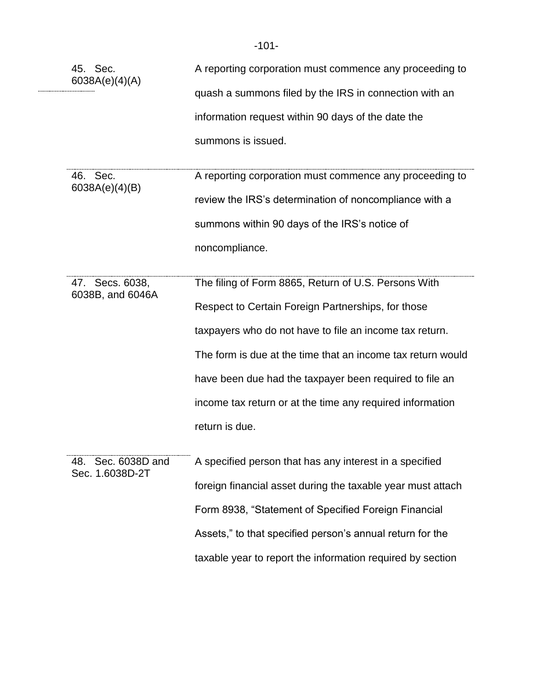|  | 45. Sec.<br>6038A(e)(4)(A)          | A reporting corporation must commence any proceeding to     |
|--|-------------------------------------|-------------------------------------------------------------|
|  |                                     | quash a summons filed by the IRS in connection with an      |
|  |                                     | information request within 90 days of the date the          |
|  |                                     | summons is issued.                                          |
|  | 46. Sec.<br>6038A(e)(4)(B)          | A reporting corporation must commence any proceeding to     |
|  |                                     | review the IRS's determination of noncompliance with a      |
|  |                                     | summons within 90 days of the IRS's notice of               |
|  |                                     | noncompliance.                                              |
|  | 47. Secs. 6038,<br>6038B, and 6046A | The filing of Form 8865, Return of U.S. Persons With        |
|  |                                     | Respect to Certain Foreign Partnerships, for those          |
|  |                                     | taxpayers who do not have to file an income tax return.     |
|  |                                     | The form is due at the time that an income tax return would |
|  |                                     | have been due had the taxpayer been required to file an     |
|  |                                     | income tax return or at the time any required information   |
|  |                                     | return is due.                                              |
|  | 48. Sec. 6038D and                  | A specified person that has any interest in a specified     |
|  | Sec. 1.6038D-2T                     | foreign financial asset during the taxable year must attach |
|  |                                     | Form 8938, "Statement of Specified Foreign Financial        |
|  |                                     | Assets," to that specified person's annual return for the   |
|  |                                     | taxable year to report the information required by section  |
|  |                                     |                                                             |

-101-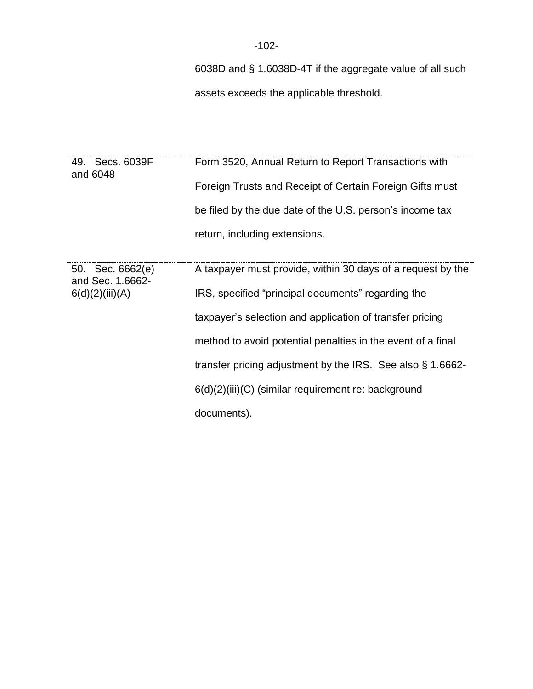-102-

6038D and § 1.6038D-4T if the aggregate value of all such assets exceeds the applicable threshold.

| 49. Secs. 6039F<br>and 6048                             | Form 3520, Annual Return to Report Transactions with          |
|---------------------------------------------------------|---------------------------------------------------------------|
|                                                         | Foreign Trusts and Receipt of Certain Foreign Gifts must      |
|                                                         | be filed by the due date of the U.S. person's income tax      |
|                                                         | return, including extensions.                                 |
| 50. Sec. 6662(e)<br>and Sec. 1.6662-<br>6(d)(2)(iii)(A) | A taxpayer must provide, within 30 days of a request by the   |
|                                                         | IRS, specified "principal documents" regarding the            |
|                                                         | taxpayer's selection and application of transfer pricing      |
|                                                         | method to avoid potential penalties in the event of a final   |
|                                                         | transfer pricing adjustment by the IRS. See also $\S$ 1.6662- |
|                                                         | 6(d)(2)(iii)(C) (similar requirement re: background           |
|                                                         | documents).                                                   |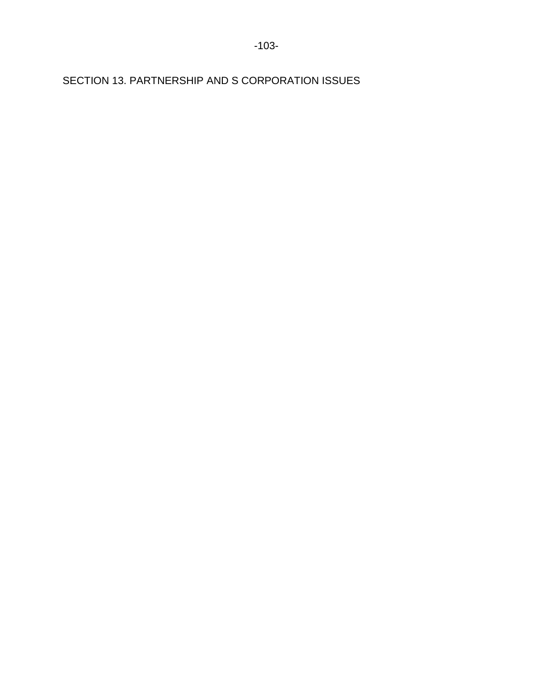SECTION 13. PARTNERSHIP AND S CORPORATION ISSUES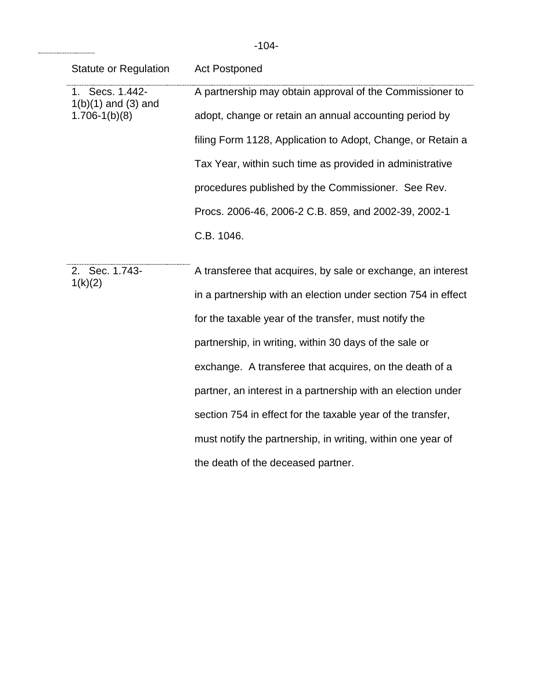| ×<br>۰, |  |
|---------|--|
|---------|--|

------------------------

| <b>Statute or Regulation</b>                                    | <b>Act Postponed</b>                                          |  |
|-----------------------------------------------------------------|---------------------------------------------------------------|--|
| 1. Secs. 1.442-<br>$1(b)(1)$ and $(3)$ and<br>$1.706 - 1(b)(8)$ | A partnership may obtain approval of the Commissioner to      |  |
|                                                                 | adopt, change or retain an annual accounting period by        |  |
|                                                                 | filing Form 1128, Application to Adopt, Change, or Retain a   |  |
|                                                                 | Tax Year, within such time as provided in administrative      |  |
|                                                                 | procedures published by the Commissioner. See Rev.            |  |
|                                                                 | Procs. 2006-46, 2006-2 C.B. 859, and 2002-39, 2002-1          |  |
|                                                                 | C.B. 1046.                                                    |  |
|                                                                 | A transferee that acquires, by sale or exchange, an interest  |  |
| 2. Sec. 1.743-<br>1(k)(2)                                       |                                                               |  |
|                                                                 | in a partnership with an election under section 754 in effect |  |
|                                                                 | for the taxable year of the transfer, must notify the         |  |
|                                                                 | partnership, in writing, within 30 days of the sale or        |  |
|                                                                 | exchange. A transferee that acquires, on the death of a       |  |
|                                                                 | partner, an interest in a partnership with an election under  |  |
|                                                                 | section 754 in effect for the taxable year of the transfer,   |  |
|                                                                 | must notify the partnership, in writing, within one year of   |  |
|                                                                 | the death of the deceased partner.                            |  |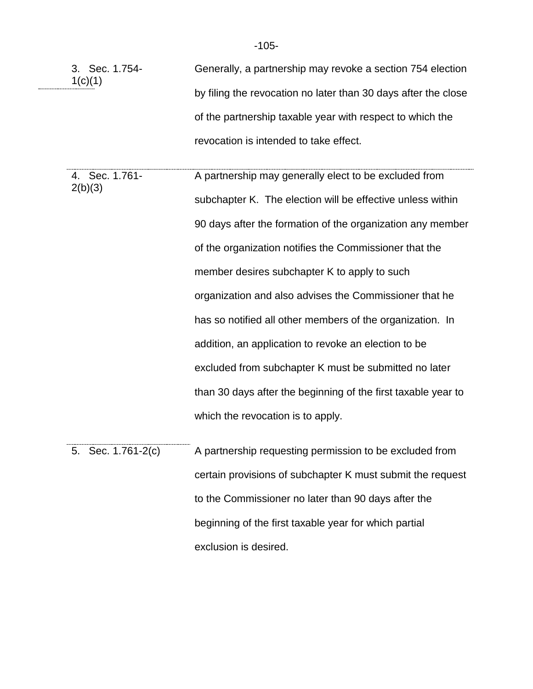|  | 3. Sec. 1.754-<br>1(c)(1) | Generally, a partnership may revoke a section 754 election<br>by filing the revocation no later than 30 days after the close |
|--|---------------------------|------------------------------------------------------------------------------------------------------------------------------|
|  |                           | of the partnership taxable year with respect to which the                                                                    |
|  |                           | revocation is intended to take effect.                                                                                       |
|  | 4. Sec. 1.761-<br>2(b)(3) | A partnership may generally elect to be excluded from                                                                        |
|  |                           | subchapter K. The election will be effective unless within                                                                   |
|  |                           | 90 days after the formation of the organization any member                                                                   |
|  |                           | of the organization notifies the Commissioner that the                                                                       |
|  |                           | member desires subchapter K to apply to such                                                                                 |
|  |                           | organization and also advises the Commissioner that he                                                                       |
|  |                           | has so notified all other members of the organization. In                                                                    |
|  |                           | addition, an application to revoke an election to be                                                                         |
|  |                           | excluded from subchapter K must be submitted no later                                                                        |
|  |                           | than 30 days after the beginning of the first taxable year to                                                                |
|  |                           | which the revocation is to apply.                                                                                            |
|  | 5. Sec. 1.761-2(c)        | A partnership requesting permission to be excluded from                                                                      |

certain provisions of subchapter K must submit the request to the Commissioner no later than 90 days after the beginning of the first taxable year for which partial exclusion is desired.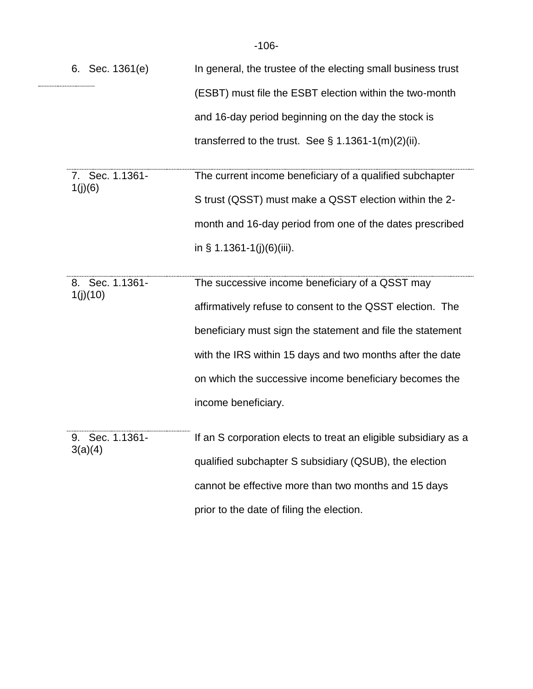-106-

6. Sec. 1361(e) In general, the trustee of the electing small business trust (ESBT) must file the ESBT election within the two-month and 16-day period beginning on the day the stock is transferred to the trust. See  $\S$  1.1361-1(m)(2)(ii).

7. Sec. 1.1361-  $1(j)(6)$ The current income beneficiary of a qualified subchapter S trust (QSST) must make a QSST election within the 2 month and 16-day period from one of the dates prescribed in § 1.1361-1(j)(6)(iii).

8. Sec. 1.1361- 1(j)(10) The successive income beneficiary of a QSST may affirmatively refuse to consent to the QSST election. The beneficiary must sign the statement and file the statement with the IRS within 15 days and two months after the date on which the successive income beneficiary becomes the income beneficiary.

9. Sec. 1.1361- 3(a)(4) If an S corporation elects to treat an eligible subsidiary as a qualified subchapter S subsidiary (QSUB), the election cannot be effective more than two months and 15 days prior to the date of filing the election.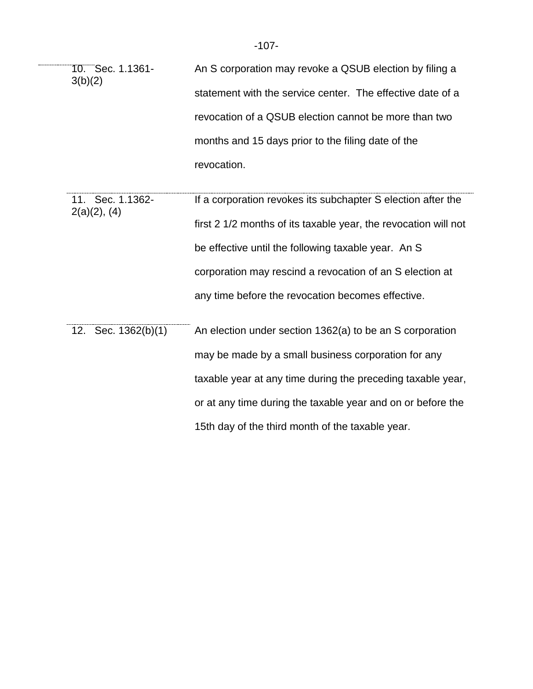10. Sec. 1.1361-  $3(b)(2)$ An S corporation may revoke a QSUB election by filing a statement with the service center. The effective date of a revocation of a QSUB election cannot be more than two months and 15 days prior to the filing date of the revocation.

11. Sec. 1.1362- 2(a)(2), (4) If a corporation revokes its subchapter S election after the first 2 1/2 months of its taxable year, the revocation will not be effective until the following taxable year. An S corporation may rescind a revocation of an S election at any time before the revocation becomes effective.

12. Sec. 1362(b)(1) An election under section 1362(a) to be an S corporation may be made by a small business corporation for any taxable year at any time during the preceding taxable year, or at any time during the taxable year and on or before the 15th day of the third month of the taxable year.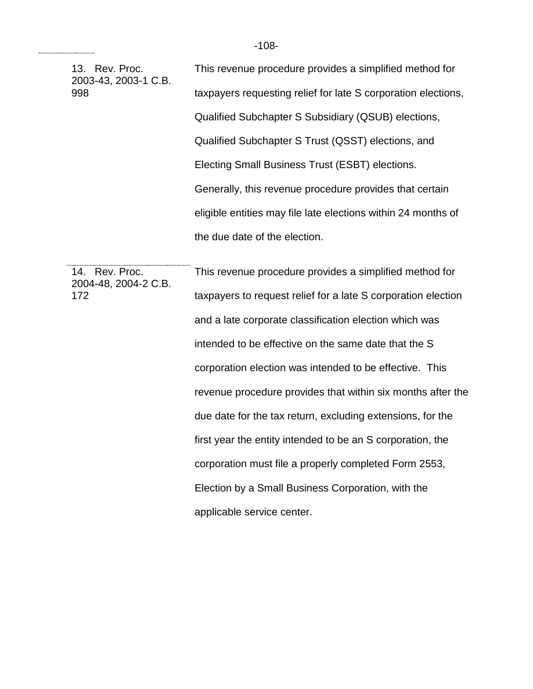13. Rev. Proc. 2003-43, 2003-1 C.B. 998

This revenue procedure provides a simplified method for taxpayers requesting relief for late S corporation elections, Qualified Subchapter S Subsidiary (QSUB) elections, Qualified Subchapter S Trust (QSST) elections, and Electing Small Business Trust (ESBT) elections. Generally, this revenue procedure provides that certain eligible entities may file late elections within 24 months of the due date of the election.

14. Rev. Proc. 2004-48, 2004-2 C.B. 172 This revenue procedure provides a simplified method for taxpayers to request relief for a late S corporation election and a late corporate classification election which was intended to be effective on the same date that the S corporation election was intended to be effective. This revenue procedure provides that within six months after the due date for the tax return, excluding extensions, for the first year the entity intended to be an S corporation, the corporation must file a properly completed Form 2553, Election by a Small Business Corporation, with the applicable service center.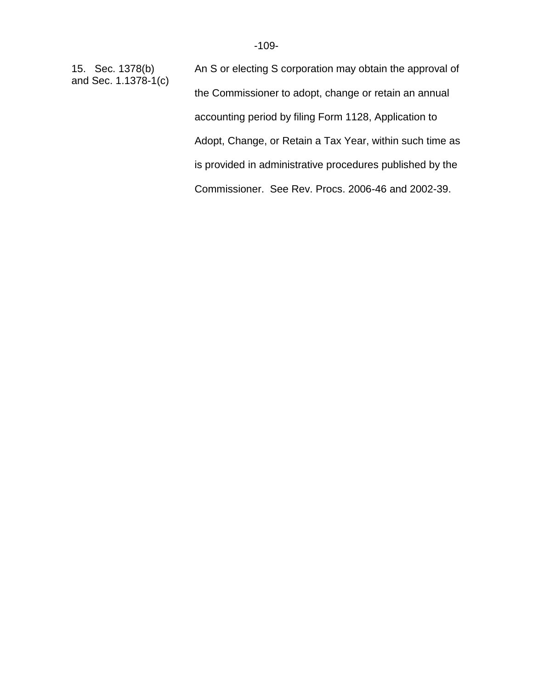15. Sec. 1378(b) and Sec. 1.1378-1(c) An S or electing S corporation may obtain the approval of the Commissioner to adopt, change or retain an annual accounting period by filing Form 1128, Application to Adopt, Change, or Retain a Tax Year, within such time as is provided in administrative procedures published by the Commissioner. See Rev. Procs. 2006-46 and 2002-39.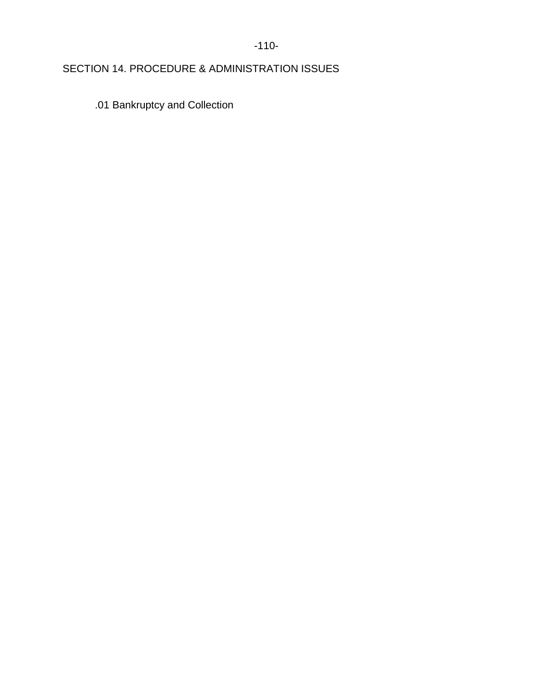-110-

# SECTION 14. PROCEDURE & ADMINISTRATION ISSUES

.01 Bankruptcy and Collection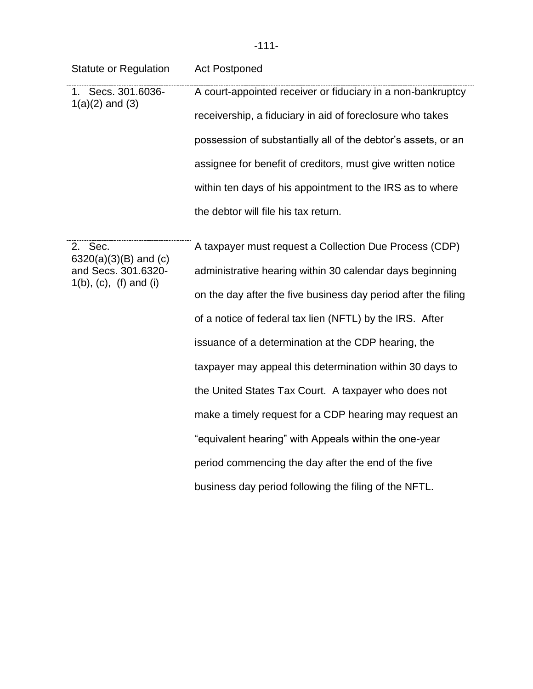|--|--|--|--|

| <b>Statute or Regulation</b>              | <b>Act Postponed</b>                                          |
|-------------------------------------------|---------------------------------------------------------------|
| 1. Secs. 301.6036-<br>$1(a)(2)$ and $(3)$ | A court-appointed receiver or fiduciary in a non-bankruptcy   |
|                                           | receivership, a fiduciary in aid of foreclosure who takes     |
|                                           | possession of substantially all of the debtor's assets, or an |
|                                           | assignee for benefit of creditors, must give written notice   |
|                                           | within ten days of his appointment to the IRS as to where     |
|                                           | the debtor will file his tax return.                          |

2. Sec. 6320(a)(3)(B) and (c) and Secs. 301.6320- 1(b), (c), (f) and (i) A taxpayer must request a Collection Due Process (CDP) administrative hearing within 30 calendar days beginning on the day after the five business day period after the filing of a notice of federal tax lien (NFTL) by the IRS. After issuance of a determination at the CDP hearing, the taxpayer may appeal this determination within 30 days to the United States Tax Court. A taxpayer who does not make a timely request for a CDP hearing may request an "equivalent hearing" with Appeals within the one-year period commencing the day after the end of the five business day period following the filing of the NFTL.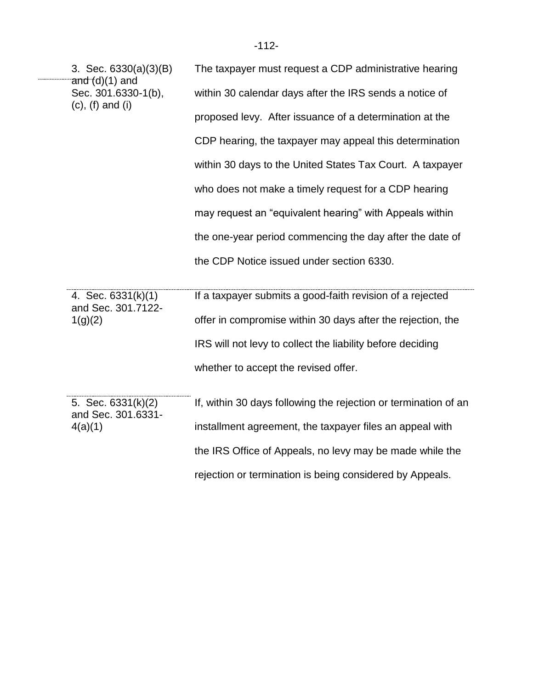| 3. Sec. $6330(a)(3)(B)$<br>and $(d)(1)$ and<br>Sec. 301.6330-1(b),<br>$(c)$ , $(f)$ and $(i)$ |                                            | The taxpayer must request a CDP administrative hearing    |
|-----------------------------------------------------------------------------------------------|--------------------------------------------|-----------------------------------------------------------|
|                                                                                               |                                            | within 30 calendar days after the IRS sends a notice of   |
|                                                                                               |                                            | proposed levy. After issuance of a determination at the   |
|                                                                                               |                                            | CDP hearing, the taxpayer may appeal this determination   |
|                                                                                               |                                            | within 30 days to the United States Tax Court. A taxpayer |
|                                                                                               |                                            | who does not make a timely request for a CDP hearing      |
|                                                                                               |                                            | may request an "equivalent hearing" with Appeals within   |
|                                                                                               |                                            | the one-year period commencing the day after the date of  |
|                                                                                               |                                            | the CDP Notice issued under section 6330.                 |
|                                                                                               |                                            |                                                           |
|                                                                                               | 4. Sec. $6331(k)(1)$<br>and Sec. 301.7122- | If a taxpayer submits a good-faith revision of a rejected |

| 4. $\overline{O}$ BC. 000 I(K)(I)<br>and Sec. 301.7122- | <u>II a laxbayer submits a dood-failin revision of a rejected</u> |
|---------------------------------------------------------|-------------------------------------------------------------------|
| 1(g)(2)                                                 | offer in compromise within 30 days after the rejection, the       |
|                                                         | IRS will not levy to collect the liability before deciding        |
|                                                         | whether to accept the revised offer.                              |

| 5. Sec. $6331(k)(2)$<br>and Sec. 301.6331- | If, within 30 days following the rejection or termination of an |
|--------------------------------------------|-----------------------------------------------------------------|
| 4(a)(1)                                    | installment agreement, the taxpayer files an appeal with        |
|                                            | the IRS Office of Appeals, no levy may be made while the        |
|                                            | rejection or termination is being considered by Appeals.        |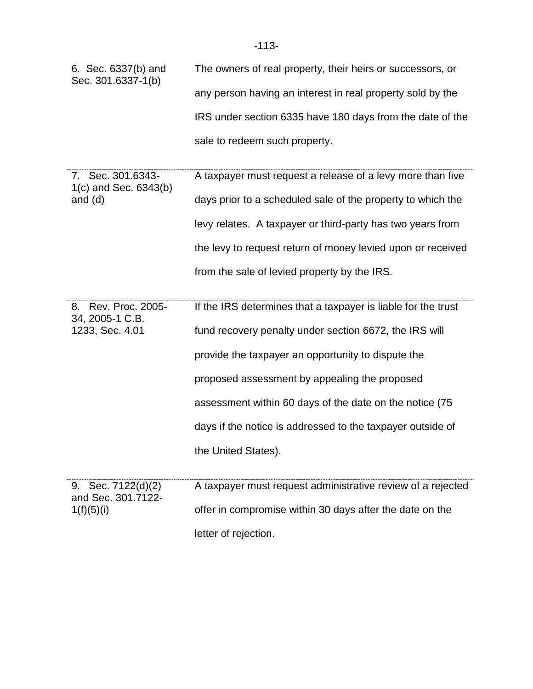6. Sec. 6337(b) and Sec. 301.6337-1(b) The owners of real property, their heirs or successors, or any person having an interest in real property sold by the IRS under section 6335 have 180 days from the date of the sale to redeem such property.

| 7. Sec. 301.6343-<br>$1(c)$ and Sec. 6343(b) | A taxpayer must request a release of a levy more than five    |
|----------------------------------------------|---------------------------------------------------------------|
| and $(d)$                                    | days prior to a scheduled sale of the property to which the   |
|                                              | levy relates. A taxpayer or third-party has two years from    |
|                                              | the levy to request return of money levied upon or received   |
|                                              | from the sale of levied property by the IRS.                  |
| 8. Rev. Proc. 2005-<br>34, 2005-1 C.B.       | If the IRS determines that a taxpayer is liable for the trust |
| 1233, Sec. 4.01                              | fund recovery penalty under section 6672, the IRS will        |
|                                              | provide the taxpayer an opportunity to dispute the            |
|                                              | proposed assessment by appealing the proposed                 |
|                                              | assessment within 60 days of the date on the notice (75       |
|                                              | days if the notice is addressed to the taxpayer outside of    |
|                                              | the United States).                                           |
|                                              |                                                               |
| 9. Sec. 7122(d)(2)<br>and Sec. 301.7122-     | A taxpayer must request administrative review of a rejected   |
| 1(f)(5)(i)                                   | offer in compromise within 30 days after the date on the      |
|                                              | letter of rejection.                                          |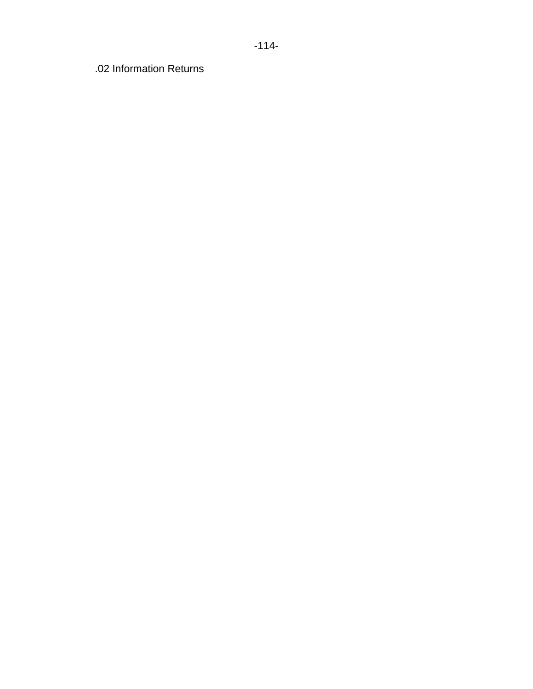.02 Information Returns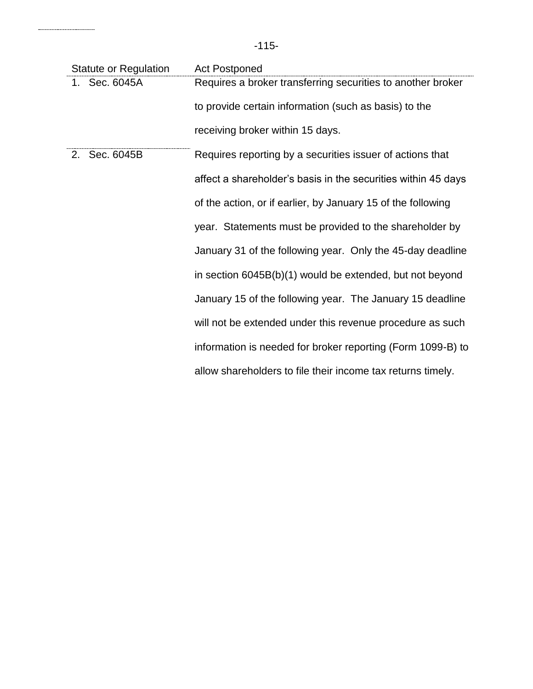| <b>Statute or Regulation</b> | <b>Act Postponed</b>                                          |
|------------------------------|---------------------------------------------------------------|
| 1. Sec. 6045A                | Requires a broker transferring securities to another broker   |
|                              | to provide certain information (such as basis) to the         |
|                              | receiving broker within 15 days.                              |
| 2. Sec. 6045B                | Requires reporting by a securities issuer of actions that     |
|                              | affect a shareholder's basis in the securities within 45 days |
|                              | of the action, or if earlier, by January 15 of the following  |
|                              | year. Statements must be provided to the shareholder by       |
|                              | January 31 of the following year. Only the 45-day deadline    |
|                              | in section 6045B(b)(1) would be extended, but not beyond      |
|                              | January 15 of the following year. The January 15 deadline     |
|                              | will not be extended under this revenue procedure as such     |
|                              | information is needed for broker reporting (Form 1099-B) to   |
|                              | allow shareholders to file their income tax returns timely.   |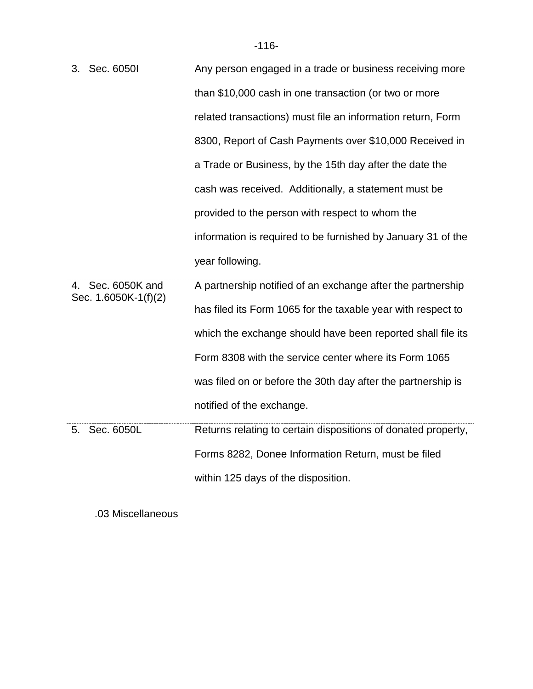| 3.                | Sec. 60501           | Any person engaged in a trade or business receiving more      |
|-------------------|----------------------|---------------------------------------------------------------|
|                   |                      | than \$10,000 cash in one transaction (or two or more         |
|                   |                      | related transactions) must file an information return, Form   |
|                   |                      | 8300, Report of Cash Payments over \$10,000 Received in       |
|                   |                      | a Trade or Business, by the 15th day after the date the       |
|                   |                      | cash was received. Additionally, a statement must be          |
|                   |                      | provided to the person with respect to whom the               |
|                   |                      | information is required to be furnished by January 31 of the  |
|                   |                      | year following.                                               |
| 4. Sec. 6050K and |                      |                                                               |
|                   |                      | A partnership notified of an exchange after the partnership   |
|                   | Sec. 1.6050K-1(f)(2) | has filed its Form 1065 for the taxable year with respect to  |
|                   |                      | which the exchange should have been reported shall file its   |
|                   |                      | Form 8308 with the service center where its Form 1065         |
|                   |                      | was filed on or before the 30th day after the partnership is  |
|                   |                      | notified of the exchange.                                     |
|                   | 5. Sec. 6050L        | Returns relating to certain dispositions of donated property, |
|                   |                      | Forms 8282, Donee Information Return, must be filed           |

.03 Miscellaneous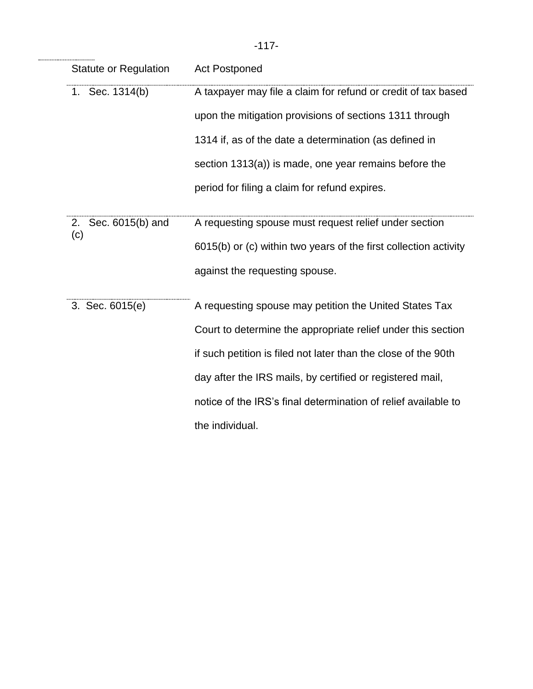| <b>Statute or Regulation</b> | <b>Act Postponed</b>                                             |
|------------------------------|------------------------------------------------------------------|
| 1. Sec. 1314(b)              | A taxpayer may file a claim for refund or credit of tax based    |
|                              | upon the mitigation provisions of sections 1311 through          |
|                              | 1314 if, as of the date a determination (as defined in           |
|                              | section 1313(a)) is made, one year remains before the            |
|                              | period for filing a claim for refund expires.                    |
| 2. Sec. 6015(b) and          | A requesting spouse must request relief under section            |
| (c)                          |                                                                  |
|                              | 6015(b) or (c) within two years of the first collection activity |
|                              | against the requesting spouse.                                   |
| 3. Sec. 6015(e)              | A requesting spouse may petition the United States Tax           |
|                              | Court to determine the appropriate relief under this section     |
|                              | if such petition is filed not later than the close of the 90th   |
|                              | day after the IRS mails, by certified or registered mail,        |
|                              | notice of the IRS's final determination of relief available to   |
|                              | the individual.                                                  |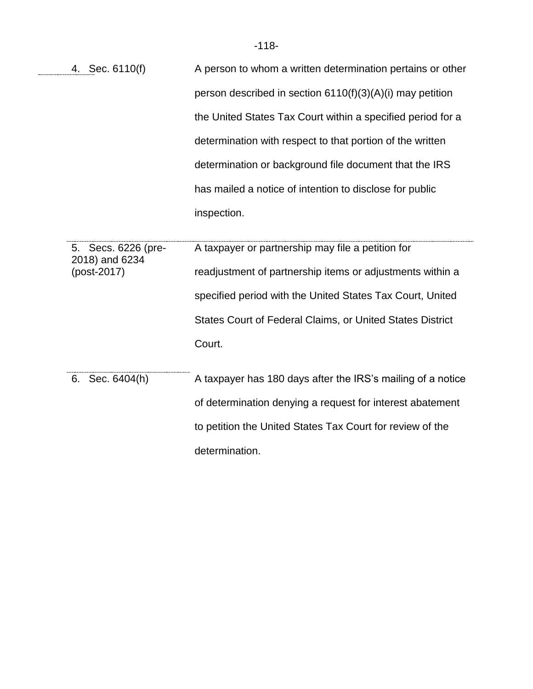| 4. Sec. 6110(f) | A person to whom a written determination pertains or other  |
|-----------------|-------------------------------------------------------------|
|                 | person described in section 6110(f)(3)(A)(i) may petition   |
|                 | the United States Tax Court within a specified period for a |
|                 | determination with respect to that portion of the written   |
|                 | determination or background file document that the IRS      |
|                 | has mailed a notice of intention to disclose for public     |
|                 | inspection.                                                 |

| 5. Secs. 6226 (pre-<br>2018) and 6234 | A taxpayer or partnership may file a petition for                |
|---------------------------------------|------------------------------------------------------------------|
| (post-2017)                           | readjustment of partnership items or adjustments within a        |
|                                       | specified period with the United States Tax Court, United        |
|                                       | <b>States Court of Federal Claims, or United States District</b> |
|                                       | Court.                                                           |
| 6. Sec. $6404(h)$                     | A taxpayer has 180 days after the IRS's mailing of a notice      |
|                                       | of determination denying a request for interest abatement        |

determination.

to petition the United States Tax Court for review of the

-118-

----------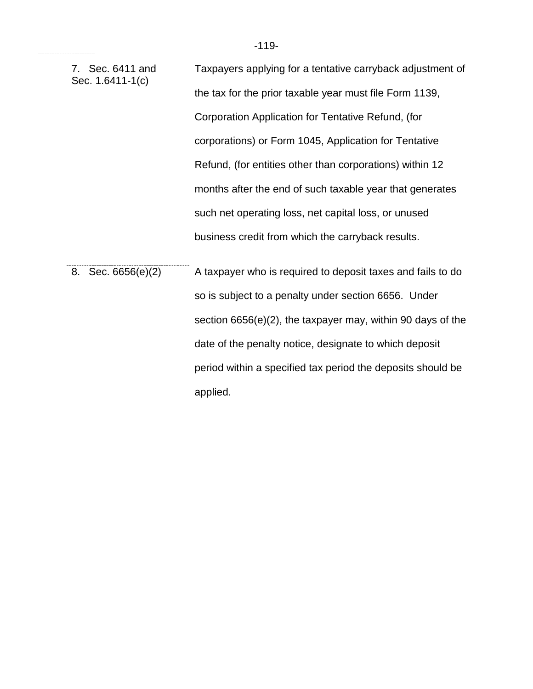7. Sec. 6411 and Sec. 1.6411-1(c) Taxpayers applying for a tentative carryback adjustment of the tax for the prior taxable year must file Form 1139, Corporation Application for Tentative Refund, (for corporations) or Form 1045, Application for Tentative Refund, (for entities other than corporations) within 12 months after the end of such taxable year that generates such net operating loss, net capital loss, or unused business credit from which the carryback results. 8. Sec. 6656(e)(2) A taxpayer who is required to deposit taxes and fails to do so is subject to a penalty under section 6656. Under section 6656(e)(2), the taxpayer may, within 90 days of the date of the penalty notice, designate to which deposit period within a specified tax period the deposits should be

applied.

-119-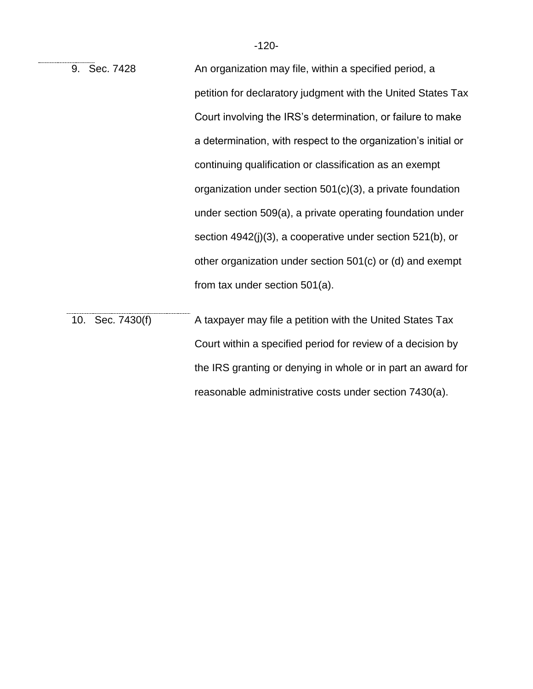9. Sec. 7428 An organization may file, within a specified period, a petition for declaratory judgment with the United States Tax Court involving the IRS's determination, or failure to make a determination, with respect to the organization's initial or continuing qualification or classification as an exempt organization under section 501(c)(3), a private foundation under section 509(a), a private operating foundation under section 4942(j)(3), a cooperative under section 521(b), or other organization under section 501(c) or (d) and exempt from tax under section 501(a).

10. Sec. 7430(f) A taxpayer may file a petition with the United States Tax Court within a specified period for review of a decision by the IRS granting or denying in whole or in part an award for reasonable administrative costs under section 7430(a).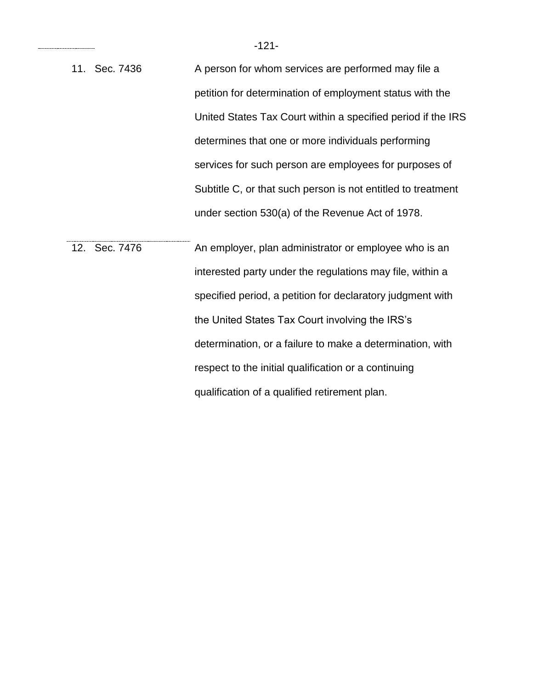11. Sec. 7436 A person for whom services are performed may file a petition for determination of employment status with the United States Tax Court within a specified period if the IRS determines that one or more individuals performing services for such person are employees for purposes of Subtitle C, or that such person is not entitled to treatment under section 530(a) of the Revenue Act of 1978.

12. Sec. 7476 An employer, plan administrator or employee who is an interested party under the regulations may file, within a specified period, a petition for declaratory judgment with the United States Tax Court involving the IRS's determination, or a failure to make a determination, with respect to the initial qualification or a continuing qualification of a qualified retirement plan.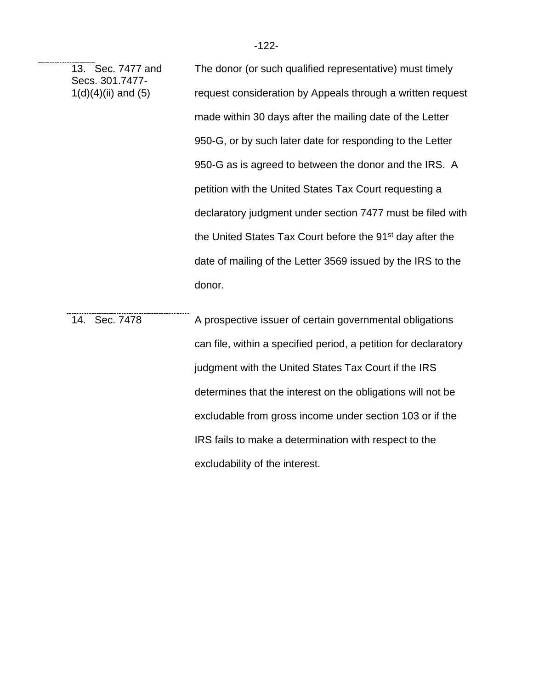13. Sec. 7477 and Secs. 301.7477- 1(d) $(4)$ (ii) and  $(5)$ The donor (or such qualified representative) must timely request consideration by Appeals through a written request made within 30 days after the mailing date of the Letter 950-G, or by such later date for responding to the Letter 950-G as is agreed to between the donor and the IRS. A petition with the United States Tax Court requesting a declaratory judgment under section 7477 must be filed with the United States Tax Court before the 91<sup>st</sup> day after the date of mailing of the Letter 3569 issued by the IRS to the donor.

14. Sec. 7478 A prospective issuer of certain governmental obligations can file, within a specified period, a petition for declaratory judgment with the United States Tax Court if the IRS determines that the interest on the obligations will not be excludable from gross income under section 103 or if the IRS fails to make a determination with respect to the excludability of the interest.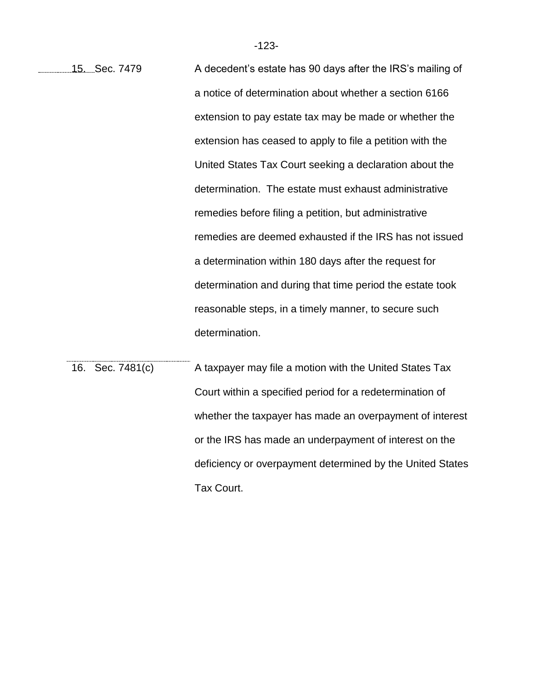15. Sec. 7479 A decedent's estate has 90 days after the IRS's mailing of a notice of determination about whether a section 6166 extension to pay estate tax may be made or whether the extension has ceased to apply to file a petition with the United States Tax Court seeking a declaration about the determination. The estate must exhaust administrative remedies before filing a petition, but administrative remedies are deemed exhausted if the IRS has not issued a determination within 180 days after the request for determination and during that time period the estate took reasonable steps, in a timely manner, to secure such determination.

16. Sec. 7481(c) A taxpayer may file a motion with the United States Tax Court within a specified period for a redetermination of whether the taxpayer has made an overpayment of interest or the IRS has made an underpayment of interest on the deficiency or overpayment determined by the United States Tax Court.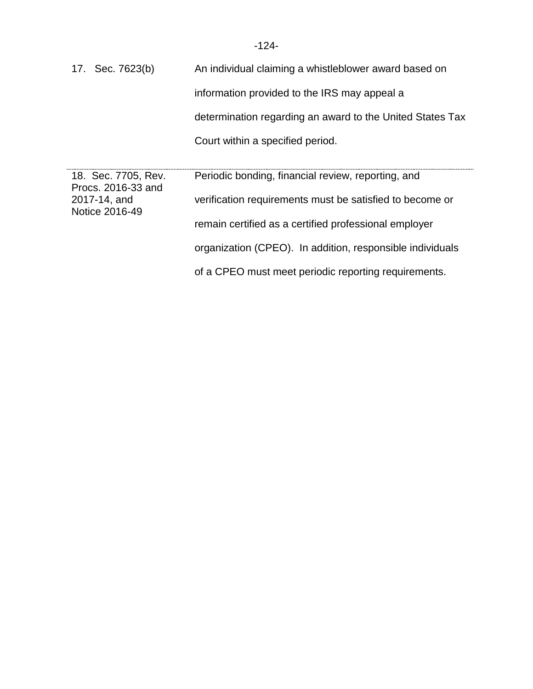-124-

17. Sec. 7623(b) An individual claiming a whistleblower award based on information provided to the IRS may appeal a determination regarding an award to the United States Tax Court within a specified period.

| 18. Sec. 7705, Rev.<br>Procs. 2016-33 and<br>2017-14, and<br>Notice 2016-49 | Periodic bonding, financial review, reporting, and        |
|-----------------------------------------------------------------------------|-----------------------------------------------------------|
|                                                                             | verification requirements must be satisfied to become or  |
|                                                                             | remain certified as a certified professional employer     |
|                                                                             | organization (CPEO). In addition, responsible individuals |
|                                                                             | of a CPEO must meet periodic reporting requirements.      |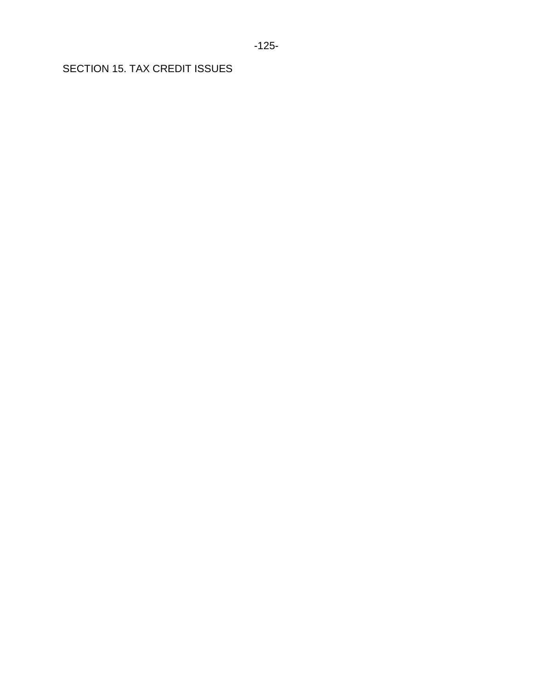# SECTION 15. TAX CREDIT ISSUES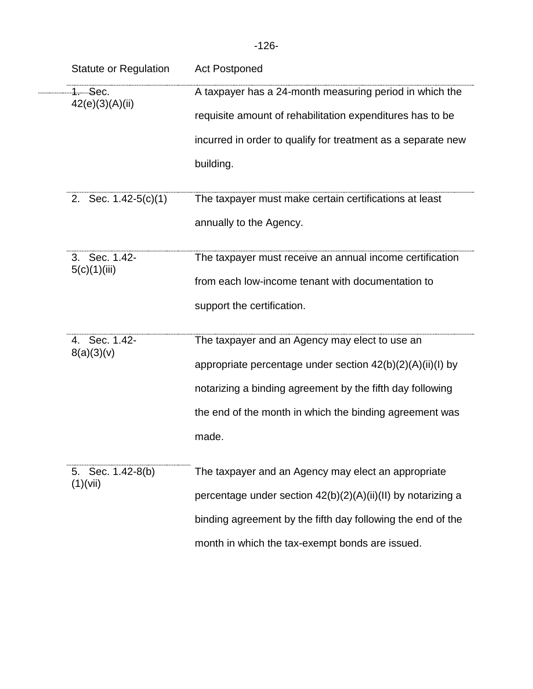| <b>Statute or Regulation</b>  | <b>Act Postponed</b>                                         |
|-------------------------------|--------------------------------------------------------------|
| 1. Sec.<br>42(e)(3)(A)(ii)    | A taxpayer has a 24-month measuring period in which the      |
|                               | requisite amount of rehabilitation expenditures has to be    |
|                               | incurred in order to qualify for treatment as a separate new |
|                               | building.                                                    |
| 2. Sec. $1.42-5(c)(1)$        | The taxpayer must make certain certifications at least       |
|                               | annually to the Agency.                                      |
| 3. Sec. 1.42-<br>5(c)(1)(iii) | The taxpayer must receive an annual income certification     |
|                               | from each low-income tenant with documentation to            |
|                               | support the certification.                                   |
| 4. Sec. 1.42-                 | The taxpayer and an Agency may elect to use an               |
| 8(a)(3)(v)                    | appropriate percentage under section $42(b)(2)(A)(ii)(I)$ by |
|                               | notarizing a binding agreement by the fifth day following    |
|                               | the end of the month in which the binding agreement was      |
|                               | made.                                                        |
| 5. Sec. 1.42-8(b)             | The taxpayer and an Agency may elect an appropriate          |
| $(1)(\n{\rm vii})$            | percentage under section 42(b)(2)(A)(ii)(II) by notarizing a |
|                               | binding agreement by the fifth day following the end of the  |
|                               | month in which the tax-exempt bonds are issued.              |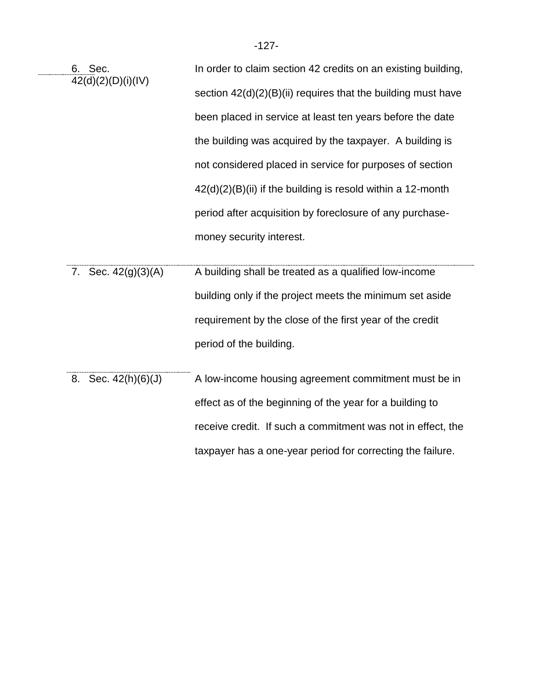| 6. Sec.<br>42(d)(2)(D)(i)(IV) | In order to claim section 42 credits on an existing building,  |
|-------------------------------|----------------------------------------------------------------|
|                               | section $42(d)(2)(B)(ii)$ requires that the building must have |
|                               | been placed in service at least ten years before the date      |
|                               | the building was acquired by the taxpayer. A building is       |
|                               | not considered placed in service for purposes of section       |
|                               | $42(d)(2)(B)(ii)$ if the building is resold within a 12-month  |
|                               | period after acquisition by foreclosure of any purchase-       |
|                               | money security interest.                                       |
|                               |                                                                |
| 7. Sec. $42(g)(3)(A)$         | A building shall be treated as a qualified low-income          |
|                               | building only if the project meets the minimum set aside       |
|                               | requirement by the close of the first year of the credit       |
|                               | period of the building.                                        |
|                               |                                                                |
| 8. Sec. $42(h)(6)(J)$         | A low-income housing agreement commitment must be in           |
|                               | effect as of the beginning of the year for a building to       |
|                               | receive credit. If such a commitment was not in effect, the    |
|                               | taxpayer has a one-year period for correcting the failure.     |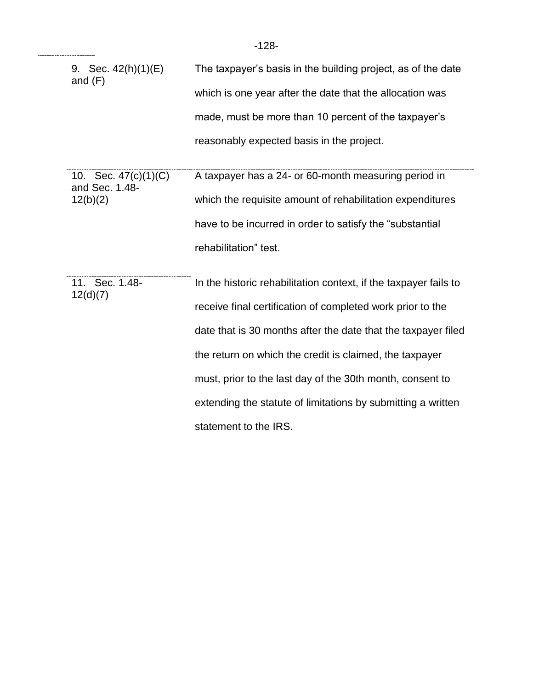9. Sec. 42(h)(1)(E) and (F) The taxpayer's basis in the building project, as of the date which is one year after the date that the allocation was made, must be more than 10 percent of the taxpayer's reasonably expected basis in the project.

| 10. Sec. $47(c)(1)(C)$<br>and Sec. 1.48-<br>12(b)(2) | A taxpayer has a 24- or 60-month measuring period in      |
|------------------------------------------------------|-----------------------------------------------------------|
|                                                      | which the requisite amount of rehabilitation expenditures |
|                                                      | have to be incurred in order to satisfy the "substantial" |
|                                                      | rehabilitation" test.                                     |

11. Sec. 1.48- 12(d)(7) In the historic rehabilitation context, if the taxpayer fails to receive final certification of completed work prior to the date that is 30 months after the date that the taxpayer filed the return on which the credit is claimed, the taxpayer must, prior to the last day of the 30th month, consent to extending the statute of limitations by submitting a written statement to the IRS.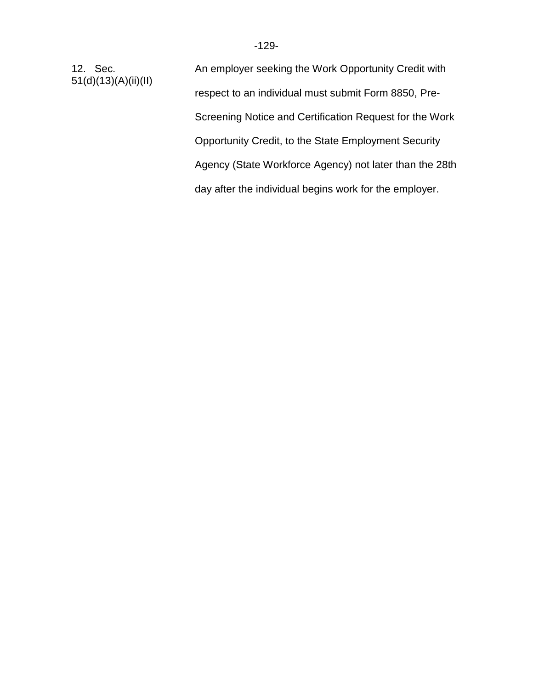-129-

## 12. Sec. 51(d)(13)(A)(ii)(II)

An employer seeking the Work Opportunity Credit with respect to an individual must submit Form 8850, Pre-Screening Notice and Certification Request for the Work Opportunity Credit, to the State Employment Security Agency (State Workforce Agency) not later than the 28th day after the individual begins work for the employer.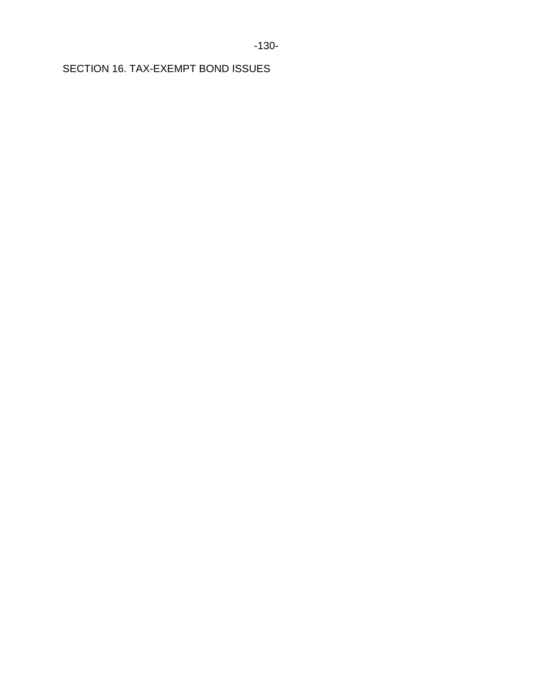-130-

SECTION 16. TAX-EXEMPT BOND ISSUES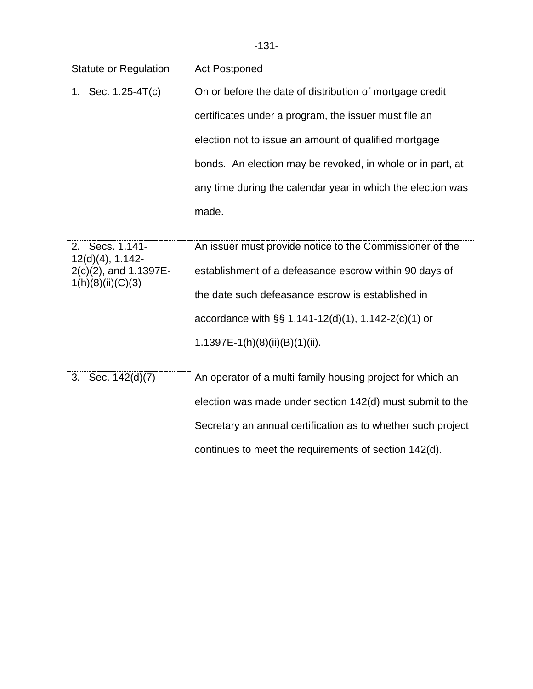| <b>Statute or Regulation</b>               | <b>Act Postponed</b>                                        |
|--------------------------------------------|-------------------------------------------------------------|
| 1. Sec. $1.25-4T(c)$                       | On or before the date of distribution of mortgage credit    |
|                                            | certificates under a program, the issuer must file an       |
|                                            | election not to issue an amount of qualified mortgage       |
|                                            | bonds. An election may be revoked, in whole or in part, at  |
|                                            | any time during the calendar year in which the election was |
|                                            | made.                                                       |
|                                            |                                                             |
| 2. Secs. 1.141-<br>$12(d)(4)$ , 1.142-     | An issuer must provide notice to the Commissioner of the    |
| 2(c)(2), and 1.1397E-<br>1(h)(8)(ii)(C)(3) | establishment of a defeasance escrow within 90 days of      |
|                                            | the date such defeasance escrow is established in           |
|                                            | accordance with $\S\S 1.141 - 12(d)(1)$ , 1.142-2(c)(1) or  |
|                                            | 1.1397E-1(h)(8)(ii)(B)(1)(ii).                              |

 $\overline{3.}$  Sec.  $142(d)(7)$  An operator of a multi-family housing project for which an election was made under section 142(d) must submit to the Secretary an annual certification as to whether such project continues to meet the requirements of section 142(d).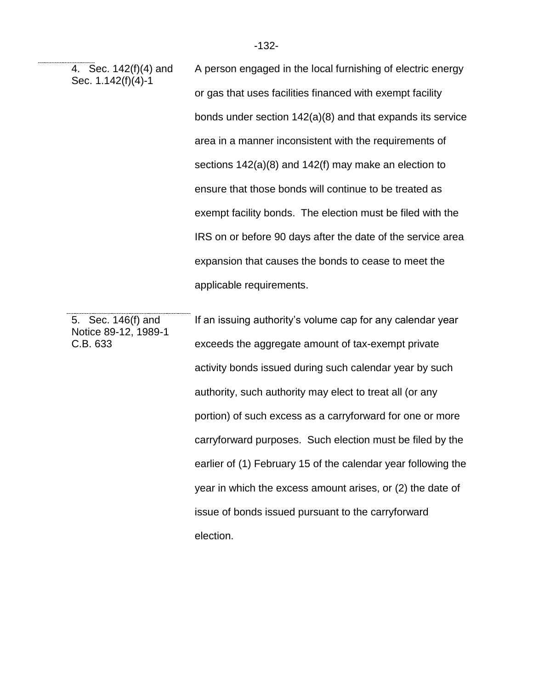4. Sec. 142(f)(4) and Sec.  $1.142(f)(4)-1$ 

A person engaged in the local furnishing of electric energy or gas that uses facilities financed with exempt facility bonds under section 142(a)(8) and that expands its service area in a manner inconsistent with the requirements of sections 142(a)(8) and 142(f) may make an election to ensure that those bonds will continue to be treated as exempt facility bonds. The election must be filed with the IRS on or before 90 days after the date of the service area expansion that causes the bonds to cease to meet the applicable requirements.

5. Sec. 146(f) and Notice 89-12, 1989-1 C.B. 633 If an issuing authority's volume cap for any calendar year exceeds the aggregate amount of tax-exempt private activity bonds issued during such calendar year by such authority, such authority may elect to treat all (or any portion) of such excess as a carryforward for one or more carryforward purposes. Such election must be filed by the earlier of (1) February 15 of the calendar year following the year in which the excess amount arises, or (2) the date of issue of bonds issued pursuant to the carryforward election.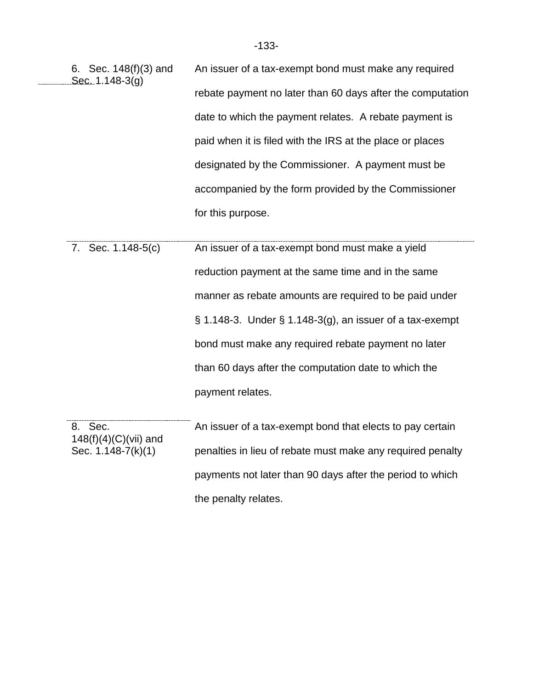| 6. Sec. $148(f)(3)$ and<br>Sec. $1.148-3(g)$ | An issuer of a tax-exempt bond must make any required          |
|----------------------------------------------|----------------------------------------------------------------|
|                                              | rebate payment no later than 60 days after the computation     |
|                                              | date to which the payment relates. A rebate payment is         |
|                                              | paid when it is filed with the IRS at the place or places      |
|                                              | designated by the Commissioner. A payment must be              |
|                                              | accompanied by the form provided by the Commissioner           |
|                                              | for this purpose.                                              |
|                                              |                                                                |
| 7. Sec. 1.148-5(c)                           | An issuer of a tax-exempt bond must make a yield               |
|                                              | reduction payment at the same time and in the same             |
|                                              | manner as rebate amounts are required to be paid under         |
|                                              | $\S$ 1.148-3. Under $\S$ 1.148-3(g), an issuer of a tax-exempt |
|                                              | bond must make any required rebate payment no later            |
|                                              | than 60 days after the computation date to which the           |
|                                              | payment relates.                                               |
|                                              |                                                                |
| 8. Sec.<br>$148(f)(4)(C)(vi)$ and            | An issuer of a tax-exempt bond that elects to pay certain      |
| Sec. 1.148-7(k)(1)                           | penalties in lieu of rebate must make any required penalty     |

the penalty relates.

payments not later than 90 days after the period to which

-133-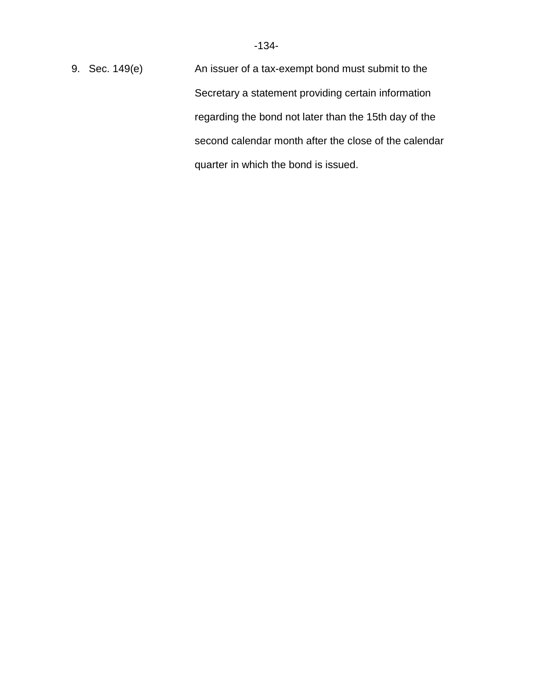-134-

9. Sec. 149(e) An issuer of a tax-exempt bond must submit to the Secretary a statement providing certain information regarding the bond not later than the 15th day of the second calendar month after the close of the calendar quarter in which the bond is issued.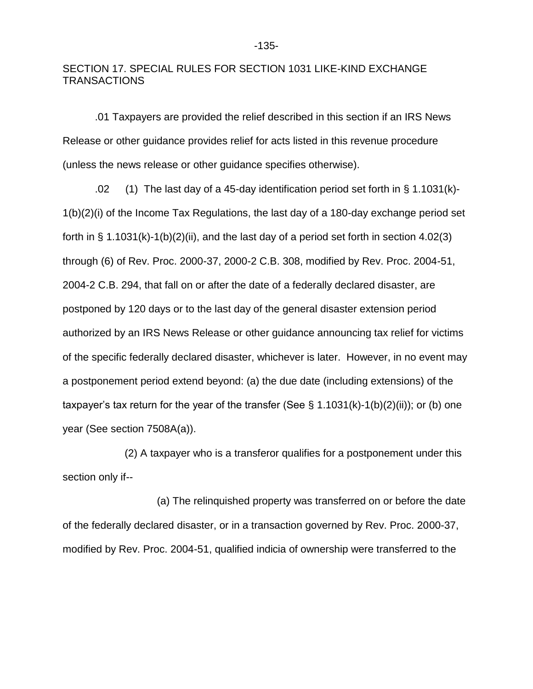### SECTION 17. SPECIAL RULES FOR SECTION 1031 LIKE-KIND EXCHANGE TRANSACTIONS

.01 Taxpayers are provided the relief described in this section if an IRS News Release or other guidance provides relief for acts listed in this revenue procedure (unless the news release or other guidance specifies otherwise).

.02 (1) The last day of a 45-day identification period set forth in  $\S$  1.1031(k)-1(b)(2)(i) of the Income Tax Regulations, the last day of a 180-day exchange period set forth in  $\S$  1.1031(k)-1(b)(2)(ii), and the last day of a period set forth in section 4.02(3) through (6) of Rev. Proc. 2000-37, 2000-2 C.B. 308, modified by Rev. Proc. 2004-51, 2004-2 C.B. 294, that fall on or after the date of a federally declared disaster, are postponed by 120 days or to the last day of the general disaster extension period authorized by an IRS News Release or other guidance announcing tax relief for victims of the specific federally declared disaster, whichever is later. However, in no event may a postponement period extend beyond: (a) the due date (including extensions) of the taxpayer's tax return for the year of the transfer (See  $\S$  1.1031(k)-1(b)(2)(ii)); or (b) one year (See section 7508A(a)).

(2) A taxpayer who is a transferor qualifies for a postponement under this section only if--

(a) The relinquished property was transferred on or before the date of the federally declared disaster, or in a transaction governed by Rev. Proc. 2000-37, modified by Rev. Proc. 2004-51, qualified indicia of ownership were transferred to the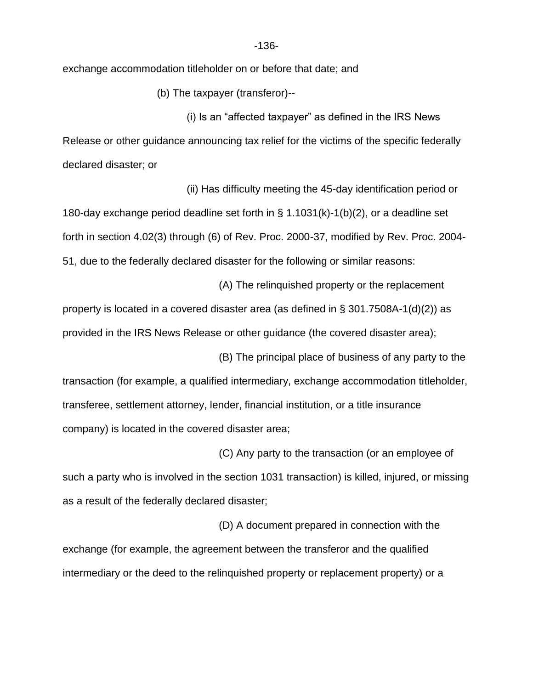-136-

exchange accommodation titleholder on or before that date; and

(b) The taxpayer (transferor)--

(i) Is an "affected taxpayer" as defined in the IRS News Release or other guidance announcing tax relief for the victims of the specific federally declared disaster; or

(ii) Has difficulty meeting the 45-day identification period or 180-day exchange period deadline set forth in § 1.1031(k)-1(b)(2), or a deadline set forth in section 4.02(3) through (6) of Rev. Proc. 2000-37, modified by Rev. Proc. 2004- 51, due to the federally declared disaster for the following or similar reasons:

(A) The relinquished property or the replacement

property is located in a covered disaster area (as defined in § 301.7508A-1(d)(2)) as provided in the IRS News Release or other guidance (the covered disaster area);

(B) The principal place of business of any party to the transaction (for example, a qualified intermediary, exchange accommodation titleholder, transferee, settlement attorney, lender, financial institution, or a title insurance company) is located in the covered disaster area;

(C) Any party to the transaction (or an employee of such a party who is involved in the section 1031 transaction) is killed, injured, or missing as a result of the federally declared disaster;

(D) A document prepared in connection with the exchange (for example, the agreement between the transferor and the qualified intermediary or the deed to the relinquished property or replacement property) or a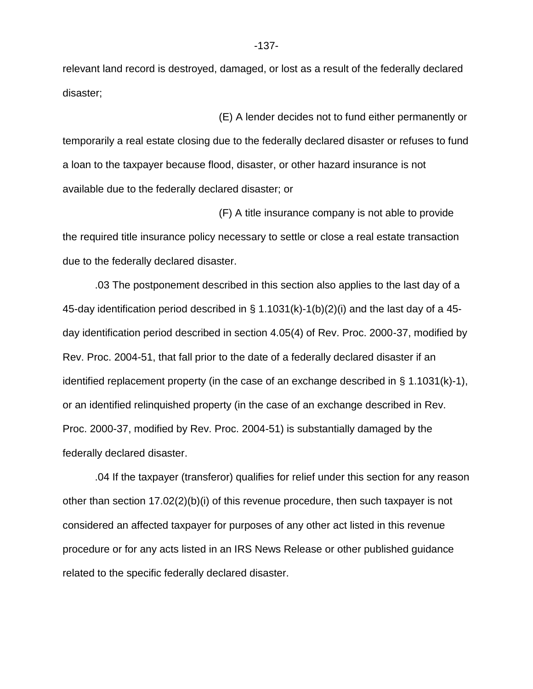relevant land record is destroyed, damaged, or lost as a result of the federally declared disaster;

(E) A lender decides not to fund either permanently or temporarily a real estate closing due to the federally declared disaster or refuses to fund a loan to the taxpayer because flood, disaster, or other hazard insurance is not available due to the federally declared disaster; or

(F) A title insurance company is not able to provide the required title insurance policy necessary to settle or close a real estate transaction due to the federally declared disaster.

.03 The postponement described in this section also applies to the last day of a 45-day identification period described in § 1.1031(k)-1(b)(2)(i) and the last day of a 45 day identification period described in section 4.05(4) of Rev. Proc. 2000-37, modified by Rev. Proc. 2004-51, that fall prior to the date of a federally declared disaster if an identified replacement property (in the case of an exchange described in  $\S$  1.1031(k)-1), or an identified relinquished property (in the case of an exchange described in Rev. Proc. 2000-37, modified by Rev. Proc. 2004-51) is substantially damaged by the federally declared disaster.

.04 If the taxpayer (transferor) qualifies for relief under this section for any reason other than section 17.02(2)(b)(i) of this revenue procedure, then such taxpayer is not considered an affected taxpayer for purposes of any other act listed in this revenue procedure or for any acts listed in an IRS News Release or other published guidance related to the specific federally declared disaster.

-137-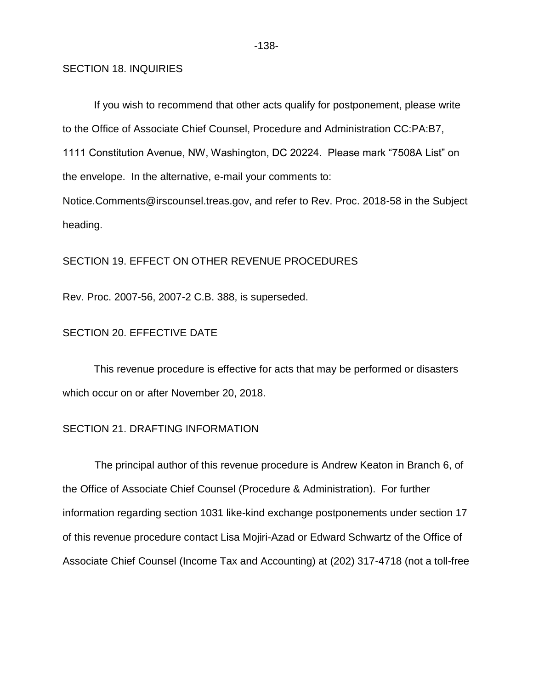#### SECTION 18. INQUIRIES

If you wish to recommend that other acts qualify for postponement, please write to the Office of Associate Chief Counsel, Procedure and Administration CC:PA:B7, 1111 Constitution Avenue, NW, Washington, DC 20224. Please mark "7508A List" on the envelope. In the alternative, e-mail your comments to: Notice.Comments@irscounsel.treas.gov, and refer to Rev. Proc. 2018-58 in the Subject heading.

### SECTION 19. EFFECT ON OTHER REVENUE PROCEDURES

Rev. Proc. 2007-56, 2007-2 C.B. 388, is superseded.

#### SECTION 20. EFFECTIVE DATE

This revenue procedure is effective for acts that may be performed or disasters which occur on or after November 20, 2018.

#### SECTION 21. DRAFTING INFORMATION

The principal author of this revenue procedure is Andrew Keaton in Branch 6, of the Office of Associate Chief Counsel (Procedure & Administration). For further information regarding section 1031 like-kind exchange postponements under section 17 of this revenue procedure contact Lisa Mojiri-Azad or Edward Schwartz of the Office of Associate Chief Counsel (Income Tax and Accounting) at (202) 317-4718 (not a toll-free